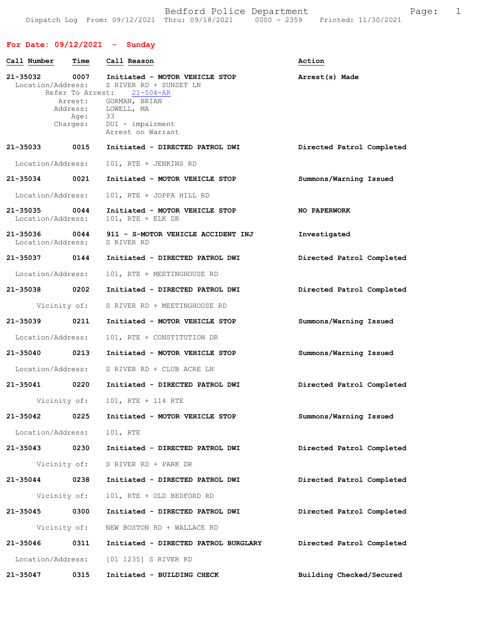Bedford Police Department Fage: 1 Dispatch Log From: 09/12/2021 Thru: 09/18/2021 0000 - 2359 Printed: 11/30/2021

## **For Date: 09/12/2021 - Sunday**

| Call Number                        | Time         | Call Reason                                                                                                                                                                                                                      | Action                    |
|------------------------------------|--------------|----------------------------------------------------------------------------------------------------------------------------------------------------------------------------------------------------------------------------------|---------------------------|
|                                    | Age:         | 21-35032 0007 Initiated - MOTOR VEHICLE STOP<br>Location/Address: S RIVER RD + SUNSET LN<br>Refer To Arrest: 21-504-AR<br>Arrest: GORMAN, BRIAN<br>Address: LOWELL, MA<br>- 33<br>Charges: DUI - impairment<br>Arrest on Warrant | Arrest(s) Made            |
| 21-35033 0015                      |              | Initiated - DIRECTED PATROL DWI                                                                                                                                                                                                  | Directed Patrol Completed |
| Location/Address:                  |              | 101, RTE + JENKINS RD                                                                                                                                                                                                            |                           |
| 21-35034 0021                      |              | Initiated - MOTOR VEHICLE STOP                                                                                                                                                                                                   | Summons/Warning Issued    |
| Location/Address:                  |              | 101, RTE + JOPPA HILL RD                                                                                                                                                                                                         |                           |
| 21-35035 0044<br>Location/Address: |              | Initiated - MOTOR VEHICLE STOP<br>101, RTE + ELK DR                                                                                                                                                                              | NO PAPERWORK              |
| Location/Address:                  |              | 21-35036 0044 911 - S-MOTOR VEHICLE ACCIDENT INJ<br>S RIVER RD                                                                                                                                                                   | Investigated              |
| 21-35037 0144                      |              | Initiated - DIRECTED PATROL DWI                                                                                                                                                                                                  | Directed Patrol Completed |
| Location/Address:                  |              | 101, RTE + MEETINGHOUSE RD                                                                                                                                                                                                       |                           |
| 21-35038 0202                      |              | Initiated - DIRECTED PATROL DWI                                                                                                                                                                                                  | Directed Patrol Completed |
|                                    | Vicinity of: | S RIVER RD + MEETINGHOUSE RD                                                                                                                                                                                                     |                           |
| 21-35039 0211                      |              | Initiated - MOTOR VEHICLE STOP                                                                                                                                                                                                   | Summons/Warning Issued    |
| Location/Address:                  |              | 101, RTE + CONSTITUTION DR                                                                                                                                                                                                       |                           |
| 21-35040 0213                      |              | Initiated - MOTOR VEHICLE STOP                                                                                                                                                                                                   | Summons/Warning Issued    |
| Location/Address:                  |              | S RIVER RD + CLUB ACRE LN                                                                                                                                                                                                        |                           |
|                                    |              | 21-35041 0220 Initiated - DIRECTED PATROL DWI                                                                                                                                                                                    | Directed Patrol Completed |
|                                    |              | Vicinity of: 101, RTE + 114 RTE                                                                                                                                                                                                  |                           |
| 21-35042                           | 0225         | Initiated - MOTOR VEHICLE STOP                                                                                                                                                                                                   | Summons/Warning Issued    |
| Location/Address: 101, RTE         |              |                                                                                                                                                                                                                                  |                           |
| 21-35043 0230                      |              | Initiated - DIRECTED PATROL DWI                                                                                                                                                                                                  | Directed Patrol Completed |
|                                    |              | Vicinity of: S RIVER RD + PARK DR                                                                                                                                                                                                |                           |
| 21-35044 0238                      |              | Initiated - DIRECTED PATROL DWI                                                                                                                                                                                                  | Directed Patrol Completed |
| Vicinity of:                       |              | 101, RTE + OLD BEDFORD RD                                                                                                                                                                                                        |                           |
| 21-35045                           | 0300         | Initiated - DIRECTED PATROL DWI                                                                                                                                                                                                  | Directed Patrol Completed |
| Vicinity of:                       |              | NEW BOSTON RD + WALLACE RD                                                                                                                                                                                                       |                           |
| 21-35046                           | 0311         | Initiated - DIRECTED PATROL BURGLARY                                                                                                                                                                                             | Directed Patrol Completed |
|                                    |              | Location/Address: [01 1235] S RIVER RD                                                                                                                                                                                           |                           |
| 21-35047                           | 0315         | Initiated - BUILDING CHECK                                                                                                                                                                                                       | Building Checked/Secured  |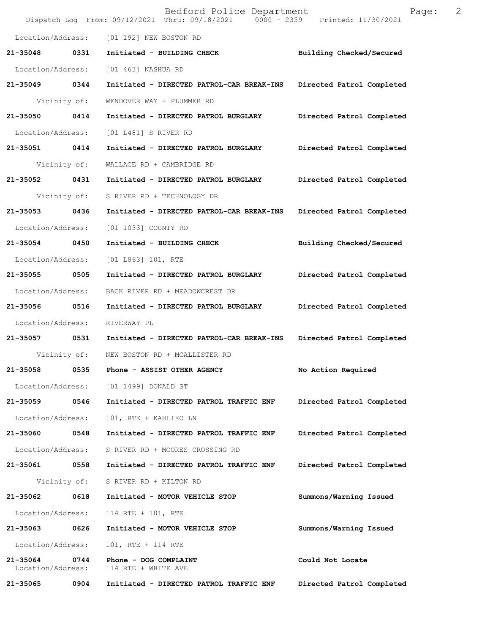|                               |      | Bedford Police Department<br>Dispatch Log From: 09/12/2021 Thru: 09/18/2021 0000 - 2359 Printed: 11/30/2021 | Page:                     | 2 |
|-------------------------------|------|-------------------------------------------------------------------------------------------------------------|---------------------------|---|
| Location/Address:             |      | [01 192] NEW BOSTON RD                                                                                      |                           |   |
| 21-35048                      | 0331 | Initiated - BUILDING CHECK                                                                                  | Building Checked/Secured  |   |
| Location/Address:             |      | [01 463] NASHUA RD                                                                                          |                           |   |
| 21-35049 0344                 |      | Initiated - DIRECTED PATROL-CAR BREAK-INS                                                                   | Directed Patrol Completed |   |
| Vicinity of:                  |      | WENDOVER WAY + PLUMMER RD                                                                                   |                           |   |
| 21-35050 0414                 |      | Initiated - DIRECTED PATROL BURGLARY                                                                        | Directed Patrol Completed |   |
| Location/Address:             |      | [01 L481] S RIVER RD                                                                                        |                           |   |
| 21-35051 0414                 |      | Initiated - DIRECTED PATROL BURGLARY                                                                        | Directed Patrol Completed |   |
| Vicinity of:                  |      | WALLACE RD + CAMBRIDGE RD                                                                                   |                           |   |
| 21-35052                      | 0431 | Initiated - DIRECTED PATROL BURGLARY                                                                        | Directed Patrol Completed |   |
| Vicinity of:                  |      | S RIVER RD + TECHNOLOGY DR                                                                                  |                           |   |
| 21-35053 0436                 |      | Initiated - DIRECTED PATROL-CAR BREAK-INS                                                                   | Directed Patrol Completed |   |
| Location/Address:             |      | [01 1033] COUNTY RD                                                                                         |                           |   |
| 21-35054 0450                 |      | Initiated - BUILDING CHECK                                                                                  | Building Checked/Secured  |   |
| Location/Address:             |      | [01 L863] 101, RTE                                                                                          |                           |   |
| 21-35055 0505                 |      | Initiated - DIRECTED PATROL BURGLARY                                                                        | Directed Patrol Completed |   |
| Location/Address:             |      | BACK RIVER RD + MEADOWCREST DR                                                                              |                           |   |
| 21-35056 0516                 |      | Initiated - DIRECTED PATROL BURGLARY                                                                        | Directed Patrol Completed |   |
| Location/Address:             |      | RIVERWAY PL                                                                                                 |                           |   |
| 21-35057 0531                 |      | Initiated - DIRECTED PATROL-CAR BREAK-INS                                                                   | Directed Patrol Completed |   |
|                               |      | Vicinity of: NEW BOSTON RD + MCALLISTER RD                                                                  |                           |   |
| 21-35058                      | 0535 | Phone - ASSIST OTHER AGENCY                                                                                 | No Action Required        |   |
|                               |      | Location/Address: [01 1499] DONALD ST                                                                       |                           |   |
| 21-35059                      | 0546 | Initiated - DIRECTED PATROL TRAFFIC ENF                                                                     | Directed Patrol Completed |   |
| Location/Address:             |      | 101, RTE + KAHLIKO LN                                                                                       |                           |   |
| 21-35060                      | 0548 | Initiated - DIRECTED PATROL TRAFFIC ENF                                                                     | Directed Patrol Completed |   |
| Location/Address:             |      | S RIVER RD + MOORES CROSSING RD                                                                             |                           |   |
| 21-35061 0558                 |      | Initiated - DIRECTED PATROL TRAFFIC ENF                                                                     | Directed Patrol Completed |   |
| Vicinity of:                  |      | S RIVER RD + KILTON RD                                                                                      |                           |   |
| 21-35062                      | 0618 | Initiated - MOTOR VEHICLE STOP                                                                              | Summons/Warning Issued    |   |
| Location/Address:             |      | 114 RTE + 101, RTE                                                                                          |                           |   |
| 21-35063                      | 0626 | Initiated - MOTOR VEHICLE STOP                                                                              | Summons/Warning Issued    |   |
| Location/Address:             |      | 101, RTE + 114 RTE                                                                                          |                           |   |
| 21-35064<br>Location/Address: | 0744 | Phone - DOG COMPLAINT<br>114 RTE + WHITE AVE                                                                | Could Not Locate          |   |
| 21-35065                      | 0904 | Initiated - DIRECTED PATROL TRAFFIC ENF                                                                     | Directed Patrol Completed |   |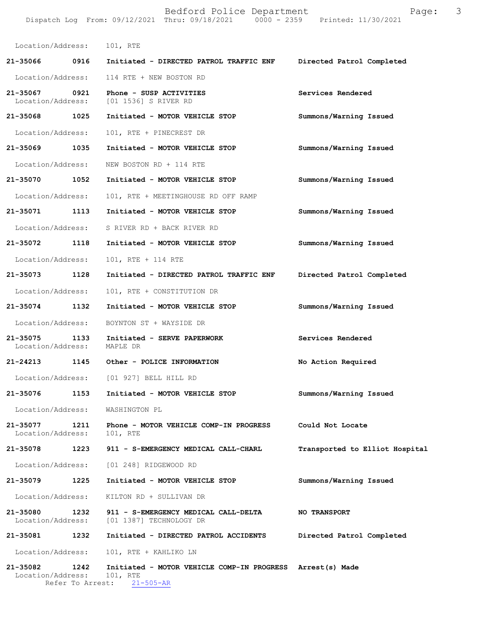|                               |      | Bedford Police Department<br>Dispatch Log From: 09/12/2021 Thru: 09/18/2021 0000 - 2359 Printed: 11/30/2021 | Page:                          | 3 |
|-------------------------------|------|-------------------------------------------------------------------------------------------------------------|--------------------------------|---|
| Location/Address: 101, RTE    |      |                                                                                                             |                                |   |
|                               |      |                                                                                                             | Directed Patrol Completed      |   |
| Location/Address:             |      | 114 RTE + NEW BOSTON RD                                                                                     |                                |   |
| 21-35067 0921                 |      | Phone - SUSP ACTIVITIES<br>Location/Address: [01 1536] S RIVER RD                                           | Services Rendered              |   |
| 21-35068 1025                 |      | Initiated - MOTOR VEHICLE STOP                                                                              | Summons/Warning Issued         |   |
| Location/Address:             |      | 101, RTE + PINECREST DR                                                                                     |                                |   |
| 21-35069 1035                 |      | Initiated - MOTOR VEHICLE STOP                                                                              | Summons/Warning Issued         |   |
| Location/Address:             |      | NEW BOSTON RD + 114 RTE                                                                                     |                                |   |
| 21-35070                      | 1052 | Initiated - MOTOR VEHICLE STOP                                                                              | Summons/Warning Issued         |   |
| Location/Address:             |      | 101, RTE + MEETINGHOUSE RD OFF RAMP                                                                         |                                |   |
| 21-35071 1113                 |      | Initiated - MOTOR VEHICLE STOP                                                                              | Summons/Warning Issued         |   |
| Location/Address:             |      | S RIVER RD + BACK RIVER RD                                                                                  |                                |   |
| 21-35072 1118                 |      | Initiated - MOTOR VEHICLE STOP                                                                              | Summons/Warning Issued         |   |
| Location/Address:             |      | 101, RTE + 114 RTE                                                                                          |                                |   |
| 21-35073                      | 1128 | Initiated - DIRECTED PATROL TRAFFIC ENF                                                                     | Directed Patrol Completed      |   |
| Location/Address:             |      | 101, RTE + CONSTITUTION DR                                                                                  |                                |   |
| 21-35074 1132                 |      | Initiated - MOTOR VEHICLE STOP                                                                              | Summons/Warning Issued         |   |
| Location/Address:             |      | BOYNTON ST + WAYSIDE DR                                                                                     |                                |   |
| 21-35075<br>Location/Address: | 1133 | Initiated - SERVE PAPERWORK<br>MAPLE DR                                                                     | Services Rendered              |   |
| 21-24213                      | 1145 | Other - POLICE INFORMATION                                                                                  | No Action Required             |   |
|                               |      | Location/Address: [01 927] BELL HILL RD                                                                     |                                |   |
| 21-35076                      | 1153 | Initiated - MOTOR VEHICLE STOP                                                                              | Summons/Warning Issued         |   |
| Location/Address:             |      | WASHINGTON PL                                                                                               |                                |   |
| 21-35077<br>Location/Address: | 1211 | Phone - MOTOR VEHICLE COMP-IN PROGRESS<br>101, RTE                                                          | Could Not Locate               |   |
| 21-35078 1223                 |      | 911 - S-EMERGENCY MEDICAL CALL-CHARL                                                                        | Transported to Elliot Hospital |   |
| Location/Address:             |      | [01 248] RIDGEWOOD RD                                                                                       |                                |   |
| 21-35079                      | 1225 | Initiated - MOTOR VEHICLE STOP                                                                              | Summons/Warning Issued         |   |
| Location/Address:             |      | KILTON RD + SULLIVAN DR                                                                                     |                                |   |
| 21-35080<br>Location/Address: | 1232 | 911 - S-EMERGENCY MEDICAL CALL-DELTA<br>[01 1387] TECHNOLOGY DR                                             | <b>NO TRANSPORT</b>            |   |
| 21-35081                      | 1232 | Initiated - DIRECTED PATROL ACCIDENTS                                                                       | Directed Patrol Completed      |   |
| Location/Address:             |      | 101, RTE + KAHLIKO LN                                                                                       |                                |   |
| 21-35082<br>Location/Address: | 1242 | Initiated - MOTOR VEHICLE COMP-IN PROGRESS Arrest(s) Made<br>101, RTE                                       |                                |   |

Refer To Arrest: 21-505-AR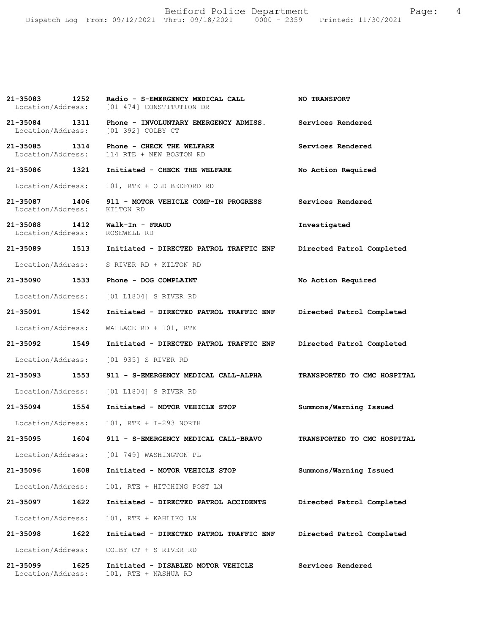Bedford Police Department Fage: 4 Dispatch Log From: 09/12/2021 Thru: 09/18/2021 0000 - 2359 Printed: 11/30/2021

| 21-35083 1252                         | Radio - S-EMERGENCY MEDICAL CALL<br>Location/Address: [01 474] CONSTITUTION DR                            | <b>NO TRANSPORT</b>         |
|---------------------------------------|-----------------------------------------------------------------------------------------------------------|-----------------------------|
|                                       | 21-35084 1311 Phone - INVOLUNTARY EMERGENCY ADMISS. Services Rendered Location/Address: [01 392] COLBY CT |                             |
| 21-35085 1314                         | Phone - CHECK THE WELFARE<br>Location/Address: 114 RTE + NEW BOSTON RD                                    | Services Rendered           |
| 21-35086 1321                         | Initiated - CHECK THE WELFARE                                                                             | No Action Required          |
| Location/Address:                     | 101, RTE + OLD BEDFORD RD                                                                                 |                             |
| Location/Address: KILTON RD           | 21-35087 1406 911 - MOTOR VEHICLE COMP-IN PROGRESS Services Rendered                                      |                             |
| Location/Address: ROSEWELL RD         |                                                                                                           | Investigated                |
|                                       | 21-35089  1513  Initiated - DIRECTED PATROL TRAFFIC ENF                                                   | Directed Patrol Completed   |
|                                       | Location/Address: S RIVER RD + KILTON RD                                                                  |                             |
| 21-35090 1533                         | Phone - DOG COMPLAINT                                                                                     | No Action Required          |
|                                       | Location/Address: [01 L1804] S RIVER RD                                                                   |                             |
| 21-35091 1542                         | Initiated - DIRECTED PATROL TRAFFIC ENF                                                                   | Directed Patrol Completed   |
| Location/Address:                     | WALLACE RD + 101, RTE                                                                                     |                             |
| 21-35092 1549                         | Initiated - DIRECTED PATROL TRAFFIC ENF Directed Patrol Completed                                         |                             |
|                                       | Location/Address: [01 935] S RIVER RD                                                                     |                             |
|                                       | 21-35093    1553  911 - S-EMERGENCY MEDICAL CALL-ALPHA     TRANSPORTED TO CMC HOSPITAL                    |                             |
|                                       | Location/Address: [01 L1804] S RIVER RD                                                                   |                             |
| 21-35094 1554                         | Initiated - MOTOR VEHICLE STOP                                                                            | Summons/Warning Issued      |
|                                       | Location/Address: 101, RTE + I-293 NORTH                                                                  |                             |
|                                       | 21-35095 1604 911 - S-EMERGENCY MEDICAL CALL-BRAVO                                                        | TRANSPORTED TO CMC HOSPITAL |
| Location/Address:                     | [01 749] WASHINGTON PL                                                                                    |                             |
| 21-35096<br>1608                      | Initiated - MOTOR VEHICLE STOP                                                                            | Summons/Warning Issued      |
| Location/Address:                     | 101, RTE + HITCHING POST LN                                                                               |                             |
| 21-35097<br>1622                      | Initiated - DIRECTED PATROL ACCIDENTS                                                                     | Directed Patrol Completed   |
| Location/Address:                     | 101, RTE + KAHLIKO LN                                                                                     |                             |
| 1622<br>21-35098                      | Initiated - DIRECTED PATROL TRAFFIC ENF                                                                   | Directed Patrol Completed   |
| Location/Address:                     | COLBY CT + S RIVER RD                                                                                     |                             |
| 21-35099<br>1625<br>Location/Address: | Initiated - DISABLED MOTOR VEHICLE<br>101, RTE + NASHUA RD                                                | Services Rendered           |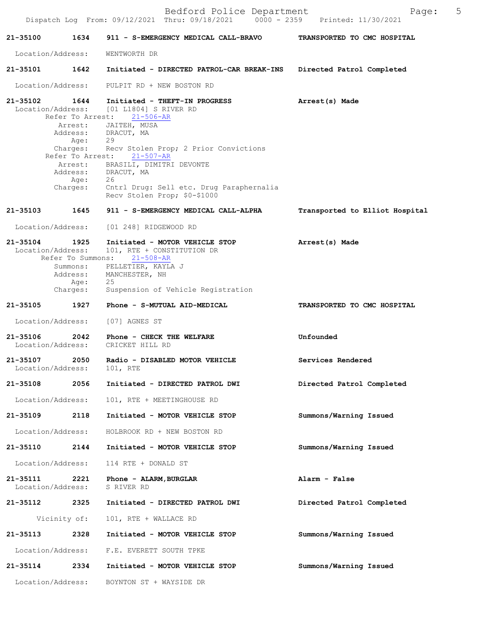| 21-35100                          | 1634                         | 911 - S-EMERGENCY MEDICAL CALL-BRAVO                                                 | TRANSPORTED TO CMC HOSPITAL    |
|-----------------------------------|------------------------------|--------------------------------------------------------------------------------------|--------------------------------|
| Location/Address:                 |                              | WENTWORTH DR                                                                         |                                |
| 21-35101                          | 1642                         | Initiated - DIRECTED PATROL-CAR BREAK-INS                                            | Directed Patrol Completed      |
| Location/Address:                 |                              | PULPIT RD + NEW BOSTON RD                                                            |                                |
| $21 - 35102$<br>Location/Address: | 1644                         | Initiated - THEFT-IN PROGRESS<br>[01 L1804] S RIVER RD<br>Refer To Arrest: 21-506-AR | Arrest(s) Made                 |
|                                   | Age:                         | Arrest: JAITEH, MUSA<br>Address: DRACUT, MA<br>29                                    |                                |
|                                   | Charges:<br>Refer To Arrest: | Recv Stolen Prop; 2 Prior Convictions<br>21-507-AR                                   |                                |
|                                   | Age:                         | Arrest: BRASILI, DIMITRI DEVONTE<br>Address: DRACUT, MA<br>26                        |                                |
|                                   | Charges:                     | Cntrl Drug: Sell etc. Drug Paraphernalia<br>Recv Stolen Prop; \$0-\$1000             |                                |
| 21-35103                          | 1645                         | 911 - S-EMERGENCY MEDICAL CALL-ALPHA                                                 | Transported to Elliot Hospital |
| Location/Address:                 |                              | [01 248] RIDGEWOOD RD                                                                |                                |
| 21-35104<br>Location/Address:     | 1925<br>Refer To Summons:    | Initiated - MOTOR VEHICLE STOP<br>101, RTE + CONSTITUTION DR<br>$21 - 508 - AR$      | Arrest(s) Made                 |
|                                   | Address:                     | Summons: PELLETIER, KAYLA J<br>MANCHESTER, NH                                        |                                |
|                                   | Age:<br>Charges:             | 25<br>Suspension of Vehicle Registration                                             |                                |
| 21-35105                          | 1927                         | Phone - S-MUTUAL AID-MEDICAL                                                         | TRANSPORTED TO CMC HOSPITAL    |
| Location/Address:                 |                              | [07] AGNES ST                                                                        |                                |
| 21-35106<br>Location/Address:     | 2042                         | Phone - CHECK THE WELFARE<br>CRICKET HILL RD                                         | Unfounded                      |
| 21-35107<br>Location/Address:     | 2050                         | Radio - DISABLED MOTOR VEHICLE<br>101, RTE                                           | Services Rendered              |
| 21-35108                          | 2056                         | Initiated - DIRECTED PATROL DWI                                                      | Directed Patrol Completed      |
| Location/Address:                 |                              | 101, RTE + MEETINGHOUSE RD                                                           |                                |
| 21-35109                          | 2118                         | Initiated - MOTOR VEHICLE STOP                                                       | Summons/Warning Issued         |
| Location/Address:                 |                              | HOLBROOK RD + NEW BOSTON RD                                                          |                                |
| 21-35110 2144                     |                              | Initiated - MOTOR VEHICLE STOP                                                       | Summons/Warning Issued         |
| Location/Address:                 |                              | 114 RTE + DONALD ST                                                                  |                                |
| 21-35111<br>Location/Address:     | 2221                         | Phone - ALARM, BURGLAR<br>S RIVER RD                                                 | Alarm - False                  |
| 21-35112                          | 2325                         | Initiated - DIRECTED PATROL DWI                                                      | Directed Patrol Completed      |
|                                   | Vicinity of:                 | 101, RTE + WALLACE RD                                                                |                                |
| 21-35113                          | 2328                         | Initiated - MOTOR VEHICLE STOP                                                       | Summons/Warning Issued         |
| Location/Address:                 |                              | F.E. EVERETT SOUTH TPKE                                                              |                                |
| 21-35114                          | 2334                         | Initiated - MOTOR VEHICLE STOP                                                       | Summons/Warning Issued         |
| Location/Address:                 |                              | BOYNTON ST + WAYSIDE DR                                                              |                                |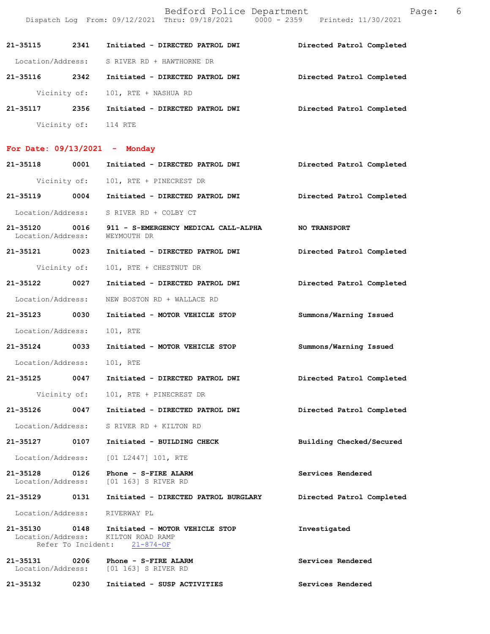|                          |              |                                             | Bedford Police Department<br>Dispatch Log From: 09/12/2021 Thru: 09/18/2021 0000 - 2359 Printed: 11/30/2021 |                           | Page: | 6 |
|--------------------------|--------------|---------------------------------------------|-------------------------------------------------------------------------------------------------------------|---------------------------|-------|---|
| 21-35115                 | 2341         |                                             | Initiated - DIRECTED PATROL DWI                                                                             | Directed Patrol Completed |       |   |
|                          |              | Location/Address: S RIVER RD + HAWTHORNE DR |                                                                                                             |                           |       |   |
| 21-35116                 | 2342         |                                             | Initiated - DIRECTED PATROL DWI                                                                             | Directed Patrol Completed |       |   |
|                          |              | Vicinity of: 101, RTE + NASHUA RD           |                                                                                                             |                           |       |   |
| 21-35117                 | 2356         |                                             | Initiated - DIRECTED PATROL DWI                                                                             | Directed Patrol Completed |       |   |
|                          | Vicinity of: | 114 RTE                                     |                                                                                                             |                           |       |   |
| For Date: $09/13/2021 -$ |              | Monday                                      |                                                                                                             |                           |       |   |

| 21-35118                           | 0001         | Initiated - DIRECTED PATROL DWI                                                    | Directed Patrol Completed |
|------------------------------------|--------------|------------------------------------------------------------------------------------|---------------------------|
|                                    |              | Vicinity of: 101, RTE + PINECREST DR                                               |                           |
| 21-35119 0004                      |              | Initiated - DIRECTED PATROL DWI                                                    | Directed Patrol Completed |
| Location/Address:                  |              | S RIVER RD + COLBY CT                                                              |                           |
| 21-35120 0016<br>Location/Address: |              | 911 - S-EMERGENCY MEDICAL CALL-ALPHA<br>WEYMOUTH DR                                | <b>NO TRANSPORT</b>       |
|                                    |              | 21-35121 0023 Initiated - DIRECTED PATROL DWI                                      | Directed Patrol Completed |
|                                    | Vicinity of: | 101, RTE + CHESTNUT DR                                                             |                           |
| 21-35122 0027                      |              | Initiated - DIRECTED PATROL DWI                                                    | Directed Patrol Completed |
| Location/Address:                  |              | NEW BOSTON RD + WALLACE RD                                                         |                           |
| 21-35123 0030                      |              | Initiated - MOTOR VEHICLE STOP                                                     | Summons/Warning Issued    |
| Location/Address:                  |              | 101, RTE                                                                           |                           |
| 21-35124 0033                      |              | Initiated - MOTOR VEHICLE STOP                                                     | Summons/Warning Issued    |
| Location/Address:                  |              | 101, RTE                                                                           |                           |
| 21-35125 0047                      |              | Initiated - DIRECTED PATROL DWI                                                    | Directed Patrol Completed |
|                                    | Vicinity of: | 101, RTE + PINECREST DR                                                            |                           |
| 21-35126 0047                      |              | Initiated - DIRECTED PATROL DWI                                                    | Directed Patrol Completed |
| Location/Address:                  |              | S RIVER RD + KILTON RD                                                             |                           |
| 21-35127 0107                      |              | Initiated - BUILDING CHECK                                                         | Building Checked/Secured  |
|                                    |              | Location/Address: [01 L2447] 101, RTE                                              |                           |
| 21-35128 0126                      |              | Phone - S-FIRE ALARM<br>Location/Address: [01 163] S RIVER RD                      | Services Rendered         |
|                                    |              | 21-35129 0131 Initiated - DIRECTED PATROL BURGLARY                                 | Directed Patrol Completed |
|                                    |              | Location/Address: RIVERWAY PL                                                      |                           |
| 21-35130<br>Location/Address:      | 0148         | Initiated - MOTOR VEHICLE STOP<br>KILTON ROAD RAMP<br>Refer To Incident: 21-874-OF | Investigated              |
| 21-35131<br>Location/Address:      | 0206         | Phone - S-FIRE ALARM<br>[01 163] S RIVER RD                                        | Services Rendered         |
| 21-35132                           | 0230         | Initiated - SUSP ACTIVITIES                                                        | Services Rendered         |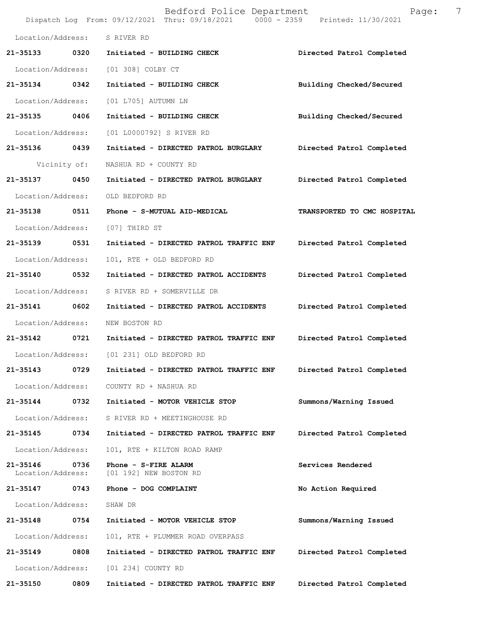|                               |      | Bedford Police Department<br>Dispatch Log From: 09/12/2021 Thru: 09/18/2021 0000 - 2359 Printed: 11/30/2021 | 7<br>Page:                  |
|-------------------------------|------|-------------------------------------------------------------------------------------------------------------|-----------------------------|
| Location/Address:             |      | S RIVER RD                                                                                                  |                             |
| 21-35133                      | 0320 | Initiated - BUILDING CHECK                                                                                  | Directed Patrol Completed   |
| Location/Address:             |      | [01 308] COLBY CT                                                                                           |                             |
| 21-35134 0342                 |      | Initiated - BUILDING CHECK                                                                                  | Building Checked/Secured    |
| Location/Address:             |      | [01 L705] AUTUMN LN                                                                                         |                             |
| 21-35135 0406                 |      | Initiated - BUILDING CHECK                                                                                  | Building Checked/Secured    |
| Location/Address:             |      | [01 L0000792] S RIVER RD                                                                                    |                             |
| 21-35136 0439                 |      | Initiated - DIRECTED PATROL BURGLARY                                                                        | Directed Patrol Completed   |
| Vicinity of:                  |      | NASHUA RD + COUNTY RD                                                                                       |                             |
| 21-35137                      | 0450 | Initiated - DIRECTED PATROL BURGLARY                                                                        | Directed Patrol Completed   |
| Location/Address:             |      | OLD BEDFORD RD                                                                                              |                             |
| 21-35138 0511                 |      | Phone - S-MUTUAL AID-MEDICAL                                                                                | TRANSPORTED TO CMC HOSPITAL |
| Location/Address:             |      | [07] THIRD ST                                                                                               |                             |
| 21-35139                      | 0531 | Initiated - DIRECTED PATROL TRAFFIC ENF                                                                     | Directed Patrol Completed   |
| Location/Address:             |      | 101, RTE + OLD BEDFORD RD                                                                                   |                             |
| 21-35140                      | 0532 | Initiated - DIRECTED PATROL ACCIDENTS                                                                       | Directed Patrol Completed   |
| Location/Address:             |      | S RIVER RD + SOMERVILLE DR                                                                                  |                             |
| 21-35141 0602                 |      | Initiated - DIRECTED PATROL ACCIDENTS                                                                       | Directed Patrol Completed   |
| Location/Address:             |      | NEW BOSTON RD                                                                                               |                             |
| $21 - 35142$                  | 0721 | Initiated - DIRECTED PATROL TRAFFIC ENF                                                                     | Directed Patrol Completed   |
|                               |      | Location/Address: [01 231] OLD BEDFORD RD                                                                   |                             |
| 21-35143                      | 0729 | Initiated - DIRECTED PATROL TRAFFIC ENF                                                                     | Directed Patrol Completed   |
| Location/Address:             |      | COUNTY RD + NASHUA RD                                                                                       |                             |
| 21-35144                      | 0732 | Initiated - MOTOR VEHICLE STOP                                                                              | Summons/Warning Issued      |
| Location/Address:             |      | S RIVER RD + MEETINGHOUSE RD                                                                                |                             |
| 21-35145                      | 0734 | Initiated - DIRECTED PATROL TRAFFIC ENF                                                                     | Directed Patrol Completed   |
| Location/Address:             |      | 101, RTE + KILTON ROAD RAMP                                                                                 |                             |
| 21-35146<br>Location/Address: | 0736 | Phone - S-FIRE ALARM<br>[01 192] NEW BOSTON RD                                                              | Services Rendered           |
| 21-35147                      | 0743 | Phone - DOG COMPLAINT                                                                                       | No Action Required          |
| Location/Address:             |      | SHAW DR                                                                                                     |                             |
| 21-35148                      | 0754 | Initiated - MOTOR VEHICLE STOP                                                                              | Summons/Warning Issued      |
| Location/Address:             |      | 101, RTE + PLUMMER ROAD OVERPASS                                                                            |                             |
| 21-35149                      | 0808 | Initiated - DIRECTED PATROL TRAFFIC ENF                                                                     | Directed Patrol Completed   |
| Location/Address:             |      | [01 234] COUNTY RD                                                                                          |                             |
| 21-35150                      | 0809 | Initiated - DIRECTED PATROL TRAFFIC ENF                                                                     | Directed Patrol Completed   |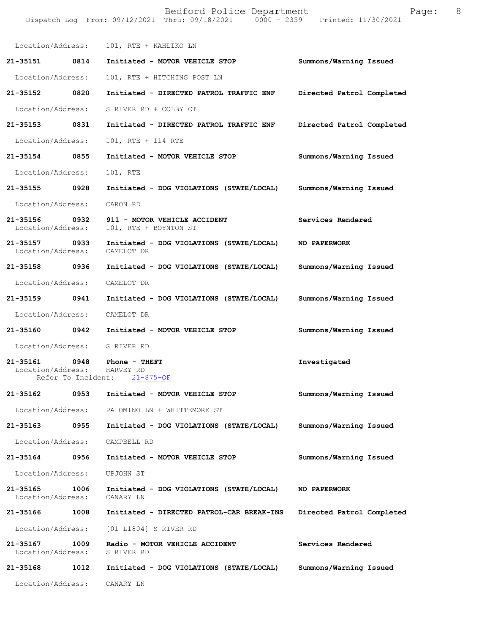|                                                                                  | Dispatch Log From: 09/12/2021 Thru: 09/18/2021 0000 - 2359 Printed: 11/30/2021         |                           |
|----------------------------------------------------------------------------------|----------------------------------------------------------------------------------------|---------------------------|
|                                                                                  | Location/Address: 101, RTE + KAHLIKO LN                                                |                           |
| 21-35151 0814                                                                    | Initiated - MOTOR VEHICLE STOP Summons/Warning Issued                                  |                           |
| Location/Address:                                                                | 101, RTE + HITCHING POST LN                                                            |                           |
| 21-35152 0820                                                                    | Initiated - DIRECTED PATROL TRAFFIC ENF                                                | Directed Patrol Completed |
| Location/Address:                                                                | S RIVER RD + COLBY CT                                                                  |                           |
| 21-35153 0831                                                                    | Initiated - DIRECTED PATROL TRAFFIC ENF                                                | Directed Patrol Completed |
| Location/Address:                                                                | 101, RTE + 114 RTE                                                                     |                           |
| 21-35154 0855                                                                    | Initiated - MOTOR VEHICLE STOP                                                         | Summons/Warning Issued    |
| Location/Address:                                                                | 101, RTE                                                                               |                           |
| 21-35155 0928                                                                    | Initiated - DOG VIOLATIONS (STATE/LOCAL)                                               | Summons/Warning Issued    |
| Location/Address:                                                                | CARON RD                                                                               |                           |
| 21-35156 0932<br>Location/Address:                                               | 911 - MOTOR VEHICLE ACCIDENT<br>101, RTE + BOYNTON ST                                  | Services Rendered         |
|                                                                                  | 21-35157 0933 Initiated - DOG VIOLATIONS (STATE/LOCAL)<br>Location/Address: CAMELOT DR | <b>NO PAPERWORK</b>       |
| 21-35158 0936                                                                    | Initiated - DOG VIOLATIONS (STATE/LOCAL)                                               | Summons/Warning Issued    |
| Location/Address:                                                                | CAMELOT DR                                                                             |                           |
| 21-35159 0941                                                                    | Initiated - DOG VIOLATIONS (STATE/LOCAL)                                               | Summons/Warning Issued    |
| Location/Address:                                                                | CAMELOT DR                                                                             |                           |
| 21-35160 0942                                                                    | Initiated - MOTOR VEHICLE STOP                                                         | Summons/Warning Issued    |
| Location/Address: S RIVER RD                                                     |                                                                                        |                           |
| 21-35161 0948 Phone - THEFT<br>Location/Address: HARVEY RD<br>Refer To Incident: | $21 - 875 - OF$                                                                        | Investigated              |
| 21-35162 0953                                                                    | Initiated - MOTOR VEHICLE STOP                                                         | Summons/Warning Issued    |
|                                                                                  | Location/Address: PALOMINO LN + WHITTEMORE ST                                          |                           |
| 21-35163 0955                                                                    | Initiated - DOG VIOLATIONS (STATE/LOCAL)                                               | Summons/Warning Issued    |
| Location/Address: CAMPBELL RD                                                    |                                                                                        |                           |
| 21-35164 0956                                                                    | Initiated - MOTOR VEHICLE STOP                                                         | Summons/Warning Issued    |
| Location/Address:                                                                | UPJOHN ST                                                                              |                           |
| 21-35165<br>1006<br>Location/Address:                                            | Initiated - DOG VIOLATIONS (STATE/LOCAL)<br>CANARY LN                                  | NO PAPERWORK              |
| 21-35166<br>1008                                                                 | Initiated - DIRECTED PATROL-CAR BREAK-INS                                              | Directed Patrol Completed |
|                                                                                  | Location/Address: [01 L1804] S RIVER RD                                                |                           |
| 21-35167 1009<br>Location/Address:                                               | Radio - MOTOR VEHICLE ACCIDENT<br>S RIVER RD                                           | Services Rendered         |
| 21-35168                                                                         | 1012 Initiated - DOG VIOLATIONS (STATE/LOCAL)                                          | Summons/Warning Issued    |
| Location/Address:                                                                | CANARY LN                                                                              |                           |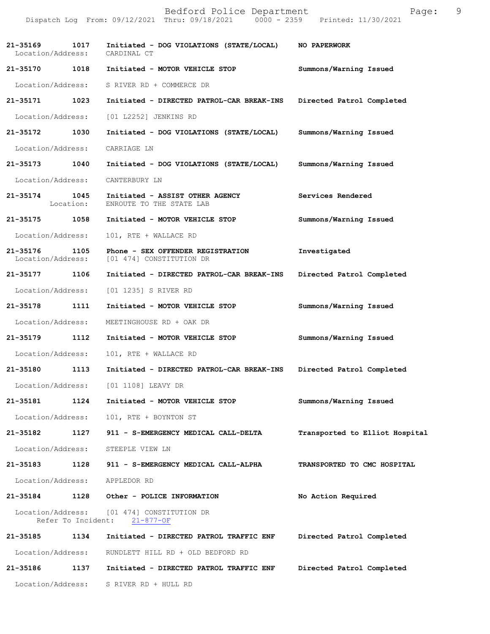|                               |                    | Bedford Police Department<br>Dispatch Log From: 09/12/2021 Thru: 09/18/2021 0000 - 2359 Printed: 11/30/2021 | Page:                          | 9 |
|-------------------------------|--------------------|-------------------------------------------------------------------------------------------------------------|--------------------------------|---|
| Location/Address: CARDINAL CT |                    | 21-35169 1017 Initiated - DOG VIOLATIONS (STATE/LOCAL) NO PAPERWORK                                         |                                |   |
| 21-35170 1018                 |                    | Initiated - MOTOR VEHICLE STOP                                                                              | Summons/Warning Issued         |   |
| Location/Address:             |                    | S RIVER RD + COMMERCE DR                                                                                    |                                |   |
| 21-35171 1023                 |                    | Initiated - DIRECTED PATROL-CAR BREAK-INS                                                                   | Directed Patrol Completed      |   |
| Location/Address:             |                    | [01 L2252] JENKINS RD                                                                                       |                                |   |
| 21-35172 1030                 |                    | Initiated - DOG VIOLATIONS (STATE/LOCAL)                                                                    | Summons/Warning Issued         |   |
| Location/Address:             |                    | CARRIAGE LN                                                                                                 |                                |   |
| 21-35173 1040                 |                    | Initiated - DOG VIOLATIONS (STATE/LOCAL)                                                                    | Summons/Warning Issued         |   |
| Location/Address:             |                    | CANTERBURY LN                                                                                               |                                |   |
| 21-35174 1045                 | Location:          | Initiated - ASSIST OTHER AGENCY<br>ENROUTE TO THE STATE LAB                                                 | Services Rendered              |   |
| 21-35175 1058                 |                    | Initiated - MOTOR VEHICLE STOP                                                                              | Summons/Warning Issued         |   |
| Location/Address:             |                    | 101, RTE + WALLACE RD                                                                                       |                                |   |
|                               |                    | 21-35176 1105 Phone - SEX OFFENDER REGISTRATION<br>Location/Address: [01 474] CONSTITUTION DR               | Investigated                   |   |
| 21-35177 1106                 |                    | Initiated - DIRECTED PATROL-CAR BREAK-INS                                                                   | Directed Patrol Completed      |   |
| Location/Address:             |                    | [01 1235] S RIVER RD                                                                                        |                                |   |
| 21-35178 1111                 |                    | Initiated - MOTOR VEHICLE STOP                                                                              | Summons/Warning Issued         |   |
| Location/Address:             |                    | MEETINGHOUSE RD + OAK DR                                                                                    |                                |   |
| 21-35179 1112                 |                    | Initiated - MOTOR VEHICLE STOP                                                                              | Summons/Warning Issued         |   |
| Location/Address:             |                    | 101, RTE + WALLACE RD                                                                                       |                                |   |
| 21-35180                      | 1113               | Initiated - DIRECTED PATROL-CAR BREAK-INS                                                                   | Directed Patrol Completed      |   |
| Location/Address:             |                    | [01 1108] LEAVY DR                                                                                          |                                |   |
| 21-35181                      | 1124               | Initiated - MOTOR VEHICLE STOP                                                                              | Summons/Warning Issued         |   |
| Location/Address:             |                    | 101, RTE + BOYNTON ST                                                                                       |                                |   |
| 21-35182                      | 1127               | 911 - S-EMERGENCY MEDICAL CALL-DELTA                                                                        | Transported to Elliot Hospital |   |
| Location/Address:             |                    | STEEPLE VIEW LN                                                                                             |                                |   |
| 21-35183                      | 1128               | 911 - S-EMERGENCY MEDICAL CALL-ALPHA                                                                        | TRANSPORTED TO CMC HOSPITAL    |   |
| Location/Address:             |                    | APPLEDOR RD                                                                                                 |                                |   |
| 21-35184                      | 1128               | Other - POLICE INFORMATION                                                                                  | No Action Required             |   |
| Location/Address:             | Refer To Incident: | [01 474] CONSTITUTION DR<br>$21 - 877 - OF$                                                                 |                                |   |
| 21-35185                      | 1134               | Initiated - DIRECTED PATROL TRAFFIC ENF                                                                     | Directed Patrol Completed      |   |
| Location/Address:             |                    | RUNDLETT HILL RD + OLD BEDFORD RD                                                                           |                                |   |
| 21-35186                      | 1137               | Initiated - DIRECTED PATROL TRAFFIC ENF                                                                     | Directed Patrol Completed      |   |
| Location/Address:             |                    | S RIVER RD + HULL RD                                                                                        |                                |   |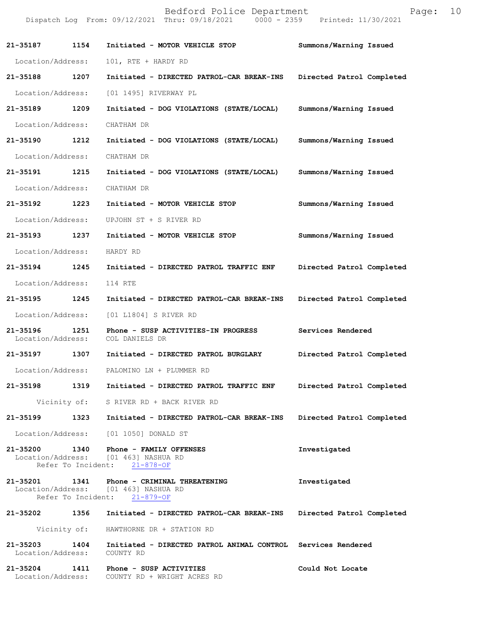|                               |      | Dispatch Log From: 09/12/2021 Thru: 09/18/2021 0000 - 2359 Printed: 11/30/2021                                     |                           |
|-------------------------------|------|--------------------------------------------------------------------------------------------------------------------|---------------------------|
| 21-35187 1154                 |      | Initiated - MOTOR VEHICLE STOP                                                                                     | Summons/Warning Issued    |
| Location/Address:             |      | 101, RTE + HARDY RD                                                                                                |                           |
| 21-35188                      | 1207 | Initiated - DIRECTED PATROL-CAR BREAK-INS                                                                          | Directed Patrol Completed |
| Location/Address:             |      | [01 1495] RIVERWAY PL                                                                                              |                           |
| 21-35189 1209                 |      | Initiated - DOG VIOLATIONS (STATE/LOCAL)                                                                           | Summons/Warning Issued    |
| Location/Address:             |      | CHATHAM DR                                                                                                         |                           |
| 21-35190 1212                 |      | Initiated - DOG VIOLATIONS (STATE/LOCAL)                                                                           | Summons/Warning Issued    |
| Location/Address:             |      | CHATHAM DR                                                                                                         |                           |
| 21-35191 1215                 |      | Initiated - DOG VIOLATIONS (STATE/LOCAL)                                                                           | Summons/Warning Issued    |
| Location/Address:             |      | CHATHAM DR                                                                                                         |                           |
| 21-35192 1223                 |      | Initiated - MOTOR VEHICLE STOP                                                                                     | Summons/Warning Issued    |
| Location/Address:             |      | UPJOHN ST + S RIVER RD                                                                                             |                           |
| 21-35193 1237                 |      | Initiated - MOTOR VEHICLE STOP                                                                                     | Summons/Warning Issued    |
| Location/Address:             |      | HARDY RD                                                                                                           |                           |
| 21-35194 1245                 |      | Initiated - DIRECTED PATROL TRAFFIC ENF                                                                            | Directed Patrol Completed |
| Location/Address:             |      | 114 RTE                                                                                                            |                           |
| 21-35195 1245                 |      | Initiated - DIRECTED PATROL-CAR BREAK-INS                                                                          | Directed Patrol Completed |
| Location/Address:             |      | [01 L1804] S RIVER RD                                                                                              |                           |
| 21-35196<br>Location/Address: | 1251 | Phone - SUSP ACTIVITIES-IN PROGRESS<br>COL DANIELS DR                                                              | Services Rendered         |
| 21-35197 1307                 |      | Initiated - DIRECTED PATROL BURGLARY                                                                               | Directed Patrol Completed |
|                               |      | Location/Address: PALOMINO LN + PLUMMER RD                                                                         |                           |
|                               |      | 21-35198 1319 Initiated - DIRECTED PATROL TRAFFIC ENF Directed Patrol Completed                                    |                           |
|                               |      | Vicinity of: S RIVER RD + BACK RIVER RD                                                                            |                           |
|                               |      | 21-35199 1323 Initiated - DIRECTED PATROL-CAR BREAK-INS                                                            | Directed Patrol Completed |
|                               |      | Location/Address: [01 1050] DONALD ST                                                                              |                           |
| Refer To Incident:            |      | 21-35200 1340 Phone - FAMILY OFFENSES<br>Location/Address: [01 463] NASHUA RD<br>$21 - 878 - OF$                   | Investigated              |
|                               |      | 21-35201 1341 Phone - CRIMINAL THREATENING<br>Location/Address: [01 463] NASHUA RD<br>Refer To Incident: 21-879-OF | Investigated              |
|                               |      | 21-35202 1356 Initiated - DIRECTED PATROL-CAR BREAK-INS Directed Patrol Completed                                  |                           |
|                               |      | Vicinity of: HAWTHORNE DR + STATION RD                                                                             |                           |
| Location/Address: COUNTY RD   |      | 21-35203 1404 Initiated - DIRECTED PATROL ANIMAL CONTROL Services Rendered                                         |                           |
|                               |      | 21-35204 1411 Phone - SUSP ACTIVITIES<br>Location/Address: COUNTY RD + WRIGHT ACRES RD                             | Could Not Locate          |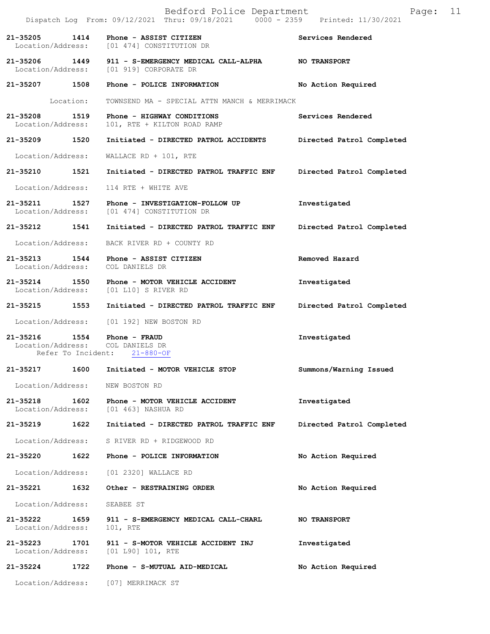|                                    |                    | Bedford Police Department<br>Dispatch Log From: 09/12/2021 Thru: 09/18/2021 0000 - 2359 Printed: 11/30/2021 | 11<br>Page:               |
|------------------------------------|--------------------|-------------------------------------------------------------------------------------------------------------|---------------------------|
| 21-35205                           |                    | 1414 Phone - ASSIST CITIZEN<br>Location/Address: [01 474] CONSTITUTION DR                                   | Services Rendered         |
|                                    |                    | 21-35206 1449 911 - S-EMERGENCY MEDICAL CALL-ALPHA<br>Location/Address: [01 919] CORPORATE DR               | <b>NO TRANSPORT</b>       |
| 21-35207 1508                      |                    | Phone - POLICE INFORMATION                                                                                  | No Action Required        |
|                                    | Location:          | TOWNSEND MA - SPECIAL ATTN MANCH & MERRIMACK                                                                |                           |
| 21-35208<br>Location/Address:      | 1519               | Phone - HIGHWAY CONDITIONS<br>101, RTE + KILTON ROAD RAMP                                                   | Services Rendered         |
| 21-35209 1520                      |                    | Initiated - DIRECTED PATROL ACCIDENTS Directed Patrol Completed                                             |                           |
| Location/Address:                  |                    | WALLACE RD + 101, RTE                                                                                       |                           |
| 21-35210                           | 1521               | Initiated - DIRECTED PATROL TRAFFIC ENF                                                                     | Directed Patrol Completed |
| Location/Address:                  |                    | 114 RTE + WHITE AVE                                                                                         |                           |
|                                    |                    | 21-35211 1527 Phone - INVESTIGATION-FOLLOW UP<br>Location/Address: [01 474] CONSTITUTION DR                 | Investigated              |
|                                    |                    | 21-35212 1541 Initiated - DIRECTED PATROL TRAFFIC ENF                                                       | Directed Patrol Completed |
| Location/Address:                  |                    | BACK RIVER RD + COUNTY RD                                                                                   |                           |
| 21-35213 1544<br>Location/Address: |                    | Phone - ASSIST CITIZEN<br>COL DANIELS DR                                                                    | Removed Hazard            |
|                                    |                    | 21-35214 1550 Phone - MOTOR VEHICLE ACCIDENT<br>Location/Address: [01 L10] S RIVER RD                       | Investigated              |
| 21-35215                           | 1553               | Initiated - DIRECTED PATROL TRAFFIC ENF                                                                     | Directed Patrol Completed |
|                                    |                    | Location/Address: [01 192] NEW BOSTON RD                                                                    |                           |
|                                    | Refer To Incident: | 21-35216   1554   Phone - FRAUD<br>Location/Address: COL DANIELS DR<br>$21 - 880 - OF$                      | Investigated              |
| 21-35217                           | 1600               | Initiated - MOTOR VEHICLE STOP                                                                              | Summons/Warning Issued    |
| Location/Address:                  |                    | NEW BOSTON RD                                                                                               |                           |
| 21-35218<br>Location/Address:      | 1602               | Phone - MOTOR VEHICLE ACCIDENT<br>[01 463] NASHUA RD                                                        | Investigated              |
| 21-35219                           | 1622               | Initiated - DIRECTED PATROL TRAFFIC ENF                                                                     | Directed Patrol Completed |
| Location/Address:                  |                    | S RIVER RD + RIDGEWOOD RD                                                                                   |                           |
| 21-35220                           | 1622               | Phone - POLICE INFORMATION                                                                                  | No Action Required        |
| Location/Address:                  |                    | [01 2320] WALLACE RD                                                                                        |                           |
| 21-35221                           | 1632               | Other - RESTRAINING ORDER                                                                                   | No Action Required        |
| Location/Address:                  |                    | SEABEE ST                                                                                                   |                           |
| 21-35222<br>Location/Address:      | 1659               | 911 - S-EMERGENCY MEDICAL CALL-CHARL<br>101, RTE                                                            | <b>NO TRANSPORT</b>       |
| 21-35223<br>Location/Address:      | 1701               | 911 - S-MOTOR VEHICLE ACCIDENT INJ<br>[01 L90] 101, RTE                                                     | Investigated              |
| 21-35224                           | 1722               | Phone - S-MUTUAL AID-MEDICAL                                                                                | No Action Required        |
| Location/Address:                  |                    | [07] MERRIMACK ST                                                                                           |                           |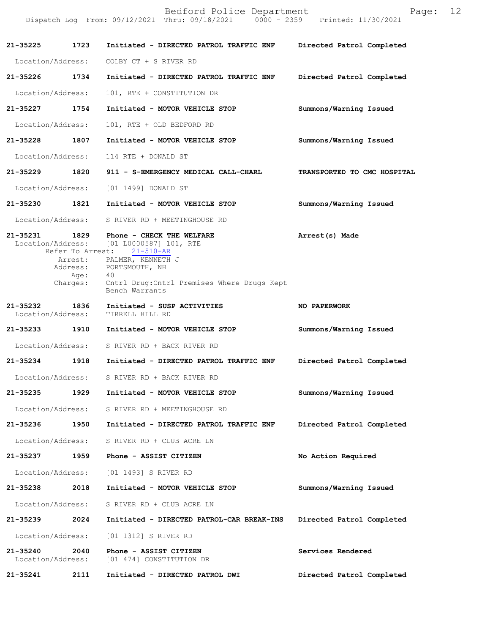|                                    |                  | Bedford Police Department<br>Dispatch Log From: 09/12/2021 Thru: 09/18/2021 0000 - 2359 Printed: 11/30/2021 | Page:                       | 12 |
|------------------------------------|------------------|-------------------------------------------------------------------------------------------------------------|-----------------------------|----|
| 21-35225 1723                      |                  | Initiated - DIRECTED PATROL TRAFFIC ENF                                                                     | Directed Patrol Completed   |    |
| Location/Address:                  |                  | COLBY CT + S RIVER RD                                                                                       |                             |    |
| 21-35226 1734                      |                  | Initiated - DIRECTED PATROL TRAFFIC ENF                                                                     | Directed Patrol Completed   |    |
| Location/Address:                  |                  | 101, RTE + CONSTITUTION DR                                                                                  |                             |    |
| 21-35227 1754                      |                  | Initiated - MOTOR VEHICLE STOP                                                                              | Summons/Warning Issued      |    |
| Location/Address:                  |                  | 101, RTE + OLD BEDFORD RD                                                                                   |                             |    |
| 21-35228                           | 1807             | Initiated - MOTOR VEHICLE STOP                                                                              | Summons/Warning Issued      |    |
| Location/Address:                  |                  | 114 RTE + DONALD ST                                                                                         |                             |    |
| 21-35229                           | 1820             | 911 - S-EMERGENCY MEDICAL CALL-CHARL                                                                        | TRANSPORTED TO CMC HOSPITAL |    |
| Location/Address:                  |                  | [01 1499] DONALD ST                                                                                         |                             |    |
| 21-35230 1821                      |                  | Initiated - MOTOR VEHICLE STOP                                                                              | Summons/Warning Issued      |    |
|                                    |                  | Location/Address: S RIVER RD + MEETINGHOUSE RD                                                              |                             |    |
| 21-35231<br>Location/Address:      | 1829             | Phone - CHECK THE WELFARE<br>[01 L0000587] 101, RTE<br>Refer To Arrest: 21-510-AR                           | Arrest(s) Made              |    |
|                                    |                  | Arrest: PALMER, KENNETH J<br>Address: PORTSMOUTH, NH                                                        |                             |    |
|                                    | Age:<br>Charges: | 40<br>Cntrl Drug: Cntrl Premises Where Drugs Kept                                                           |                             |    |
|                                    |                  | Bench Warrants                                                                                              |                             |    |
| 21-35232 1836<br>Location/Address: |                  | Initiated - SUSP ACTIVITIES<br>TIRRELL HILL RD                                                              | NO PAPERWORK                |    |
| 21-35233 1910                      |                  | Initiated - MOTOR VEHICLE STOP                                                                              | Summons/Warning Issued      |    |
| Location/Address:                  |                  | S RIVER RD + BACK RIVER RD                                                                                  |                             |    |
| 21-35234                           | 1918             | Initiated - DIRECTED PATROL TRAFFIC ENF                                                                     | Directed Patrol Completed   |    |
|                                    |                  | Location/Address: S RIVER RD + BACK RIVER RD                                                                |                             |    |
| 21-35235                           | 1929             | Initiated - MOTOR VEHICLE STOP                                                                              | Summons/Warning Issued      |    |
| Location/Address:                  |                  | S RIVER RD + MEETINGHOUSE RD                                                                                |                             |    |
| 21-35236                           | 1950             | Initiated - DIRECTED PATROL TRAFFIC ENF                                                                     | Directed Patrol Completed   |    |
| Location/Address:                  |                  | S RIVER RD + CLUB ACRE LN                                                                                   |                             |    |
| 21-35237                           | 1959             | Phone - ASSIST CITIZEN                                                                                      | No Action Required          |    |
| Location/Address:                  |                  | [01 1493] S RIVER RD                                                                                        |                             |    |
| 21-35238                           | 2018             | Initiated - MOTOR VEHICLE STOP                                                                              | Summons/Warning Issued      |    |
| Location/Address:                  |                  | S RIVER RD + CLUB ACRE LN                                                                                   |                             |    |
| 21-35239                           | 2024             | Initiated - DIRECTED PATROL-CAR BREAK-INS                                                                   | Directed Patrol Completed   |    |
| Location/Address:                  |                  | [01 1312] S RIVER RD                                                                                        |                             |    |
| 21-35240<br>Location/Address:      | 2040             | Phone - ASSIST CITIZEN<br>[01 474] CONSTITUTION DR                                                          | Services Rendered           |    |
| 21-35241                           | 2111             | Initiated - DIRECTED PATROL DWI                                                                             | Directed Patrol Completed   |    |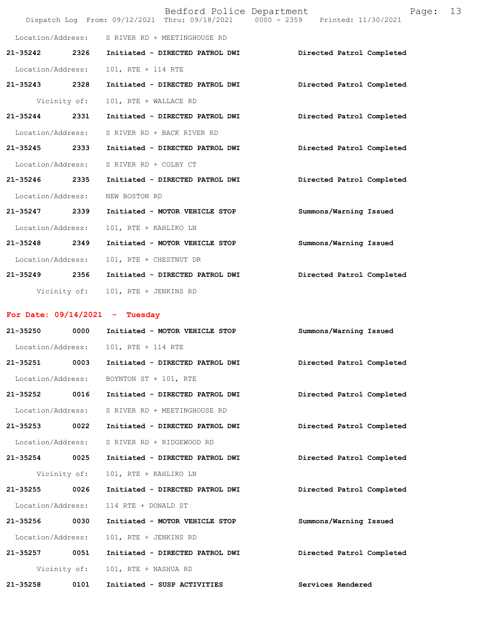|                   |              | Bedford Police Department                      | Page:<br>Dispatch Log From: 09/12/2021 Thru: 09/18/2021 0000 - 2359 Printed: 11/30/2021 | 13 |
|-------------------|--------------|------------------------------------------------|-----------------------------------------------------------------------------------------|----|
|                   |              | Location/Address: S RIVER RD + MEETINGHOUSE RD |                                                                                         |    |
| 21-35242          | 2326         | Initiated - DIRECTED PATROL DWI                | Directed Patrol Completed                                                               |    |
| Location/Address: |              | 101, RTE + 114 RTE                             |                                                                                         |    |
| 21-35243 2328     |              | Initiated - DIRECTED PATROL DWI                | Directed Patrol Completed                                                               |    |
|                   | Vicinity of: | 101, RTE + WALLACE RD                          |                                                                                         |    |
| 21-35244 2331     |              | Initiated - DIRECTED PATROL DWI                | Directed Patrol Completed                                                               |    |
| Location/Address: |              | S RIVER RD + BACK RIVER RD                     |                                                                                         |    |
| 21-35245          | 2333         | Initiated - DIRECTED PATROL DWI                | Directed Patrol Completed                                                               |    |
| Location/Address: |              | S RIVER RD + COLBY CT                          |                                                                                         |    |
| 21-35246 2335     |              | Initiated - DIRECTED PATROL DWI                | Directed Patrol Completed                                                               |    |
| Location/Address: |              | NEW BOSTON RD                                  |                                                                                         |    |
| 21-35247 2339     |              | Initiated - MOTOR VEHICLE STOP                 | Summons/Warning Issued                                                                  |    |
| Location/Address: |              | 101, RTE + KAHLIKO LN                          |                                                                                         |    |
| 21-35248          | 2349         | Initiated - MOTOR VEHICLE STOP                 | Summons/Warning Issued                                                                  |    |
| Location/Address: |              | 101, RTE + CHESTNUT DR                         |                                                                                         |    |
| 21-35249 2356     |              | Initiated - DIRECTED PATROL DWI                | Directed Patrol Completed                                                               |    |
|                   |              | Vicinity of: 101, RTE + JENKINS RD             |                                                                                         |    |
|                   |              | For Date: $09/14/2021$ - Tuesday               |                                                                                         |    |
| 21-35250          |              | 0000 Initiated - MOTOR VEHICLE STOP            | Summons/Warning Issued                                                                  |    |
|                   |              | Location/Address: 101, RTE + 114 RTE           |                                                                                         |    |
|                   |              |                                                | 21-35251 0003 Initiated - DIRECTED PATROL DWI Directed Patrol Completed                 |    |
|                   |              | Location/Address: BOYNTON ST + 101, RTE        |                                                                                         |    |
| 21-35252 0016     |              | Initiated - DIRECTED PATROL DWI                | Directed Patrol Completed                                                               |    |
| Location/Address: |              | S RIVER RD + MEETINGHOUSE RD                   |                                                                                         |    |
| 21-35253 0022     |              | Initiated - DIRECTED PATROL DWI                | Directed Patrol Completed                                                               |    |
| Location/Address: |              | S RIVER RD + RIDGEWOOD RD                      |                                                                                         |    |
| 21-35254 0025     |              | Initiated - DIRECTED PATROL DWI                | Directed Patrol Completed                                                               |    |
|                   | Vicinity of: | 101, RTE + KAHLIKO LN                          |                                                                                         |    |
| 21-35255          | 0026         | Initiated - DIRECTED PATROL DWI                | Directed Patrol Completed                                                               |    |
| Location/Address: |              | 114 RTE + DONALD ST                            |                                                                                         |    |
| 21-35256 0030     |              | Initiated - MOTOR VEHICLE STOP                 | Summons/Warning Issued                                                                  |    |
| Location/Address: |              | 101, RTE + JENKINS RD                          |                                                                                         |    |
| 21-35257 0051     |              | Initiated - DIRECTED PATROL DWI                | Directed Patrol Completed                                                               |    |
|                   | Vicinity of: | 101, RTE + NASHUA RD                           |                                                                                         |    |
| 21-35258          | 0101         | Initiated - SUSP ACTIVITIES                    | Services Rendered                                                                       |    |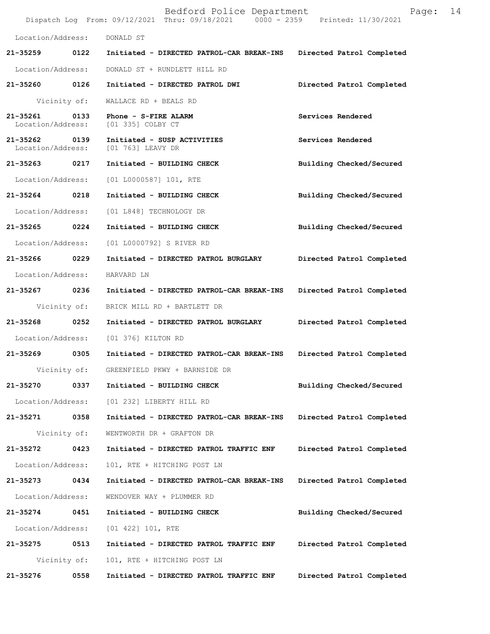|                                    |              | Bedford Police Department<br>Dispatch Log From: 09/12/2021 Thru: 09/18/2021 0000 - 2359 Printed: 11/30/2021 | Page:                     | 14 |
|------------------------------------|--------------|-------------------------------------------------------------------------------------------------------------|---------------------------|----|
| Location/Address:                  |              | DONALD ST                                                                                                   |                           |    |
| 21-35259                           | 0122         | Initiated - DIRECTED PATROL-CAR BREAK-INS                                                                   | Directed Patrol Completed |    |
| Location/Address:                  |              | DONALD ST + RUNDLETT HILL RD                                                                                |                           |    |
| 21-35260 0126                      |              | Initiated - DIRECTED PATROL DWI                                                                             | Directed Patrol Completed |    |
|                                    | Vicinity of: | WALLACE RD + BEALS RD                                                                                       |                           |    |
| 21-35261<br>Location/Address:      | 0133         | Phone - S-FIRE ALARM<br>[01 335] COLBY CT                                                                   | Services Rendered         |    |
| 21-35262 0139<br>Location/Address: |              | Initiated - SUSP ACTIVITIES<br>[01 763] LEAVY DR                                                            | Services Rendered         |    |
| 21-35263 0217                      |              | Initiated - BUILDING CHECK                                                                                  | Building Checked/Secured  |    |
| Location/Address:                  |              | [01 L0000587] 101, RTE                                                                                      |                           |    |
| 21-35264                           | 0218         | Initiated - BUILDING CHECK                                                                                  | Building Checked/Secured  |    |
| Location/Address:                  |              | [01 L848] TECHNOLOGY DR                                                                                     |                           |    |
| 21-35265                           | 0224         | Initiated - BUILDING CHECK                                                                                  | Building Checked/Secured  |    |
| Location/Address:                  |              | [01 L0000792] S RIVER RD                                                                                    |                           |    |
| 21-35266 0229                      |              | Initiated - DIRECTED PATROL BURGLARY                                                                        | Directed Patrol Completed |    |
| Location/Address:                  |              | HARVARD LN                                                                                                  |                           |    |
| 21-35267 0236                      |              | Initiated - DIRECTED PATROL-CAR BREAK-INS                                                                   | Directed Patrol Completed |    |
|                                    | Vicinity of: | BRICK MILL RD + BARTLETT DR                                                                                 |                           |    |
| 21-35268                           | 0252         | Initiated - DIRECTED PATROL BURGLARY                                                                        | Directed Patrol Completed |    |
| Location/Address:                  |              | [01 376] KILTON RD                                                                                          |                           |    |
| 21-35269                           | 0305         | Initiated - DIRECTED PATROL-CAR BREAK-INS                                                                   | Directed Patrol Completed |    |
|                                    | Vicinity of: | GREENFIELD PKWY + BARNSIDE DR                                                                               |                           |    |
| 21-35270                           | 0337         | Initiated - BUILDING CHECK                                                                                  | Building Checked/Secured  |    |
| Location/Address:                  |              | [01 232] LIBERTY HILL RD                                                                                    |                           |    |
| 21-35271                           | 0358         | Initiated - DIRECTED PATROL-CAR BREAK-INS                                                                   | Directed Patrol Completed |    |
|                                    | Vicinity of: | WENTWORTH DR + GRAFTON DR                                                                                   |                           |    |
| 21-35272                           | 0423         | Initiated - DIRECTED PATROL TRAFFIC ENF                                                                     | Directed Patrol Completed |    |
| Location/Address:                  |              | 101, RTE + HITCHING POST LN                                                                                 |                           |    |
| 21-35273                           | 0434         | Initiated - DIRECTED PATROL-CAR BREAK-INS                                                                   | Directed Patrol Completed |    |
| Location/Address:                  |              | WENDOVER WAY + PLUMMER RD                                                                                   |                           |    |
| 21-35274                           | 0451         | Initiated - BUILDING CHECK                                                                                  | Building Checked/Secured  |    |
| Location/Address:                  |              | [01 422] 101, RTE                                                                                           |                           |    |
| 21-35275                           | 0513         | Initiated - DIRECTED PATROL TRAFFIC ENF                                                                     | Directed Patrol Completed |    |
|                                    | Vicinity of: | 101, RTE + HITCHING POST LN                                                                                 |                           |    |
| 21-35276                           | 0558         | Initiated - DIRECTED PATROL TRAFFIC ENF                                                                     | Directed Patrol Completed |    |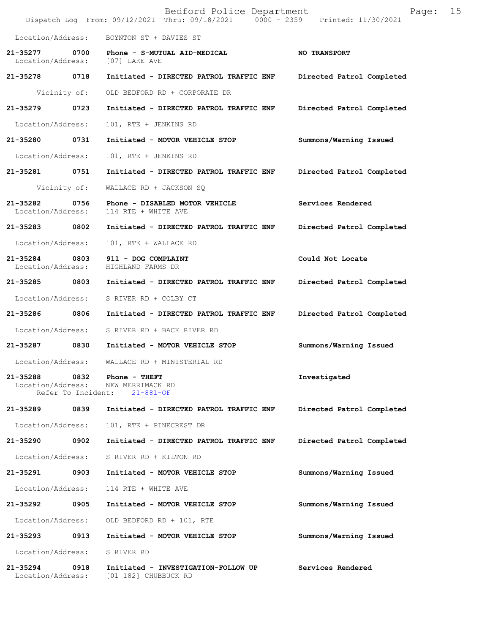|                                    |                            | Bedford Police Department<br>Dispatch Log From: 09/12/2021 Thru: 09/18/2021 0000 - 2359 Printed: 11/30/2021 | 15<br>Page:               |
|------------------------------------|----------------------------|-------------------------------------------------------------------------------------------------------------|---------------------------|
| Location/Address:                  |                            | BOYNTON ST + DAVIES ST                                                                                      |                           |
| 21-35277<br>Location/Address:      | 0700                       | Phone - S-MUTUAL AID-MEDICAL<br>[07] LAKE AVE                                                               | NO TRANSPORT              |
| 21-35278 0718                      |                            | Initiated - DIRECTED PATROL TRAFFIC ENF                                                                     | Directed Patrol Completed |
|                                    | Vicinity of:               | OLD BEDFORD RD + CORPORATE DR                                                                               |                           |
| 21-35279                           | 0723                       | Initiated - DIRECTED PATROL TRAFFIC ENF                                                                     | Directed Patrol Completed |
| Location/Address:                  |                            | 101, RTE + JENKINS RD                                                                                       |                           |
| 21-35280                           | 0731                       | Initiated - MOTOR VEHICLE STOP                                                                              | Summons/Warning Issued    |
| Location/Address:                  |                            | 101, RTE + JENKINS RD                                                                                       |                           |
| 21-35281                           | 0751                       | Initiated - DIRECTED PATROL TRAFFIC ENF                                                                     | Directed Patrol Completed |
|                                    | Vicinity of:               | WALLACE RD + JACKSON SQ                                                                                     |                           |
| $21 - 35282$<br>Location/Address:  | 0756                       | Phone - DISABLED MOTOR VEHICLE<br>114 RTE + WHITE AVE                                                       | Services Rendered         |
| 21-35283                           | 0802                       | Initiated - DIRECTED PATROL TRAFFIC ENF                                                                     | Directed Patrol Completed |
| Location/Address:                  |                            | 101, RTE + WALLACE RD                                                                                       |                           |
| 21-35284 0803<br>Location/Address: |                            | 911 - DOG COMPLAINT<br>HIGHLAND FARMS DR                                                                    | Could Not Locate          |
| 21-35285 0803                      |                            | Initiated - DIRECTED PATROL TRAFFIC ENF                                                                     | Directed Patrol Completed |
| Location/Address:                  |                            | S RIVER RD + COLBY CT                                                                                       |                           |
| 21-35286                           | 0806                       | Initiated - DIRECTED PATROL TRAFFIC ENF                                                                     | Directed Patrol Completed |
| Location/Address:                  |                            | S RIVER RD + BACK RIVER RD                                                                                  |                           |
| 21-35287                           | 0830                       | Initiated - MOTOR VEHICLE STOP                                                                              | Summons/Warning Issued    |
| Location/Address:                  |                            | WALLACE RD + MINISTERIAL RD                                                                                 |                           |
| $21 - 35288$<br>Location/Address:  | 0832<br>Refer To Incident: | Phone - THEFT<br>NEW MERRIMACK RD<br>$21 - 881 - OF$                                                        | Investigated              |
| 21-35289                           | 0839                       | Initiated - DIRECTED PATROL TRAFFIC ENF                                                                     | Directed Patrol Completed |
| Location/Address:                  |                            | 101, RTE + PINECREST DR                                                                                     |                           |
| 21-35290                           | 0902                       | Initiated - DIRECTED PATROL TRAFFIC ENF                                                                     | Directed Patrol Completed |
| Location/Address:                  |                            | S RIVER RD + KILTON RD                                                                                      |                           |
| 21-35291                           | 0903                       | Initiated - MOTOR VEHICLE STOP                                                                              | Summons/Warning Issued    |
| Location/Address:                  |                            | 114 RTE + WHITE AVE                                                                                         |                           |
| 21-35292                           | 0905                       | Initiated - MOTOR VEHICLE STOP                                                                              | Summons/Warning Issued    |
| Location/Address:                  |                            | OLD BEDFORD RD + 101, RTE                                                                                   |                           |
| 21-35293                           | 0913                       | Initiated - MOTOR VEHICLE STOP                                                                              | Summons/Warning Issued    |
| Location/Address:                  |                            | S RIVER RD                                                                                                  |                           |
| 21-35294<br>Location/Address:      | 0918                       | Initiated - INVESTIGATION-FOLLOW UP<br>[01 182] CHUBBUCK RD                                                 | Services Rendered         |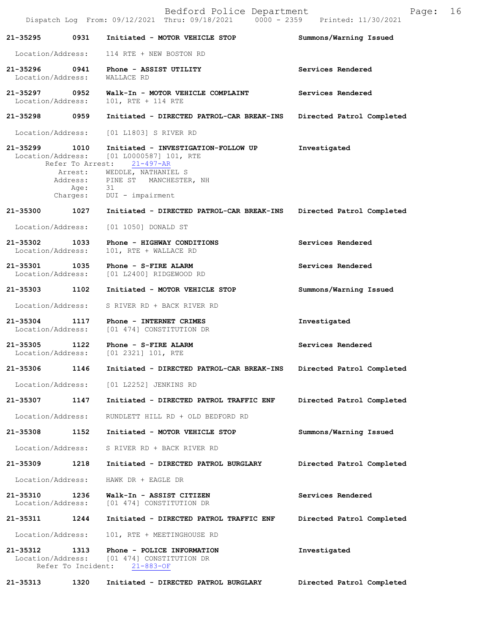|                                    |                            | Bedford Police Department<br>Dispatch Log From: 09/12/2021 Thru: 09/18/2021 0000 - 2359 Printed: 11/30/2021                                  | Page:                     | 16 |
|------------------------------------|----------------------------|----------------------------------------------------------------------------------------------------------------------------------------------|---------------------------|----|
| 21-35295                           | 0931                       | Initiated - MOTOR VEHICLE STOP                                                                                                               | Summons/Warning Issued    |    |
|                                    |                            | Location/Address: 114 RTE + NEW BOSTON RD                                                                                                    |                           |    |
| 21-35296 0941<br>Location/Address: |                            | Phone - ASSIST UTILITY<br>WALLACE RD                                                                                                         | Services Rendered         |    |
| 21–35297 0952<br>Location/Address: |                            | Walk-In - MOTOR VEHICLE COMPLAINT<br>101, RTE + 114 RTE                                                                                      | Services Rendered         |    |
| 21-35298 0959                      |                            | Initiated - DIRECTED PATROL-CAR BREAK-INS                                                                                                    | Directed Patrol Completed |    |
| Location/Address:                  |                            | [01 L1803] S RIVER RD                                                                                                                        |                           |    |
| 21-35299 1010                      |                            | Initiated - INVESTIGATION-FOLLOW UP<br>Location/Address: [01 L0000587] 101, RTE<br>Refer To Arrest: 21-497-AR<br>Arrest: WEDDLE, NATHANIEL S | Investigated              |    |
|                                    |                            | Address: PINE ST MANCHESTER, NH<br>Age: 31                                                                                                   |                           |    |
|                                    |                            | Charges: DUI - impairment                                                                                                                    |                           |    |
| 21-35300                           | 1027                       | Initiated - DIRECTED PATROL-CAR BREAK-INS                                                                                                    | Directed Patrol Completed |    |
| Location/Address:                  |                            | [01 1050] DONALD ST                                                                                                                          |                           |    |
| 21-35302 1033<br>Location/Address: |                            | Phone - HIGHWAY CONDITIONS<br>101, RTE + WALLACE RD                                                                                          | Services Rendered         |    |
| Location/Address:                  |                            | 21-35301 1035 Phone - S-FIRE ALARM<br>[01 L2400] RIDGEWOOD RD                                                                                | Services Rendered         |    |
| 21-35303 1102                      |                            | Initiated - MOTOR VEHICLE STOP                                                                                                               | Summons/Warning Issued    |    |
| Location/Address:                  |                            | S RIVER RD + BACK RIVER RD                                                                                                                   |                           |    |
| 21-35304                           | 1117                       | Phone - INTERNET CRIMES<br>Location/Address: [01 474] CONSTITUTION DR                                                                        | Investigated              |    |
| 21-35305                           | 1122                       | Phone - S-FIRE ALARM<br>Location/Address: [01 2321] 101, RTE                                                                                 | Services Rendered         |    |
| 21-35306                           | 1146                       | Initiated - DIRECTED PATROL-CAR BREAK-INS                                                                                                    | Directed Patrol Completed |    |
| Location/Address:                  |                            | [01 L2252] JENKINS RD                                                                                                                        |                           |    |
| 21-35307                           | 1147                       | Initiated - DIRECTED PATROL TRAFFIC ENF                                                                                                      | Directed Patrol Completed |    |
| Location/Address:                  |                            | RUNDLETT HILL RD + OLD BEDFORD RD                                                                                                            |                           |    |
| 21-35308                           | 1152                       | Initiated - MOTOR VEHICLE STOP                                                                                                               | Summons/Warning Issued    |    |
| Location/Address:                  |                            | S RIVER RD + BACK RIVER RD                                                                                                                   |                           |    |
| 21-35309                           | 1218                       | Initiated - DIRECTED PATROL BURGLARY                                                                                                         | Directed Patrol Completed |    |
| Location/Address:                  |                            | HAWK DR + EAGLE DR                                                                                                                           |                           |    |
| 21-35310<br>Location/Address:      | 1236                       | Walk-In - ASSIST CITIZEN<br>[01 474] CONSTITUTION DR                                                                                         | Services Rendered         |    |
| 21-35311                           | 1244                       | Initiated - DIRECTED PATROL TRAFFIC ENF                                                                                                      | Directed Patrol Completed |    |
| Location/Address:                  |                            | 101, RTE + MEETINGHOUSE RD                                                                                                                   |                           |    |
| 21-35312<br>Location/Address:      | 1313<br>Refer To Incident: | Phone - POLICE INFORMATION<br>[01 474] CONSTITUTION DR<br>$21 - 883 - OF$                                                                    | Investigated              |    |
| 21-35313                           | 1320                       | Initiated - DIRECTED PATROL BURGLARY                                                                                                         | Directed Patrol Completed |    |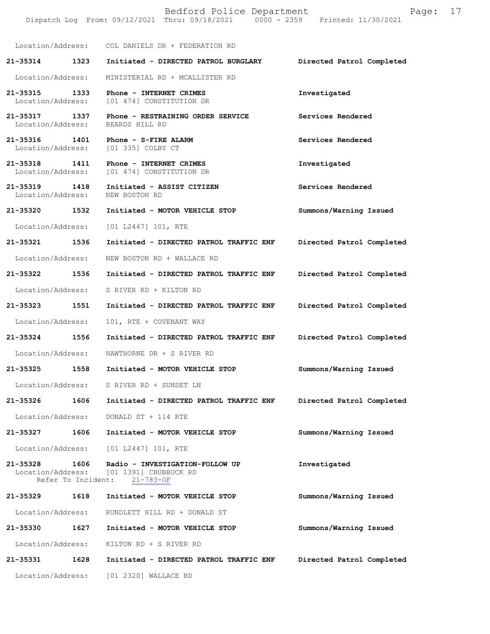|                                       |      | Dispatch Log From: 09/12/2021 Thru: 09/18/2021 0000 - 2359 Printed: 11/30/2021                |                           |
|---------------------------------------|------|-----------------------------------------------------------------------------------------------|---------------------------|
|                                       |      | Location/Address: COL DANIELS DR + FEDERATION RD                                              |                           |
| 21-35314 1323                         |      | Initiated - DIRECTED PATROL BURGLARY                                                          | Directed Patrol Completed |
| Location/Address:                     |      | MINISTERIAL RD + MCALLISTER RD                                                                |                           |
| 21-35315                              | 1333 | Phone - INTERNET CRIMES<br>Location/Address: [01 474] CONSTITUTION DR                         | Investigated              |
| 21-35317 1337<br>Location/Address:    |      | Phone - RESTRAINING ORDER SERVICE<br>BEARDS HILL RD                                           | Services Rendered         |
| 21-35316                              | 1401 | Phone - S-FIRE ALARM<br>Location/Address: [01 335] COLBY CT                                   | Services Rendered         |
| 21-35318 1411                         |      | Phone - INTERNET CRIMES<br>Location/Address: [01 474] CONSTITUTION DR                         | Investigated              |
| 21-35319<br>1418<br>Location/Address: |      | Initiated - ASSIST CITIZEN<br>NEW BOSTON RD                                                   | Services Rendered         |
| 21-35320 1532                         |      | Initiated - MOTOR VEHICLE STOP                                                                | Summons/Warning Issued    |
| Location/Address:                     |      | [01 L2447] 101, RTE                                                                           |                           |
| 21-35321 1536                         |      | Initiated - DIRECTED PATROL TRAFFIC ENF                                                       | Directed Patrol Completed |
| Location/Address:                     |      | NEW BOSTON RD + WALLACE RD                                                                    |                           |
| 21-35322 1536                         |      | Initiated - DIRECTED PATROL TRAFFIC ENF                                                       | Directed Patrol Completed |
| Location/Address:                     |      | S RIVER RD + KILTON RD                                                                        |                           |
| 21-35323 1551                         |      | Initiated - DIRECTED PATROL TRAFFIC ENF                                                       | Directed Patrol Completed |
| Location/Address:                     |      | 101, RTE + COVENANT WAY                                                                       |                           |
| 21-35324 1556                         |      | Initiated - DIRECTED PATROL TRAFFIC ENF                                                       | Directed Patrol Completed |
|                                       |      | Location/Address: HAWTHORNE DR + S RIVER RD                                                   |                           |
| 21-35325                              | 1558 | Initiated - MOTOR VEHICLE STOP                                                                | Summons/Warning Issued    |
|                                       |      | Location/Address: S RIVER RD + SUNSET LN                                                      |                           |
| 21-35326                              | 1606 | Initiated - DIRECTED PATROL TRAFFIC ENF                                                       | Directed Patrol Completed |
| Location/Address:                     |      | DONALD ST + 114 RTE                                                                           |                           |
| 21-35327                              | 1606 | Initiated - MOTOR VEHICLE STOP                                                                | Summons/Warning Issued    |
|                                       |      | Location/Address: [01 L2447] 101, RTE                                                         |                           |
| 21-35328<br>Refer To Incident:        | 1606 | Radio - INVESTIGATION-FOLLOW UP<br>Location/Address: [01 1391] CHUBBUCK RD<br>$21 - 783 - OF$ | Investigated              |
| 21-35329 1618                         |      | Initiated - MOTOR VEHICLE STOP                                                                | Summons/Warning Issued    |
| Location/Address:                     |      | RUNDLETT HILL RD + DONALD ST                                                                  |                           |
| 21-35330                              | 1627 | Initiated - MOTOR VEHICLE STOP                                                                | Summons/Warning Issued    |
| Location/Address:                     |      | KILTON RD + S RIVER RD                                                                        |                           |
| 21-35331                              | 1628 | Initiated - DIRECTED PATROL TRAFFIC ENF                                                       | Directed Patrol Completed |
|                                       |      | Location/Address: [01 2320] WALLACE RD                                                        |                           |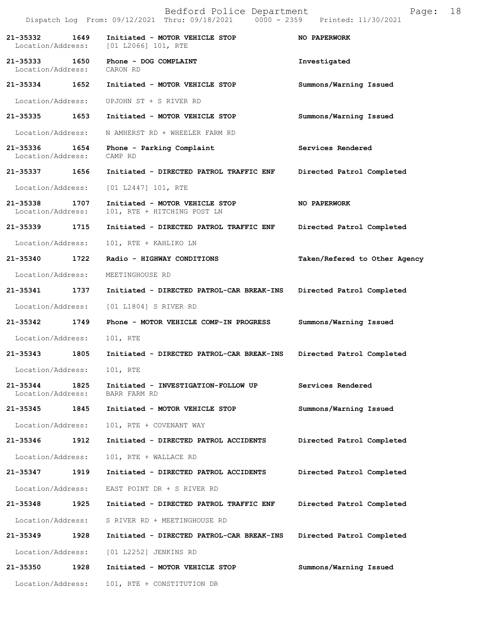|                                    |      | Bedford Police Department<br>Dispatch Log From: 09/12/2021 Thru: 09/18/2021 0000 - 2359 Printed: 11/30/2021 | 18<br>Page:                   |
|------------------------------------|------|-------------------------------------------------------------------------------------------------------------|-------------------------------|
| 21-35332<br>Location/Address:      | 1649 | Initiated - MOTOR VEHICLE STOP<br>[01 L2066] 101, RTE                                                       | NO PAPERWORK                  |
| 21-35333 1650<br>Location/Address: |      | Phone - DOG COMPLAINT<br>CARON RD                                                                           | Investigated                  |
| 21-35334                           | 1652 | Initiated - MOTOR VEHICLE STOP                                                                              | Summons/Warning Issued        |
| Location/Address:                  |      | UPJOHN ST + S RIVER RD                                                                                      |                               |
| 21-35335 1653                      |      | Initiated - MOTOR VEHICLE STOP                                                                              | Summons/Warning Issued        |
| Location/Address:                  |      | N AMHERST RD + WHEELER FARM RD                                                                              |                               |
| 21-35336<br>Location/Address:      | 1654 | Phone - Parking Complaint<br>CAMP RD                                                                        | Services Rendered             |
| 21-35337                           | 1656 | Initiated - DIRECTED PATROL TRAFFIC ENF                                                                     | Directed Patrol Completed     |
| Location/Address:                  |      | $[01 L2447] 101$ , RTE                                                                                      |                               |
| 21-35338<br>Location/Address:      | 1707 | Initiated - MOTOR VEHICLE STOP<br>101, RTE + HITCHING POST LN                                               | NO PAPERWORK                  |
| 21-35339                           | 1715 | Initiated - DIRECTED PATROL TRAFFIC ENF                                                                     | Directed Patrol Completed     |
| Location/Address:                  |      | 101, RTE + KAHLIKO LN                                                                                       |                               |
| 21-35340                           | 1722 | Radio - HIGHWAY CONDITIONS                                                                                  | Taken/Refered to Other Agency |
| Location/Address:                  |      | MEETINGHOUSE RD                                                                                             |                               |
| 21-35341                           | 1737 | Initiated - DIRECTED PATROL-CAR BREAK-INS                                                                   | Directed Patrol Completed     |
| Location/Address:                  |      | [01 L1804] S RIVER RD                                                                                       |                               |
| 21-35342                           | 1749 | Phone - MOTOR VEHICLE COMP-IN PROGRESS                                                                      | Summons/Warning Issued        |
| Location/Address:                  |      | 101, RTE                                                                                                    |                               |
| 21-35343                           | 1805 | Initiated - DIRECTED PATROL-CAR BREAK-INS                                                                   | Directed Patrol Completed     |
| Location/Address:                  |      | 101, RTE                                                                                                    |                               |
| 21-35344<br>Location/Address:      | 1825 | Initiated - INVESTIGATION-FOLLOW UP<br>BARR FARM RD                                                         | Services Rendered             |
| 21-35345                           | 1845 | Initiated - MOTOR VEHICLE STOP                                                                              | Summons/Warning Issued        |
| Location/Address:                  |      | 101, RTE + COVENANT WAY                                                                                     |                               |
| 21-35346                           | 1912 | Initiated - DIRECTED PATROL ACCIDENTS                                                                       | Directed Patrol Completed     |
| Location/Address:                  |      | 101, RTE + WALLACE RD                                                                                       |                               |
| 21-35347                           | 1919 | Initiated - DIRECTED PATROL ACCIDENTS                                                                       | Directed Patrol Completed     |
| Location/Address:                  |      | EAST POINT DR + S RIVER RD                                                                                  |                               |
| 21-35348                           | 1925 | Initiated - DIRECTED PATROL TRAFFIC ENF                                                                     | Directed Patrol Completed     |
| Location/Address:                  |      | S RIVER RD + MEETINGHOUSE RD                                                                                |                               |
| 21-35349                           | 1928 | Initiated - DIRECTED PATROL-CAR BREAK-INS                                                                   | Directed Patrol Completed     |
| Location/Address:                  |      | [01 L2252] JENKINS RD                                                                                       |                               |
| 21-35350                           | 1928 | Initiated - MOTOR VEHICLE STOP                                                                              | Summons/Warning Issued        |
| Location/Address:                  |      | 101, RTE + CONSTITUTION DR                                                                                  |                               |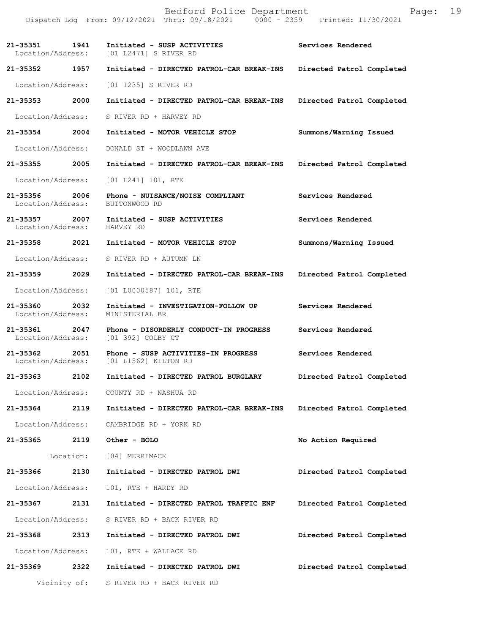|                                    |              | Bedford Police Department<br>Dispatch Log From: 09/12/2021 Thru: 09/18/2021 0000 - 2359 Printed: 11/30/2021 | Page:                     | 19 |
|------------------------------------|--------------|-------------------------------------------------------------------------------------------------------------|---------------------------|----|
|                                    |              | 21-35351 1941 Initiated - SUSP ACTIVITIES<br>Location/Address: [01 L2471] S RIVER RD                        | Services Rendered         |    |
| 21-35352 1957                      |              | Initiated - DIRECTED PATROL-CAR BREAK-INS                                                                   | Directed Patrol Completed |    |
| Location/Address:                  |              | [01 1235] S RIVER RD                                                                                        |                           |    |
| 21-35353                           | 2000         | Initiated - DIRECTED PATROL-CAR BREAK-INS                                                                   | Directed Patrol Completed |    |
|                                    |              | Location/Address: S RIVER RD + HARVEY RD                                                                    |                           |    |
| 21-35354 2004                      |              | Initiated - MOTOR VEHICLE STOP                                                                              | Summons/Warning Issued    |    |
| Location/Address:                  |              | DONALD ST + WOODLAWN AVE                                                                                    |                           |    |
| 21-35355 2005                      |              | Initiated - DIRECTED PATROL-CAR BREAK-INS                                                                   | Directed Patrol Completed |    |
| Location/Address:                  |              | $[01 L241] 101$ , RTE                                                                                       |                           |    |
| 21-35356 2006<br>Location/Address: |              | Phone - NUISANCE/NOISE COMPLIANT<br>BUTTONWOOD RD                                                           | Services Rendered         |    |
| 21-35357 2007<br>Location/Address: |              | Initiated - SUSP ACTIVITIES<br>HARVEY RD                                                                    | Services Rendered         |    |
| 21-35358 2021                      |              | Initiated - MOTOR VEHICLE STOP                                                                              | Summons/Warning Issued    |    |
|                                    |              | Location/Address: S RIVER RD + AUTUMN LN                                                                    |                           |    |
| 21-35359 2029                      |              | Initiated - DIRECTED PATROL-CAR BREAK-INS Directed Patrol Completed                                         |                           |    |
| Location/Address:                  |              | [01 L0000587] 101, RTE                                                                                      |                           |    |
| 21-35360 2032<br>Location/Address: |              | Initiated - INVESTIGATION-FOLLOW UP<br>MINISTERIAL BR                                                       | Services Rendered         |    |
|                                    |              | 21-35361 2047 Phone - DISORDERLY CONDUCT-IN PROGRESS<br>Location/Address: [01 392] COLBY CT                 | Services Rendered         |    |
| 21-35362 2051<br>Location/Address: |              | Phone - SUSP ACTIVITIES-IN PROGRESS<br>[01 L1562] KILTON RD                                                 | Services Rendered         |    |
| 21-35363                           | 2102         | Initiated - DIRECTED PATROL BURGLARY                                                                        | Directed Patrol Completed |    |
| Location/Address:                  |              | COUNTY RD + NASHUA RD                                                                                       |                           |    |
| 21-35364 2119                      |              | Initiated - DIRECTED PATROL-CAR BREAK-INS                                                                   | Directed Patrol Completed |    |
| Location/Address:                  |              | CAMBRIDGE RD + YORK RD                                                                                      |                           |    |
| 21-35365                           | 2119         | Other - BOLO                                                                                                | No Action Required        |    |
|                                    | Location:    | [04] MERRIMACK                                                                                              |                           |    |
| 21-35366                           | 2130         | Initiated - DIRECTED PATROL DWI                                                                             | Directed Patrol Completed |    |
| Location/Address:                  |              | 101, RTE + HARDY RD                                                                                         |                           |    |
| 21-35367 2131                      |              | Initiated - DIRECTED PATROL TRAFFIC ENF                                                                     | Directed Patrol Completed |    |
| Location/Address:                  |              | S RIVER RD + BACK RIVER RD                                                                                  |                           |    |
| 21-35368                           | 2313         | Initiated - DIRECTED PATROL DWI                                                                             | Directed Patrol Completed |    |
| Location/Address:                  |              | 101, RTE + WALLACE RD                                                                                       |                           |    |
| 21-35369                           | 2322         | Initiated - DIRECTED PATROL DWI                                                                             | Directed Patrol Completed |    |
|                                    | Vicinity of: | S RIVER RD + BACK RIVER RD                                                                                  |                           |    |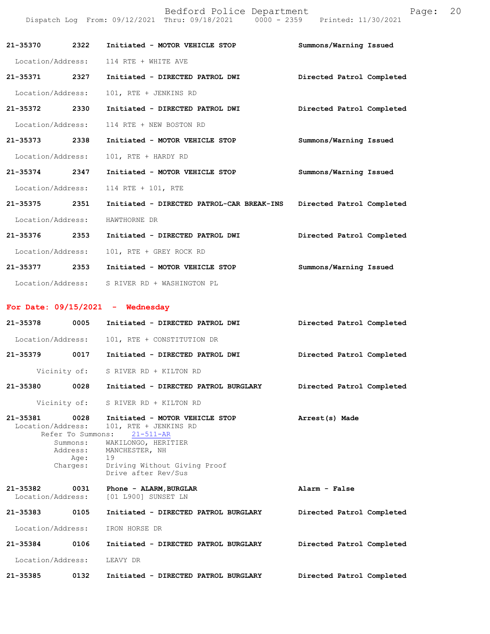|                               |                              | Bedford Police Department<br>Dispatch Log From: 09/12/2021 Thru: 09/18/2021 0000 - 2359 Printed: 11/30/2021 | Page:                     | 20 |
|-------------------------------|------------------------------|-------------------------------------------------------------------------------------------------------------|---------------------------|----|
| 21-35370                      | 2322                         | Initiated - MOTOR VEHICLE STOP                                                                              | Summons/Warning Issued    |    |
| Location/Address:             |                              | 114 RTE + WHITE AVE                                                                                         |                           |    |
| 21-35371 2327                 |                              | Initiated - DIRECTED PATROL DWI                                                                             | Directed Patrol Completed |    |
| Location/Address:             |                              | 101, RTE + JENKINS RD                                                                                       |                           |    |
| 21-35372 2330                 |                              | Initiated - DIRECTED PATROL DWI                                                                             | Directed Patrol Completed |    |
| Location/Address:             |                              | 114 RTE + NEW BOSTON RD                                                                                     |                           |    |
| 21-35373                      | 2338                         | Initiated - MOTOR VEHICLE STOP                                                                              | Summons/Warning Issued    |    |
| Location/Address:             |                              | 101, RTE + HARDY RD                                                                                         |                           |    |
| 21-35374                      | 2347                         | Initiated - MOTOR VEHICLE STOP                                                                              | Summons/Warning Issued    |    |
| Location/Address:             |                              | 114 RTE + 101, RTE                                                                                          |                           |    |
| 21-35375 2351                 |                              | Initiated - DIRECTED PATROL-CAR BREAK-INS                                                                   | Directed Patrol Completed |    |
| Location/Address:             |                              | HAWTHORNE DR                                                                                                |                           |    |
| 21-35376                      | 2353                         | Initiated - DIRECTED PATROL DWI                                                                             | Directed Patrol Completed |    |
| Location/Address:             |                              | 101, RTE + GREY ROCK RD                                                                                     |                           |    |
| 21-35377                      | 2353                         | Initiated - MOTOR VEHICLE STOP                                                                              | Summons/Warning Issued    |    |
| Location/Address:             |                              | S RIVER RD + WASHINGTON PL                                                                                  |                           |    |
|                               |                              | For Date: $09/15/2021$ - Wednesday                                                                          |                           |    |
| 21-35378                      | 0005                         | Initiated - DIRECTED PATROL DWI                                                                             | Directed Patrol Completed |    |
| Location/Address:             |                              | 101, RTE + CONSTITUTION DR                                                                                  |                           |    |
| 21-35379                      | 0017                         | Initiated - DIRECTED PATROL DWI                                                                             | Directed Patrol Completed |    |
|                               | Vicinity of:                 | S RIVER RD + KILTON RD                                                                                      |                           |    |
| 21-35380                      | 0028                         | Initiated - DIRECTED PATROL BURGLARY                                                                        | Directed Patrol Completed |    |
|                               | Vicinity of:                 | S RIVER RD + KILTON RD                                                                                      |                           |    |
| 21-35381<br>Location/Address: | 0028<br>Refer To Summons:    | Initiated - MOTOR VEHICLE STOP<br>101, RTE + JENKINS RD<br>$21 - 511 - AR$                                  | Arrest(s) Made            |    |
|                               | Summons:<br>Address:<br>Age: | WAKILONGO, HERITIER<br>MANCHESTER, NH<br>19                                                                 |                           |    |
|                               | Charges:                     | Driving Without Giving Proof<br>Drive after Rev/Sus                                                         |                           |    |
| 21-35382<br>Location/Address: | 0031                         | Phone - ALARM, BURGLAR<br>[01 L900] SUNSET LN                                                               | Alarm - False             |    |
| 21-35383                      | 0105                         | Initiated - DIRECTED PATROL BURGLARY                                                                        | Directed Patrol Completed |    |
| Location/Address:             |                              | IRON HORSE DR                                                                                               |                           |    |
| 21-35384                      | 0106                         | Initiated - DIRECTED PATROL BURGLARY                                                                        | Directed Patrol Completed |    |
| Location/Address:             |                              | LEAVY DR                                                                                                    |                           |    |
| 21-35385                      | 0132                         | Initiated - DIRECTED PATROL BURGLARY                                                                        | Directed Patrol Completed |    |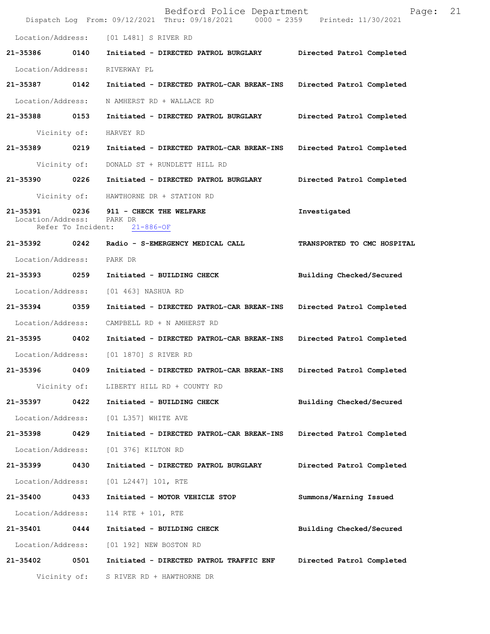|                               |                            | Bedford Police Department<br>Dispatch Log From: 09/12/2021 Thru: 09/18/2021 0000 - 2359 Printed: 11/30/2021 | Page:                       | 21 |
|-------------------------------|----------------------------|-------------------------------------------------------------------------------------------------------------|-----------------------------|----|
|                               |                            | Location/Address: [01 L481] S RIVER RD                                                                      |                             |    |
| 21-35386                      | 0140                       | Initiated - DIRECTED PATROL BURGLARY Directed Patrol Completed                                              |                             |    |
| Location/Address:             |                            | RIVERWAY PL                                                                                                 |                             |    |
| 21-35387                      | 0142                       | Initiated - DIRECTED PATROL-CAR BREAK-INS Directed Patrol Completed                                         |                             |    |
| Location/Address:             |                            | N AMHERST RD + WALLACE RD                                                                                   |                             |    |
| 21-35388 0153                 |                            | Initiated - DIRECTED PATROL BURGLARY                                                                        | Directed Patrol Completed   |    |
|                               | Vicinity of:               | HARVEY RD                                                                                                   |                             |    |
| 21-35389 0219                 |                            | Initiated - DIRECTED PATROL-CAR BREAK-INS                                                                   | Directed Patrol Completed   |    |
|                               | Vicinity of:               | DONALD ST + RUNDLETT HILL RD                                                                                |                             |    |
| 21-35390                      | 0226                       | Initiated - DIRECTED PATROL BURGLARY                                                                        | Directed Patrol Completed   |    |
|                               | Vicinity of:               | HAWTHORNE DR + STATION RD                                                                                   |                             |    |
| 21-35391<br>Location/Address: | 0236<br>Refer To Incident: | 911 - CHECK THE WELFARE<br>PARK DR<br>$21 - 886 - OF$                                                       | Investigated                |    |
| 21-35392 0242                 |                            | Radio - S-EMERGENCY MEDICAL CALL                                                                            | TRANSPORTED TO CMC HOSPITAL |    |
| Location/Address:             |                            | PARK DR                                                                                                     |                             |    |
| 21-35393                      | 0259                       | Initiated - BUILDING CHECK                                                                                  | Building Checked/Secured    |    |
| Location/Address:             |                            | [01 463] NASHUA RD                                                                                          |                             |    |
| 21-35394 0359                 |                            | Initiated - DIRECTED PATROL-CAR BREAK-INS                                                                   | Directed Patrol Completed   |    |
| Location/Address:             |                            | CAMPBELL RD + N AMHERST RD                                                                                  |                             |    |
| 21-35395 0402                 |                            | Initiated - DIRECTED PATROL-CAR BREAK-INS                                                                   | Directed Patrol Completed   |    |
|                               |                            | Location/Address: [01 1870] S RIVER RD                                                                      |                             |    |
| 21-35396                      | 0409                       | Initiated - DIRECTED PATROL-CAR BREAK-INS                                                                   | Directed Patrol Completed   |    |
|                               | Vicinity of:               | LIBERTY HILL RD + COUNTY RD                                                                                 |                             |    |
| 21-35397                      | 0422                       | Initiated - BUILDING CHECK                                                                                  | Building Checked/Secured    |    |
| Location/Address:             |                            | [01 L357] WHITE AVE                                                                                         |                             |    |
| 21-35398                      | 0429                       | Initiated - DIRECTED PATROL-CAR BREAK-INS                                                                   | Directed Patrol Completed   |    |
| Location/Address:             |                            | [01 376] KILTON RD                                                                                          |                             |    |
| 21-35399                      | 0430                       | Initiated - DIRECTED PATROL BURGLARY                                                                        | Directed Patrol Completed   |    |
| Location/Address:             |                            | [01 L2447] 101, RTE                                                                                         |                             |    |
| 21-35400                      | 0433                       | Initiated - MOTOR VEHICLE STOP                                                                              | Summons/Warning Issued      |    |
| Location/Address:             |                            | 114 RTE + 101, RTE                                                                                          |                             |    |
| 21-35401                      | 0444                       | Initiated - BUILDING CHECK                                                                                  | Building Checked/Secured    |    |
| Location/Address:             |                            | [01 192] NEW BOSTON RD                                                                                      |                             |    |
| 21-35402                      | 0501                       | Initiated - DIRECTED PATROL TRAFFIC ENF                                                                     | Directed Patrol Completed   |    |
|                               | Vicinity of:               | S RIVER RD + HAWTHORNE DR                                                                                   |                             |    |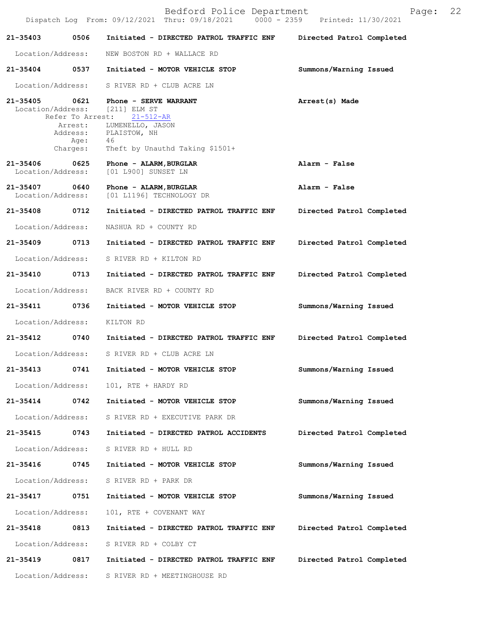|                                    |                                                 | Bedford Police Department<br>Dispatch Log From: 09/12/2021 Thru: 09/18/2021 0000 - 2359 Printed: 11/30/2021                                                                    | 22<br>Page:               |
|------------------------------------|-------------------------------------------------|--------------------------------------------------------------------------------------------------------------------------------------------------------------------------------|---------------------------|
| 21-35403                           | 0506                                            | Initiated - DIRECTED PATROL TRAFFIC ENF                                                                                                                                        | Directed Patrol Completed |
| Location/Address:                  |                                                 | NEW BOSTON RD + WALLACE RD                                                                                                                                                     |                           |
| 21-35404                           | 0537                                            | Initiated - MOTOR VEHICLE STOP                                                                                                                                                 | Summons/Warning Issued    |
| Location/Address:                  |                                                 | S RIVER RD + CLUB ACRE LN                                                                                                                                                      |                           |
|                                    | Refer To Arrest:<br>Arrest:<br>Age:<br>Charges: | 21-35405 0621 Phone - SERVE WARRANT<br>Location/Address: [211] ELM ST<br>$21 - 512 - AR$<br>LUMENELLO, JASON<br>Address: PLAISTOW, NH<br>46<br>Theft by Unauthd Taking \$1501+ | Arrest(s) Made            |
| 21-35406<br>Location/Address:      | 0625                                            | Phone - ALARM, BURGLAR<br>[01 L900] SUNSET LN                                                                                                                                  | Alarm - False             |
| 21-35407 0640<br>Location/Address: |                                                 | Phone - ALARM, BURGLAR<br>[01 L1196] TECHNOLOGY DR                                                                                                                             | Alarm - False             |
| 21-35408 0712                      |                                                 | Initiated - DIRECTED PATROL TRAFFIC ENF                                                                                                                                        | Directed Patrol Completed |
| Location/Address:                  |                                                 | NASHUA RD + COUNTY RD                                                                                                                                                          |                           |
| 21-35409                           | 0713                                            | Initiated - DIRECTED PATROL TRAFFIC ENF                                                                                                                                        | Directed Patrol Completed |
| Location/Address:                  |                                                 | S RIVER RD + KILTON RD                                                                                                                                                         |                           |
| 21-35410                           | 0713                                            | Initiated - DIRECTED PATROL TRAFFIC ENF                                                                                                                                        | Directed Patrol Completed |
| Location/Address:                  |                                                 | BACK RIVER RD + COUNTY RD                                                                                                                                                      |                           |
| 21-35411                           | 0736                                            | Initiated - MOTOR VEHICLE STOP                                                                                                                                                 | Summons/Warning Issued    |
| Location/Address:                  |                                                 | KILTON RD                                                                                                                                                                      |                           |
| 21-35412                           | 0740                                            | Initiated - DIRECTED PATROL TRAFFIC ENF                                                                                                                                        | Directed Patrol Completed |
| Location/Address:                  |                                                 | S RIVER RD + CLUB ACRE LN                                                                                                                                                      |                           |
| 21-35413                           | 0741                                            | Initiated - MOTOR VEHICLE STOP                                                                                                                                                 | Summons/Warning Issued    |
| Location/Address:                  |                                                 | 101, RTE + HARDY RD                                                                                                                                                            |                           |
| 21-35414                           | 0742                                            | Initiated - MOTOR VEHICLE STOP                                                                                                                                                 | Summons/Warning Issued    |
| Location/Address:                  |                                                 | S RIVER RD + EXECUTIVE PARK DR                                                                                                                                                 |                           |
| 21-35415                           | 0743                                            | Initiated - DIRECTED PATROL ACCIDENTS                                                                                                                                          | Directed Patrol Completed |
| Location/Address:                  |                                                 | S RIVER RD + HULL RD                                                                                                                                                           |                           |
| 21-35416                           | 0745                                            | Initiated - MOTOR VEHICLE STOP                                                                                                                                                 | Summons/Warning Issued    |
| Location/Address:                  |                                                 | S RIVER RD + PARK DR                                                                                                                                                           |                           |
| 21-35417                           | 0751                                            | Initiated - MOTOR VEHICLE STOP                                                                                                                                                 | Summons/Warning Issued    |
| Location/Address:                  |                                                 | 101, RTE + COVENANT WAY                                                                                                                                                        |                           |
| 21-35418                           | 0813                                            | Initiated - DIRECTED PATROL TRAFFIC ENF                                                                                                                                        | Directed Patrol Completed |
| Location/Address:                  |                                                 | S RIVER RD + COLBY CT                                                                                                                                                          |                           |
| 21-35419                           | 0817                                            | Initiated - DIRECTED PATROL TRAFFIC ENF                                                                                                                                        | Directed Patrol Completed |
| Location/Address:                  |                                                 | S RIVER RD + MEETINGHOUSE RD                                                                                                                                                   |                           |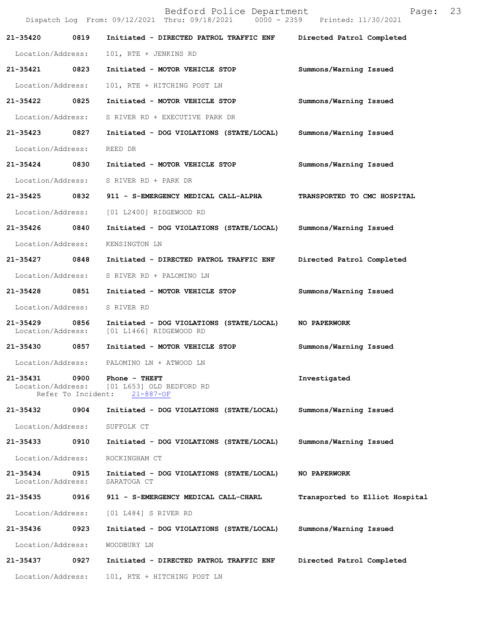|                               |                            | Bedford Police Department<br>Dispatch Log From: 09/12/2021 Thru: 09/18/2021 0000 - 2359 Printed: 11/30/2021 | Page:                          | 23 |
|-------------------------------|----------------------------|-------------------------------------------------------------------------------------------------------------|--------------------------------|----|
| 21-35420                      | 0819                       | Initiated - DIRECTED PATROL TRAFFIC ENF                                                                     | Directed Patrol Completed      |    |
| Location/Address:             |                            | 101, RTE + JENKINS RD                                                                                       |                                |    |
| 21-35421                      | 0823                       | Initiated - MOTOR VEHICLE STOP                                                                              | Summons/Warning Issued         |    |
| Location/Address:             |                            | 101, RTE + HITCHING POST LN                                                                                 |                                |    |
| 21-35422                      | 0825                       | Initiated - MOTOR VEHICLE STOP                                                                              | Summons/Warning Issued         |    |
| Location/Address:             |                            | S RIVER RD + EXECUTIVE PARK DR                                                                              |                                |    |
| 21-35423                      | 0827                       | Initiated - DOG VIOLATIONS (STATE/LOCAL)                                                                    | Summons/Warning Issued         |    |
| Location/Address:             |                            | REED DR                                                                                                     |                                |    |
| 21-35424 0830                 |                            | Initiated - MOTOR VEHICLE STOP                                                                              | Summons/Warning Issued         |    |
| Location/Address:             |                            | S RIVER RD + PARK DR                                                                                        |                                |    |
| 21-35425                      | 0832                       | 911 - S-EMERGENCY MEDICAL CALL-ALPHA                                                                        | TRANSPORTED TO CMC HOSPITAL    |    |
| Location/Address:             |                            | [01 L2400] RIDGEWOOD RD                                                                                     |                                |    |
| 21-35426                      | 0840                       | Initiated - DOG VIOLATIONS (STATE/LOCAL)                                                                    | Summons/Warning Issued         |    |
| Location/Address:             |                            | KENSINGTON LN                                                                                               |                                |    |
| 21-35427                      | 0848                       | Initiated - DIRECTED PATROL TRAFFIC ENF                                                                     | Directed Patrol Completed      |    |
| Location/Address:             |                            | S RIVER RD + PALOMINO LN                                                                                    |                                |    |
| 21-35428 0851                 |                            | Initiated - MOTOR VEHICLE STOP                                                                              | Summons/Warning Issued         |    |
| Location/Address:             |                            | S RIVER RD                                                                                                  |                                |    |
| 21-35429<br>Location/Address: | 0856                       | Initiated - DOG VIOLATIONS (STATE/LOCAL)<br>[01 L1466] RIDGEWOOD RD                                         | NO PAPERWORK                   |    |
| 21-35430 0857                 |                            | Initiated - MOTOR VEHICLE STOP                                                                              | Summons/Warning Issued         |    |
| Location/Address:             |                            | PALOMINO LN + ATWOOD LN                                                                                     |                                |    |
| 21-35431<br>Location/Address: | 0900<br>Refer To Incident: | Phone - THEFT<br>[01 L653] OLD BEDFORD RD<br>$21 - 887 - OF$                                                | Investigated                   |    |
| 21-35432                      | 0904                       | Initiated - DOG VIOLATIONS (STATE/LOCAL)                                                                    | Summons/Warning Issued         |    |
| Location/Address:             |                            | SUFFOLK CT                                                                                                  |                                |    |
| 21-35433                      | 0910                       | Initiated - DOG VIOLATIONS (STATE/LOCAL)                                                                    | Summons/Warning Issued         |    |
| Location/Address:             |                            | ROCKINGHAM CT                                                                                               |                                |    |
| 21-35434<br>Location/Address: | 0915                       | Initiated - DOG VIOLATIONS (STATE/LOCAL)<br>SARATOGA CT                                                     | NO PAPERWORK                   |    |
| 21-35435                      | 0916                       | 911 - S-EMERGENCY MEDICAL CALL-CHARL                                                                        | Transported to Elliot Hospital |    |
| Location/Address:             |                            | [01 L484] S RIVER RD                                                                                        |                                |    |
| 21-35436                      | 0923                       | Initiated - DOG VIOLATIONS (STATE/LOCAL)                                                                    | Summons/Warning Issued         |    |
| Location/Address:             |                            | WOODBURY LN                                                                                                 |                                |    |
| 21-35437                      | 0927                       | Initiated - DIRECTED PATROL TRAFFIC ENF                                                                     | Directed Patrol Completed      |    |
| Location/Address:             |                            | 101, RTE + HITCHING POST LN                                                                                 |                                |    |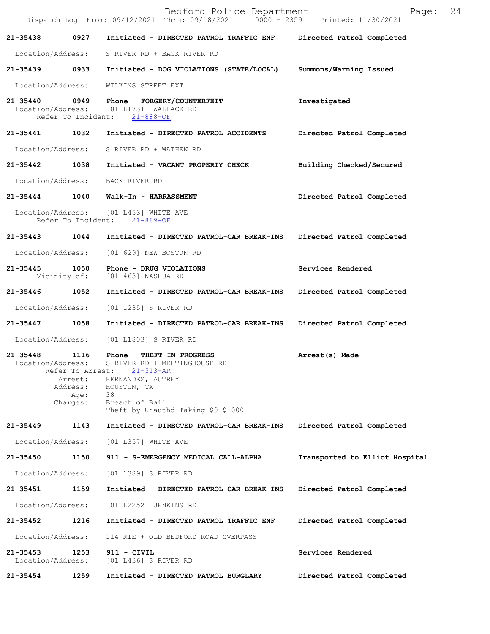|                                   |                                                                     | Bedford Police Department<br>Dispatch Log From: 09/12/2021 Thru: 09/18/2021 0000 - 2359 Printed: 11/30/2021                                                                    | 24<br>Page:                    |
|-----------------------------------|---------------------------------------------------------------------|--------------------------------------------------------------------------------------------------------------------------------------------------------------------------------|--------------------------------|
| 21-35438                          | 0927                                                                | Initiated - DIRECTED PATROL TRAFFIC ENF                                                                                                                                        | Directed Patrol Completed      |
| Location/Address:                 |                                                                     | S RIVER RD + BACK RIVER RD                                                                                                                                                     |                                |
| 21-35439 0933                     |                                                                     | Initiated - DOG VIOLATIONS (STATE/LOCAL)                                                                                                                                       | Summons/Warning Issued         |
| Location/Address:                 |                                                                     | WILKINS STREET EXT                                                                                                                                                             |                                |
| 21-35440                          | 0949<br>Refer To Incident:                                          | Phone - FORGERY/COUNTERFEIT<br>Location/Address: [01 L1731] WALLACE RD<br>$21 - 888 - OF$                                                                                      | Investigated                   |
| 21-35441                          | 1032                                                                | Initiated - DIRECTED PATROL ACCIDENTS                                                                                                                                          | Directed Patrol Completed      |
| Location/Address:                 |                                                                     | S RIVER RD + WATHEN RD                                                                                                                                                         |                                |
| 21-35442 1038                     |                                                                     | Initiated - VACANT PROPERTY CHECK                                                                                                                                              | Building Checked/Secured       |
| Location/Address:                 |                                                                     | BACK RIVER RD                                                                                                                                                                  |                                |
| 21-35444 1040                     |                                                                     | Walk-In - HARRASSMENT                                                                                                                                                          | Directed Patrol Completed      |
|                                   |                                                                     | Location/Address: [01 L453] WHITE AVE<br>Refer To Incident: 21-889-OF                                                                                                          |                                |
| 21-35443                          | 1044                                                                | Initiated - DIRECTED PATROL-CAR BREAK-INS                                                                                                                                      | Directed Patrol Completed      |
| Location/Address:                 |                                                                     | [01 629] NEW BOSTON RD                                                                                                                                                         |                                |
| 21-35445                          | 1050                                                                | Phone - DRUG VIOLATIONS<br>Vicinity of: [01 463] NASHUA RD                                                                                                                     | Services Rendered              |
| 21-35446                          | 1052                                                                | Initiated - DIRECTED PATROL-CAR BREAK-INS                                                                                                                                      | Directed Patrol Completed      |
| Location/Address:                 |                                                                     | [01 1235] S RIVER RD                                                                                                                                                           |                                |
| $21 - 35447$                      | 1058                                                                | Initiated - DIRECTED PATROL-CAR BREAK-INS                                                                                                                                      | Directed Patrol Completed      |
| Location/Address:                 |                                                                     | [01 L1803] S RIVER RD                                                                                                                                                          |                                |
| $21 - 35448$<br>Location/Address: | 1116<br>Refer To Arrest:<br>Arrest:<br>Address:<br>Age:<br>Charges: | Phone - THEFT-IN PROGRESS<br>S RIVER RD + MEETINGHOUSE RD<br>$21 - 513 - AR$<br>HERNANDEZ, AUTREY<br>HOUSTON, TX<br>38<br>Breach of Bail<br>Theft by Unauthd Taking \$0-\$1000 | Arrest(s) Made                 |
| $21 - 35449$                      | 1143                                                                | Initiated - DIRECTED PATROL-CAR BREAK-INS                                                                                                                                      | Directed Patrol Completed      |
| Location/Address:                 |                                                                     | [01 L357] WHITE AVE                                                                                                                                                            |                                |
| 21-35450                          | 1150                                                                | 911 - S-EMERGENCY MEDICAL CALL-ALPHA                                                                                                                                           | Transported to Elliot Hospital |
| Location/Address:                 |                                                                     | [01 1389] S RIVER RD                                                                                                                                                           |                                |
| 21-35451                          | 1159                                                                | Initiated - DIRECTED PATROL-CAR BREAK-INS                                                                                                                                      | Directed Patrol Completed      |
| Location/Address:                 |                                                                     | [01 L2252] JENKINS RD                                                                                                                                                          |                                |
| 21-35452                          | 1216                                                                | Initiated - DIRECTED PATROL TRAFFIC ENF                                                                                                                                        | Directed Patrol Completed      |
| Location/Address:                 |                                                                     | 114 RTE + OLD BEDFORD ROAD OVERPASS                                                                                                                                            |                                |
| $21 - 35453$<br>Location/Address: | 1253                                                                | 911 - CIVIL<br>[01 L436] S RIVER RD                                                                                                                                            | Services Rendered              |
| 21-35454                          | 1259                                                                | Initiated - DIRECTED PATROL BURGLARY                                                                                                                                           | Directed Patrol Completed      |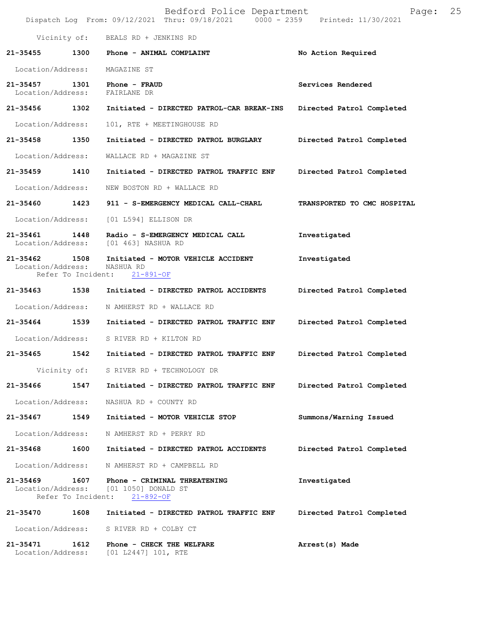|                                                         |      | Bedford Police Department<br>Dispatch Log From: 09/12/2021 Thru: 09/18/2021 0000 - 2359 Printed: 11/30/2021 | 25<br>Page:                 |
|---------------------------------------------------------|------|-------------------------------------------------------------------------------------------------------------|-----------------------------|
|                                                         |      | Vicinity of: BEALS RD + JENKINS RD                                                                          |                             |
| 21-35455                                                | 1300 | Phone - ANIMAL COMPLAINT                                                                                    | No Action Required          |
| Location/Address:                                       |      | MAGAZINE ST                                                                                                 |                             |
| 21-35457<br>Location/Address:                           | 1301 | Phone - FRAUD<br>FAIRLANE DR                                                                                | Services Rendered           |
| 21-35456 1302                                           |      | Initiated - DIRECTED PATROL-CAR BREAK-INS                                                                   | Directed Patrol Completed   |
| Location/Address:                                       |      | 101, RTE + MEETINGHOUSE RD                                                                                  |                             |
| 21-35458                                                | 1350 | Initiated - DIRECTED PATROL BURGLARY                                                                        | Directed Patrol Completed   |
| Location/Address:                                       |      | WALLACE RD + MAGAZINE ST                                                                                    |                             |
| 21-35459                                                | 1410 | Initiated - DIRECTED PATROL TRAFFIC ENF                                                                     | Directed Patrol Completed   |
| Location/Address:                                       |      | NEW BOSTON RD + WALLACE RD                                                                                  |                             |
| 21-35460 1423                                           |      | 911 - S-EMERGENCY MEDICAL CALL-CHARL                                                                        | TRANSPORTED TO CMC HOSPITAL |
| Location/Address:                                       |      | [01 L594] ELLISON DR                                                                                        |                             |
| $21 - 35461$<br>Location/Address:                       | 1448 | Radio - S-EMERGENCY MEDICAL CALL<br>[01 463] NASHUA RD                                                      | Investigated                |
| 21-35462<br>Location/Address:<br>Refer To Incident:     | 1508 | Initiated - MOTOR VEHICLE ACCIDENT<br>NASHUA RD<br>$21 - 891 - OF$                                          | Investigated                |
| 21-35463 1538                                           |      | Initiated - DIRECTED PATROL ACCIDENTS                                                                       | Directed Patrol Completed   |
| Location/Address:                                       |      | N AMHERST RD + WALLACE RD                                                                                   |                             |
| 21-35464                                                | 1539 | Initiated - DIRECTED PATROL TRAFFIC ENF                                                                     | Directed Patrol Completed   |
| Location/Address:                                       |      | S RIVER RD + KILTON RD                                                                                      |                             |
| 21-35465                                                | 1542 | Initiated - DIRECTED PATROL TRAFFIC ENF                                                                     | Directed Patrol Completed   |
| Vicinity of:                                            |      | S RIVER RD + TECHNOLOGY DR                                                                                  |                             |
| 21-35466                                                | 1547 | Initiated - DIRECTED PATROL TRAFFIC ENF                                                                     | Directed Patrol Completed   |
| Location/Address:                                       |      | NASHUA RD + COUNTY RD                                                                                       |                             |
| 21-35467                                                | 1549 | Initiated - MOTOR VEHICLE STOP                                                                              | Summons/Warning Issued      |
| Location/Address:                                       |      | N AMHERST RD + PERRY RD                                                                                     |                             |
| 21-35468                                                | 1600 | Initiated - DIRECTED PATROL ACCIDENTS                                                                       | Directed Patrol Completed   |
| Location/Address:                                       |      | N AMHERST RD + CAMPBELL RD                                                                                  |                             |
| $21 - 35469$<br>Location/Address:<br>Refer To Incident: | 1607 | Phone - CRIMINAL THREATENING<br>[01 1050] DONALD ST<br>$21 - 892 - OF$                                      | Investigated                |
| 21-35470                                                | 1608 | Initiated - DIRECTED PATROL TRAFFIC ENF                                                                     | Directed Patrol Completed   |
| Location/Address:                                       |      | S RIVER RD + COLBY CT                                                                                       |                             |
| 21-35471<br>Location/Address:                           | 1612 | Phone - CHECK THE WELFARE<br>[01 L2447] 101, RTE                                                            | Arrest(s) Made              |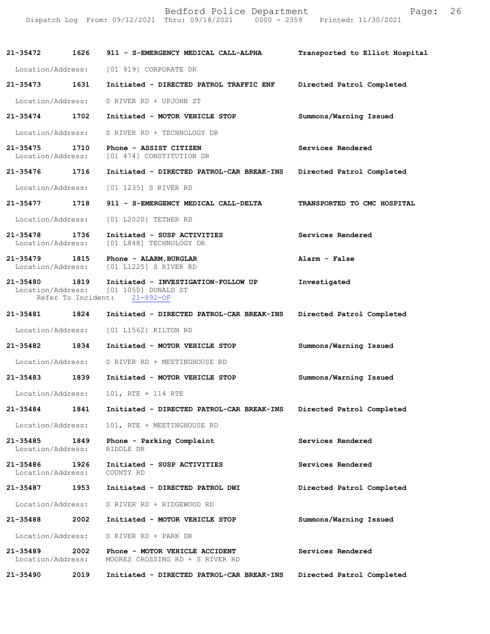|                                                                                | Bedford Police Department | Page: 26 |  |
|--------------------------------------------------------------------------------|---------------------------|----------|--|
| Dispatch Log From: 09/12/2021 Thru: 09/18/2021 0000 - 2359 Printed: 11/30/2021 |                           |          |  |

**21-35472 1626 911 - S-EMERGENCY MEDICAL CALL-ALPHA Transported to Elliot Hospital** Location/Address: [01 919] CORPORATE DR **21-35473 1631 Initiated - DIRECTED PATROL TRAFFIC ENF Directed Patrol Completed**  Location/Address: S RIVER RD + UPJOHN ST **21-35474 1702 Initiated - MOTOR VEHICLE STOP Summons/Warning Issued**  Location/Address: S RIVER RD + TECHNOLOGY DR **21-35475 1710 Phone - ASSIST CITIZEN Services Rendered**  Location/Address: [01 474] CONSTITUTION DR **21-35476 1716 Initiated - DIRECTED PATROL-CAR BREAK-INS Directed Patrol Completed**  Location/Address: [01 1235] S RIVER RD **21-35477 1718 911 - S-EMERGENCY MEDICAL CALL-DELTA TRANSPORTED TO CMC HOSPITAL**  Location/Address: [01 L2020] TETHER RD **21-35478 1736 Initiated - SUSP ACTIVITIES Services Rendered**  Location/Address: [01 L848] TECHNOLOGY DR **21-35479 1815 Phone - ALARM,BURGLAR Alarm - False**  Location/Address: [01 L1225] S RIVER RD **21-35480 1819 Initiated - INVESTIGATION-FOLLOW UP Investigated**  Location/Address: [01 1050] DONALD ST Refer To Incident: 21-892-OF **21-35481 1824 Initiated - DIRECTED PATROL-CAR BREAK-INS Directed Patrol Completed**  Location/Address: [01 L1562] KILTON RD **21-35482 1834 Initiated - MOTOR VEHICLE STOP Summons/Warning Issued**  Location/Address: S RIVER RD + MEETINGHOUSE RD **21-35483 1839 Initiated - MOTOR VEHICLE STOP Summons/Warning Issued**  Location/Address: 101, RTE + 114 RTE **21-35484 1841 Initiated - DIRECTED PATROL-CAR BREAK-INS Directed Patrol Completed**  Location/Address: 101, RTE + MEETINGHOUSE RD **21-35485 1849 Phone - Parking Complaint Services Rendered**  Location/Address: RIDDLE DR **21-35486 1926 Initiated - SUSP ACTIVITIES Services Rendered**  Location/Address: COUNTY RD **21-35487 1953 Initiated - DIRECTED PATROL DWI Directed Patrol Completed**  Location/Address: S RIVER RD + RIDGEWOOD RD **21-35488 2002 Initiated - MOTOR VEHICLE STOP Summons/Warning Issued**  Location/Address: S RIVER RD + PARK DR **21-35489 2002 Phone - MOTOR VEHICLE ACCIDENT Services Rendered**  Location/Address: MOORES CROSSING RD + S RIVER RD **21-35490 2019 Initiated - DIRECTED PATROL-CAR BREAK-INS Directed Patrol Completed**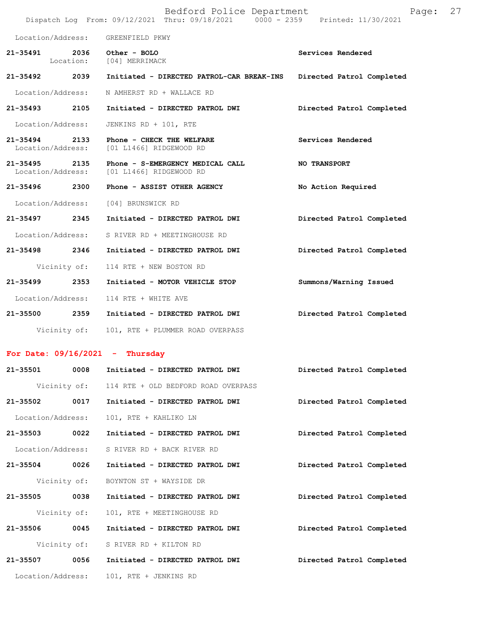|                   |              | Bedford Police Department<br>Dispatch Log From: 09/12/2021 Thru: 09/18/2021 0000 - 2359 Printed: 11/30/2021 | Page:                     | 27 |
|-------------------|--------------|-------------------------------------------------------------------------------------------------------------|---------------------------|----|
|                   |              | Location/Address: GREENFIELD PKWY                                                                           |                           |    |
|                   |              | 21-35491 2036 Other - BOLO<br>Location: [04] MERRIMACK                                                      | Services Rendered         |    |
|                   |              | 21-35492  2039    Initiated - DIRECTED PATROL-CAR BREAK-INS                                                 | Directed Patrol Completed |    |
|                   |              | Location/Address: N AMHERST RD + WALLACE RD                                                                 |                           |    |
|                   |              | 21-35493 2105 Initiated - DIRECTED PATROL DWI                                                               | Directed Patrol Completed |    |
| Location/Address: |              | JENKINS RD + 101, RTE                                                                                       |                           |    |
|                   |              | 21-35494 2133 Phone - CHECK THE WELFARE<br>Location/Address: [01 L1466] RIDGEWOOD RD                        | Services Rendered         |    |
|                   |              | 21-35495 2135 Phone - S-EMERGENCY MEDICAL CALL<br>Location/Address: [01 L1466] RIDGEWOOD RD                 | <b>NO TRANSPORT</b>       |    |
|                   |              | 21-35496  2300 Phone - ASSIST OTHER AGENCY                                                                  | No Action Required        |    |
|                   |              | Location/Address: [04] BRUNSWICK RD                                                                         |                           |    |
| 21-35497 2345     |              | Initiated - DIRECTED PATROL DWI                                                                             | Directed Patrol Completed |    |
|                   |              | Location/Address: S RIVER RD + MEETINGHOUSE RD                                                              |                           |    |
|                   |              | 21-35498  2346  Initiated - DIRECTED PATROL DWI                                                             | Directed Patrol Completed |    |
|                   |              | Vicinity of: 114 RTE + NEW BOSTON RD                                                                        |                           |    |
|                   |              | 21-35499 2353 Initiated - MOTOR VEHICLE STOP                                                                | Summons/Warning Issued    |    |
|                   |              | Location/Address: 114 RTE + WHITE AVE                                                                       |                           |    |
|                   |              | 21-35500  2359    Initiated - DIRECTED PATROL DWI                                                           | Directed Patrol Completed |    |
|                   |              | Vicinity of: 101, RTE + PLUMMER ROAD OVERPASS                                                               |                           |    |
|                   |              | For Date: $09/16/2021$ - Thursday                                                                           |                           |    |
| 21-35501          | 0008         | Initiated - DIRECTED PATROL DWI                                                                             | Directed Patrol Completed |    |
|                   |              | Vicinity of: 114 RTE + OLD BEDFORD ROAD OVERPASS                                                            |                           |    |
| 21-35502          | 0017         | Initiated - DIRECTED PATROL DWI                                                                             | Directed Patrol Completed |    |
| Location/Address: |              | 101, RTE + KAHLIKO LN                                                                                       |                           |    |
| 21-35503          | 0022         | Initiated - DIRECTED PATROL DWI                                                                             | Directed Patrol Completed |    |
| Location/Address: |              | S RIVER RD + BACK RIVER RD                                                                                  |                           |    |
| 21-35504 0026     |              | Initiated - DIRECTED PATROL DWI                                                                             | Directed Patrol Completed |    |
|                   | Vicinity of: | BOYNTON ST + WAYSIDE DR                                                                                     |                           |    |
| 21-35505 0038     |              | Initiated - DIRECTED PATROL DWI                                                                             | Directed Patrol Completed |    |
| Vicinity of:      |              | 101, RTE + MEETINGHOUSE RD                                                                                  |                           |    |
| 21-35506          | 0045         | Initiated - DIRECTED PATROL DWI                                                                             | Directed Patrol Completed |    |
|                   |              | Vicinity of: S RIVER RD + KILTON RD                                                                         |                           |    |
| 21-35507          | 0056         | Initiated - DIRECTED PATROL DWI                                                                             | Directed Patrol Completed |    |
| Location/Address: |              | 101, RTE + JENKINS RD                                                                                       |                           |    |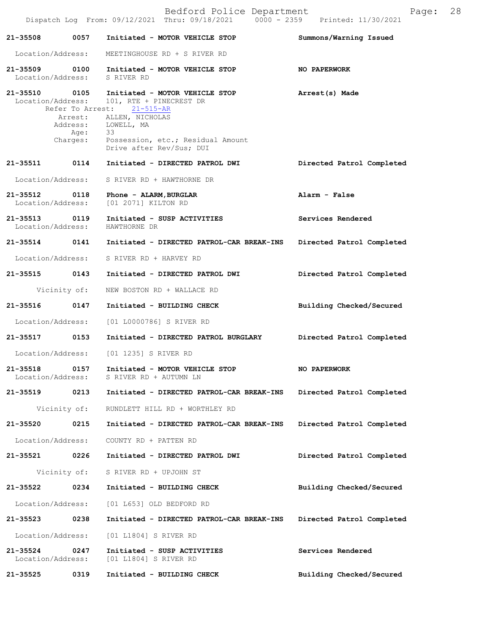|                                    |                                      | Bedford Police Department<br>Dispatch Log From: 09/12/2021 Thru: 09/18/2021 0000 - 2359 Printed: 11/30/2021                                                                                     | Page:                     | 28 |
|------------------------------------|--------------------------------------|-------------------------------------------------------------------------------------------------------------------------------------------------------------------------------------------------|---------------------------|----|
| 21-35508                           | 0057                                 | Initiated - MOTOR VEHICLE STOP                                                                                                                                                                  | Summons/Warning Issued    |    |
| Location/Address:                  |                                      | MEETINGHOUSE RD + S RIVER RD                                                                                                                                                                    |                           |    |
| 21-35509 0100<br>Location/Address: |                                      | Initiated - MOTOR VEHICLE STOP<br>S RIVER RD                                                                                                                                                    | <b>NO PAPERWORK</b>       |    |
| 21-35510 0105<br>Location/Address: | Refer To Arrest:<br>Age:<br>Charges: | Initiated - MOTOR VEHICLE STOP<br>101, RTE + PINECREST DR<br>21-515-AR<br>Arrest: ALLEN, NICHOLAS<br>Address: LOWELL, MA<br>33<br>Possession, etc.; Residual Amount<br>Drive after Rev/Sus; DUI | Arrest(s) Made            |    |
| 21-35511                           | 0114                                 | Initiated - DIRECTED PATROL DWI                                                                                                                                                                 | Directed Patrol Completed |    |
| Location/Address:                  |                                      | S RIVER RD + HAWTHORNE DR                                                                                                                                                                       |                           |    |
| 21-35512 0118<br>Location/Address: |                                      | Phone - ALARM, BURGLAR<br>[01 2071] KILTON RD                                                                                                                                                   | Alarm - False             |    |
| 21-35513 0119<br>Location/Address: |                                      | Initiated - SUSP ACTIVITIES<br>HAWTHORNE DR                                                                                                                                                     | Services Rendered         |    |
| 21-35514 0141                      |                                      | Initiated - DIRECTED PATROL-CAR BREAK-INS                                                                                                                                                       | Directed Patrol Completed |    |
| Location/Address:                  |                                      | S RIVER RD + HARVEY RD                                                                                                                                                                          |                           |    |
| 21-35515 0143                      |                                      | Initiated - DIRECTED PATROL DWI                                                                                                                                                                 | Directed Patrol Completed |    |
|                                    | Vicinity of:                         | NEW BOSTON RD + WALLACE RD                                                                                                                                                                      |                           |    |
| 21-35516                           | 0147                                 | Initiated - BUILDING CHECK                                                                                                                                                                      | Building Checked/Secured  |    |
| Location/Address:                  |                                      | [01 L0000786] S RIVER RD                                                                                                                                                                        |                           |    |
| 21-35517 0153                      |                                      | Initiated - DIRECTED PATROL BURGLARY                                                                                                                                                            | Directed Patrol Completed |    |
|                                    |                                      | Location/Address: [01 1235] S RIVER RD                                                                                                                                                          |                           |    |
| 21-35518<br>Location/Address:      | 0157                                 | Initiated - MOTOR VEHICLE STOP<br>S RIVER RD + AUTUMN LN                                                                                                                                        | NO PAPERWORK              |    |
| 21-35519                           | 0213                                 | Initiated - DIRECTED PATROL-CAR BREAK-INS                                                                                                                                                       | Directed Patrol Completed |    |
|                                    | Vicinity of:                         | RUNDLETT HILL RD + WORTHLEY RD                                                                                                                                                                  |                           |    |
| 21-35520                           | 0215                                 | Initiated - DIRECTED PATROL-CAR BREAK-INS                                                                                                                                                       | Directed Patrol Completed |    |
| Location/Address:                  |                                      | COUNTY RD + PATTEN RD                                                                                                                                                                           |                           |    |
| 21-35521                           | 0226                                 | Initiated - DIRECTED PATROL DWI                                                                                                                                                                 | Directed Patrol Completed |    |
|                                    | Vicinity of:                         | S RIVER RD + UPJOHN ST                                                                                                                                                                          |                           |    |
| 21-35522                           | 0234                                 | Initiated - BUILDING CHECK                                                                                                                                                                      | Building Checked/Secured  |    |
| Location/Address:                  |                                      | [01 L653] OLD BEDFORD RD                                                                                                                                                                        |                           |    |
| 21-35523                           | 0238                                 | Initiated - DIRECTED PATROL-CAR BREAK-INS                                                                                                                                                       | Directed Patrol Completed |    |
| Location/Address:                  |                                      | [01 L1804] S RIVER RD                                                                                                                                                                           |                           |    |
| 21-35524<br>Location/Address:      | 0247                                 | Initiated - SUSP ACTIVITIES<br>[01 L1804] S RIVER RD                                                                                                                                            | Services Rendered         |    |
| 21-35525                           | 0319                                 | Initiated - BUILDING CHECK                                                                                                                                                                      | Building Checked/Secured  |    |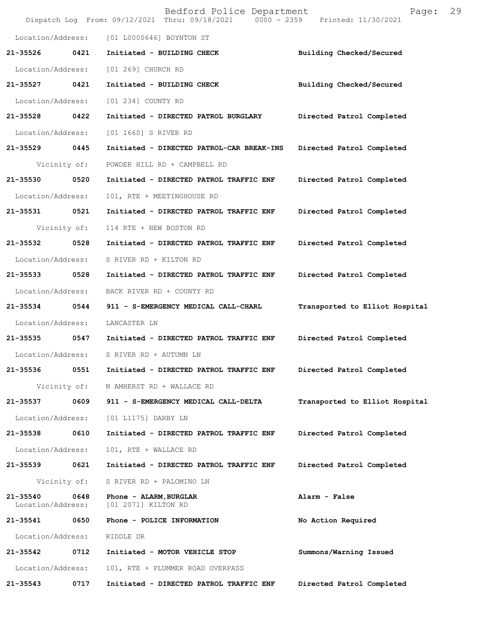|                               |              | Bedford Police Department<br>Dispatch Log From: 09/12/2021 Thru: 09/18/2021 0000 - 2359 Printed: 11/30/2021 | Page:                          | 29 |
|-------------------------------|--------------|-------------------------------------------------------------------------------------------------------------|--------------------------------|----|
| Location/Address:             |              | [01 L0000646] BOYNTON ST                                                                                    |                                |    |
| 21-35526                      | 0421         | Initiated - BUILDING CHECK                                                                                  | Building Checked/Secured       |    |
| Location/Address:             |              | [01 269] CHURCH RD                                                                                          |                                |    |
| 21-35527 0421                 |              | Initiated - BUILDING CHECK                                                                                  | Building Checked/Secured       |    |
| Location/Address:             |              | [01 234] COUNTY RD                                                                                          |                                |    |
| 21-35528                      | 0422         | Initiated - DIRECTED PATROL BURGLARY                                                                        | Directed Patrol Completed      |    |
| Location/Address:             |              | [01 1660] S RIVER RD                                                                                        |                                |    |
| 21-35529                      | 0445         | Initiated - DIRECTED PATROL-CAR BREAK-INS                                                                   | Directed Patrol Completed      |    |
|                               | Vicinity of: | POWDER HILL RD + CAMPBELL RD                                                                                |                                |    |
| 21-35530                      | 0520         | Initiated - DIRECTED PATROL TRAFFIC ENF                                                                     | Directed Patrol Completed      |    |
| Location/Address:             |              | 101, RTE + MEETINGHOUSE RD                                                                                  |                                |    |
| 21-35531                      | 0521         | Initiated - DIRECTED PATROL TRAFFIC ENF                                                                     | Directed Patrol Completed      |    |
|                               | Vicinity of: | 114 RTE + NEW BOSTON RD                                                                                     |                                |    |
| 21-35532                      | 0528         | Initiated - DIRECTED PATROL TRAFFIC ENF                                                                     | Directed Patrol Completed      |    |
| Location/Address:             |              | S RIVER RD + KILTON RD                                                                                      |                                |    |
| 21-35533                      | 0528         | Initiated - DIRECTED PATROL TRAFFIC ENF                                                                     | Directed Patrol Completed      |    |
| Location/Address:             |              | BACK RIVER RD + COUNTY RD                                                                                   |                                |    |
| 21-35534                      | 0544         | 911 - S-EMERGENCY MEDICAL CALL-CHARL                                                                        | Transported to Elliot Hospital |    |
| Location/Address:             |              | LANCASTER LN                                                                                                |                                |    |
| 21-35535                      | 0547         | Initiated - DIRECTED PATROL TRAFFIC ENF                                                                     | Directed Patrol Completed      |    |
| Location/Address:             |              | S RIVER RD + AUTUMN LN                                                                                      |                                |    |
| 21-35536                      | 0551         | Initiated - DIRECTED PATROL TRAFFIC ENF                                                                     | Directed Patrol Completed      |    |
|                               | Vicinity of: | N AMHERST RD + WALLACE RD                                                                                   |                                |    |
| 21-35537                      | 0609         | 911 - S-EMERGENCY MEDICAL CALL-DELTA                                                                        | Transported to Elliot Hospital |    |
| Location/Address:             |              | [01 L1175] DARBY LN                                                                                         |                                |    |
| 21-35538                      | 0610         | Initiated - DIRECTED PATROL TRAFFIC ENF                                                                     | Directed Patrol Completed      |    |
| Location/Address:             |              | 101, RTE + WALLACE RD                                                                                       |                                |    |
| 21-35539                      | 0621         | Initiated - DIRECTED PATROL TRAFFIC ENF                                                                     | Directed Patrol Completed      |    |
|                               | Vicinity of: | S RIVER RD + PALOMINO LN                                                                                    |                                |    |
| 21-35540<br>Location/Address: | 0648         | Phone - ALARM, BURGLAR<br>[01 2071] KILTON RD                                                               | Alarm - False                  |    |
| 21-35541                      | 0650         | Phone - POLICE INFORMATION                                                                                  | No Action Required             |    |
| Location/Address:             |              | RIDDLE DR                                                                                                   |                                |    |
| 21-35542                      | 0712         | Initiated - MOTOR VEHICLE STOP                                                                              | Summons/Warning Issued         |    |
| Location/Address:             |              | 101, RTE + PLUMMER ROAD OVERPASS                                                                            |                                |    |
| 21-35543                      | 0717         | Initiated - DIRECTED PATROL TRAFFIC ENF                                                                     | Directed Patrol Completed      |    |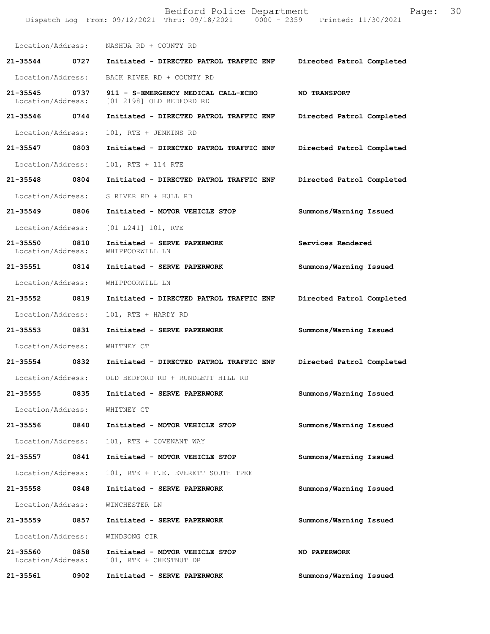|                                    |      | Bedford Police Department<br>Dispatch Log From: 09/12/2021 Thru: 09/18/2021 0000 - 2359 Printed: 11/30/2021 | Page:                     | 30 |
|------------------------------------|------|-------------------------------------------------------------------------------------------------------------|---------------------------|----|
|                                    |      | Location/Address: NASHUA RD + COUNTY RD                                                                     |                           |    |
|                                    |      | 21-35544 0727 Initiated - DIRECTED PATROL TRAFFIC ENF                                                       | Directed Patrol Completed |    |
| Location/Address:                  |      | BACK RIVER RD + COUNTY RD                                                                                   |                           |    |
| 21-35545 0737<br>Location/Address: |      | 911 - S-EMERGENCY MEDICAL CALL-ECHO<br>[01 2198] OLD BEDFORD RD                                             | NO TRANSPORT              |    |
| 21-35546 0744                      |      | Initiated - DIRECTED PATROL TRAFFIC ENF                                                                     | Directed Patrol Completed |    |
| Location/Address:                  |      | 101, RTE + JENKINS RD                                                                                       |                           |    |
| 21-35547 0803                      |      | Initiated - DIRECTED PATROL TRAFFIC ENF                                                                     | Directed Patrol Completed |    |
| Location/Address:                  |      | 101, RTE + 114 RTE                                                                                          |                           |    |
|                                    |      | 21-35548 0804 Initiated - DIRECTED PATROL TRAFFIC ENF                                                       | Directed Patrol Completed |    |
| Location/Address:                  |      | S RIVER RD + HULL RD                                                                                        |                           |    |
| 21-35549 0806                      |      | Initiated - MOTOR VEHICLE STOP                                                                              | Summons/Warning Issued    |    |
| Location/Address:                  |      | $[01 L241] 101$ , RTE                                                                                       |                           |    |
| 21-35550<br>Location/Address:      | 0810 | Initiated - SERVE PAPERWORK<br>WHIPPOORWILL LN                                                              | Services Rendered         |    |
| 21-35551 0814                      |      | Initiated - SERVE PAPERWORK                                                                                 | Summons/Warning Issued    |    |
| Location/Address:                  |      | WHIPPOORWILL LN                                                                                             |                           |    |
| 21-35552 0819                      |      | Initiated - DIRECTED PATROL TRAFFIC ENF                                                                     | Directed Patrol Completed |    |
| Location/Address:                  |      | 101, RTE + HARDY RD                                                                                         |                           |    |
| 21-35553 0831                      |      | Initiated - SERVE PAPERWORK                                                                                 | Summons/Warning Issued    |    |
| Location/Address:                  |      | WHITNEY CT                                                                                                  |                           |    |
|                                    |      | 21-35554     0832  Initiated - DIRECTED PATROL TRAFFIC ENF    Directed Patrol Completed                     |                           |    |
|                                    |      | Location/Address: OLD BEDFORD RD + RUNDLETT HILL RD                                                         |                           |    |
|                                    |      | 21-35555 0835 Initiated - SERVE PAPERWORK                                                                   | Summons/Warning Issued    |    |
| Location/Address:                  |      | WHITNEY CT                                                                                                  |                           |    |
|                                    |      | 21-35556 0840 Initiated - MOTOR VEHICLE STOP                                                                | Summons/Warning Issued    |    |
| Location/Address:                  |      | 101, RTE + COVENANT WAY                                                                                     |                           |    |
| 21-35557 0841                      |      | Initiated - MOTOR VEHICLE STOP                                                                              | Summons/Warning Issued    |    |
| Location/Address:                  |      | 101, RTE + F.E. EVERETT SOUTH TPKE                                                                          |                           |    |
| 21-35558 0848                      |      | Initiated - SERVE PAPERWORK                                                                                 | Summons/Warning Issued    |    |
| Location/Address:                  |      | WINCHESTER LN                                                                                               |                           |    |
| 21-35559 0857                      |      | Initiated - SERVE PAPERWORK                                                                                 | Summons/Warning Issued    |    |
| Location/Address:                  |      | WINDSONG CIR                                                                                                |                           |    |
| 21-35560 0858<br>Location/Address: |      | Initiated - MOTOR VEHICLE STOP<br>101, RTE + CHESTNUT DR                                                    | NO PAPERWORK              |    |
| 21-35561 0902                      |      | Initiated - SERVE PAPERWORK                                                                                 | Summons/Warning Issued    |    |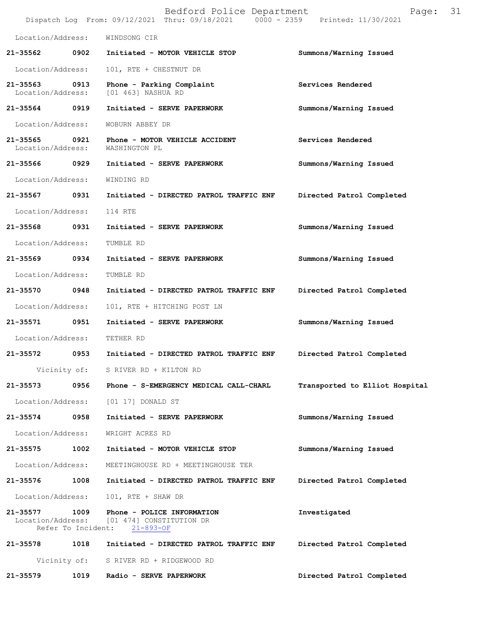|                               |                            | Bedford Police Department<br>Dispatch Log From: 09/12/2021 Thru: 09/18/2021 0000 - 2359 Printed: 11/30/2021 | 31<br>Page:                    |
|-------------------------------|----------------------------|-------------------------------------------------------------------------------------------------------------|--------------------------------|
| Location/Address:             |                            | WINDSONG CIR                                                                                                |                                |
| 21-35562                      | 0902                       | Initiated - MOTOR VEHICLE STOP                                                                              | Summons/Warning Issued         |
| Location/Address:             |                            | 101, RTE + CHESTNUT DR                                                                                      |                                |
| 21-35563<br>Location/Address: | 0913                       | Phone - Parking Complaint<br>[01 463] NASHUA RD                                                             | Services Rendered              |
| 21-35564 0919                 |                            | Initiated - SERVE PAPERWORK                                                                                 | Summons/Warning Issued         |
| Location/Address:             |                            | WOBURN ABBEY DR                                                                                             |                                |
| 21-35565<br>Location/Address: | 0921                       | Phone - MOTOR VEHICLE ACCIDENT<br>WASHINGTON PL                                                             | Services Rendered              |
| 21-35566                      | 0929                       | Initiated - SERVE PAPERWORK                                                                                 | Summons/Warning Issued         |
| Location/Address:             |                            | WINDING RD                                                                                                  |                                |
| 21-35567                      | 0931                       | Initiated - DIRECTED PATROL TRAFFIC ENF                                                                     | Directed Patrol Completed      |
| Location/Address:             |                            | 114 RTE                                                                                                     |                                |
| 21-35568                      | 0931                       | Initiated - SERVE PAPERWORK                                                                                 | Summons/Warning Issued         |
| Location/Address:             |                            | TUMBLE RD                                                                                                   |                                |
| 21-35569                      | 0934                       | Initiated - SERVE PAPERWORK                                                                                 | Summons/Warning Issued         |
| Location/Address:             |                            | TUMBLE RD                                                                                                   |                                |
| 21-35570                      | 0948                       | Initiated - DIRECTED PATROL TRAFFIC ENF                                                                     | Directed Patrol Completed      |
| Location/Address:             |                            | 101, RTE + HITCHING POST LN                                                                                 |                                |
| 21-35571                      | 0951                       | Initiated - SERVE PAPERWORK                                                                                 | Summons/Warning Issued         |
| Location/Address:             |                            | TETHER RD                                                                                                   |                                |
| 21-35572                      | 0953                       | Initiated - DIRECTED PATROL TRAFFIC ENF                                                                     | Directed Patrol Completed      |
|                               | Vicinity of:               | S RIVER RD + KILTON RD                                                                                      |                                |
| $21 - 35573$                  | 0956                       | Phone - S-EMERGENCY MEDICAL CALL-CHARL                                                                      | Transported to Elliot Hospital |
| Location/Address:             |                            | [01 17] DONALD ST                                                                                           |                                |
| 21-35574                      | 0958                       | Initiated - SERVE PAPERWORK                                                                                 | Summons/Warning Issued         |
| Location/Address:             |                            | WRIGHT ACRES RD                                                                                             |                                |
| 21-35575                      | 1002                       | Initiated - MOTOR VEHICLE STOP                                                                              | Summons/Warning Issued         |
| Location/Address:             |                            | MEETINGHOUSE RD + MEETINGHOUSE TER                                                                          |                                |
| 21-35576                      | 1008                       | Initiated - DIRECTED PATROL TRAFFIC ENF                                                                     | Directed Patrol Completed      |
| Location/Address:             |                            | 101, RTE + SHAW DR                                                                                          |                                |
| 21-35577<br>Location/Address: | 1009<br>Refer To Incident: | Phone - POLICE INFORMATION<br>[01 474] CONSTITUTION DR<br>$21 - 893 - OF$                                   | Investigated                   |
| 21-35578                      | 1018                       | Initiated - DIRECTED PATROL TRAFFIC ENF                                                                     | Directed Patrol Completed      |
|                               | Vicinity of:               | S RIVER RD + RIDGEWOOD RD                                                                                   |                                |
| 21-35579                      | 1019                       | Radio - SERVE PAPERWORK                                                                                     | Directed Patrol Completed      |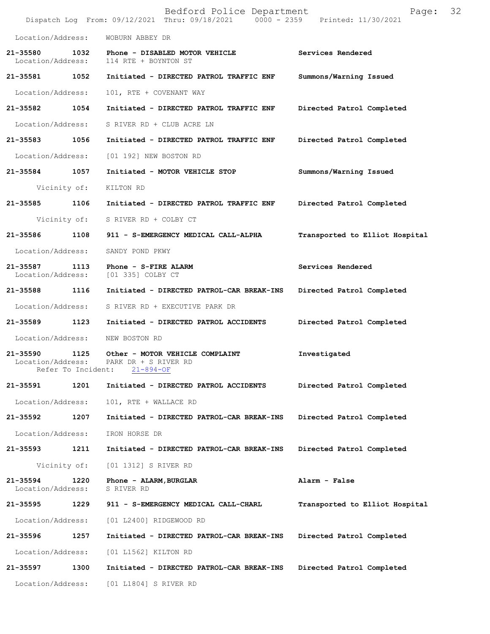|                                    |                            | Bedford Police Department<br>Dispatch Log From: 09/12/2021 Thru: 09/18/2021 0000 - 2359 Printed: 11/30/2021 | Page:                          | 32 |
|------------------------------------|----------------------------|-------------------------------------------------------------------------------------------------------------|--------------------------------|----|
| Location/Address:                  |                            | WOBURN ABBEY DR                                                                                             |                                |    |
| Location/Address:                  |                            | 114 RTE + BOYNTON ST                                                                                        | Services Rendered              |    |
| 21-35581 1052                      |                            | Initiated - DIRECTED PATROL TRAFFIC ENF                                                                     | Summons/Warning Issued         |    |
| Location/Address:                  |                            | 101, RTE + COVENANT WAY                                                                                     |                                |    |
| 21-35582 1054                      |                            | Initiated - DIRECTED PATROL TRAFFIC ENF                                                                     | Directed Patrol Completed      |    |
| Location/Address:                  |                            | S RIVER RD + CLUB ACRE LN                                                                                   |                                |    |
| 21-35583 1056                      |                            | Initiated - DIRECTED PATROL TRAFFIC ENF                                                                     | Directed Patrol Completed      |    |
| Location/Address:                  |                            | [01 192] NEW BOSTON RD                                                                                      |                                |    |
| 21-35584 1057                      |                            | Initiated - MOTOR VEHICLE STOP                                                                              | Summons/Warning Issued         |    |
|                                    | Vicinity of:               | KILTON RD                                                                                                   |                                |    |
| 21-35585 1106                      |                            | Initiated - DIRECTED PATROL TRAFFIC ENF                                                                     | Directed Patrol Completed      |    |
|                                    |                            | Vicinity of: S RIVER RD + COLBY CT                                                                          |                                |    |
| 21-35586                           | 1108                       | 911 - S-EMERGENCY MEDICAL CALL-ALPHA                                                                        | Transported to Elliot Hospital |    |
| Location/Address:                  |                            | SANDY POND PKWY                                                                                             |                                |    |
| 21-35587 1113<br>Location/Address: |                            | Phone - S-FIRE ALARM<br>[01 335] COLBY CT                                                                   | Services Rendered              |    |
| 21-35588 1116                      |                            | Initiated - DIRECTED PATROL-CAR BREAK-INS                                                                   | Directed Patrol Completed      |    |
| Location/Address:                  |                            | S RIVER RD + EXECUTIVE PARK DR                                                                              |                                |    |
| 21-35589 1123                      |                            | Initiated - DIRECTED PATROL ACCIDENTS                                                                       | Directed Patrol Completed      |    |
| Location/Address:                  |                            | NEW BOSTON RD                                                                                               |                                |    |
| 21-35590<br>Location/Address:      | 1125<br>Refer To Incident: | Other - MOTOR VEHICLE COMPLAINT<br>PARK DR + S RIVER RD<br>$21 - 894 - OF$                                  | Investigated                   |    |
| 21-35591                           | 1201                       | Initiated - DIRECTED PATROL ACCIDENTS                                                                       | Directed Patrol Completed      |    |
| Location/Address:                  |                            | 101, RTE + WALLACE RD                                                                                       |                                |    |
| 21-35592                           | 1207                       | Initiated - DIRECTED PATROL-CAR BREAK-INS                                                                   | Directed Patrol Completed      |    |
| Location/Address:                  |                            | IRON HORSE DR                                                                                               |                                |    |
| 21-35593                           | 1211                       | Initiated - DIRECTED PATROL-CAR BREAK-INS                                                                   | Directed Patrol Completed      |    |
|                                    | Vicinity of:               | [01 1312] S RIVER RD                                                                                        |                                |    |
| 21-35594<br>Location/Address:      | 1220                       | Phone - ALARM, BURGLAR<br>S RIVER RD                                                                        | Alarm - False                  |    |
| 21-35595                           | 1229                       | 911 - S-EMERGENCY MEDICAL CALL-CHARL                                                                        | Transported to Elliot Hospital |    |
| Location/Address:                  |                            | [01 L2400] RIDGEWOOD RD                                                                                     |                                |    |
| 21-35596                           | 1257                       | Initiated - DIRECTED PATROL-CAR BREAK-INS                                                                   | Directed Patrol Completed      |    |
| Location/Address:                  |                            | [01 L1562] KILTON RD                                                                                        |                                |    |
| 21-35597                           | 1300                       | Initiated - DIRECTED PATROL-CAR BREAK-INS                                                                   | Directed Patrol Completed      |    |
| Location/Address:                  |                            | [01 L1804] S RIVER RD                                                                                       |                                |    |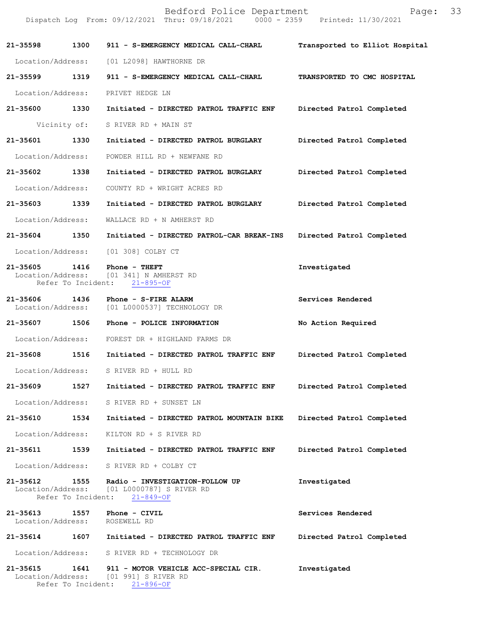|                                    |                    | Bedford Police Department<br>Dispatch Log From: 09/12/2021 Thru: 09/18/2021   0000 - 2359   Printed: 11/30/2021             | Page: 33                       |  |
|------------------------------------|--------------------|-----------------------------------------------------------------------------------------------------------------------------|--------------------------------|--|
| 21-35598 1300                      |                    | 911 - S-EMERGENCY MEDICAL CALL-CHARL                                                                                        | Transported to Elliot Hospital |  |
|                                    |                    | Location/Address: [01 L2098] HAWTHORNE DR                                                                                   |                                |  |
| 21-35599 1319                      |                    | 911 - S-EMERGENCY MEDICAL CALL-CHARL                                                                                        | TRANSPORTED TO CMC HOSPITAL    |  |
| Location/Address:                  |                    | PRIVET HEDGE LN                                                                                                             |                                |  |
| 21-35600 1330                      |                    | Initiated - DIRECTED PATROL TRAFFIC ENF                                                                                     | Directed Patrol Completed      |  |
|                                    |                    | Vicinity of: S RIVER RD + MAIN ST                                                                                           |                                |  |
| 21-35601                           | 1330               | Initiated - DIRECTED PATROL BURGLARY                                                                                        | Directed Patrol Completed      |  |
| Location/Address:                  |                    | POWDER HILL RD + NEWFANE RD                                                                                                 |                                |  |
| 21-35602 1338                      |                    | Initiated - DIRECTED PATROL BURGLARY                                                                                        | Directed Patrol Completed      |  |
| Location/Address:                  |                    | COUNTY RD + WRIGHT ACRES RD                                                                                                 |                                |  |
| 21-35603 1339                      |                    | Initiated - DIRECTED PATROL BURGLARY                                                                                        | Directed Patrol Completed      |  |
| Location/Address:                  |                    | WALLACE RD + N AMHERST RD                                                                                                   |                                |  |
| 21-35604 1350                      |                    | Initiated - DIRECTED PATROL-CAR BREAK-INS                                                                                   | Directed Patrol Completed      |  |
| Location/Address:                  |                    | [01 308] COLBY CT                                                                                                           |                                |  |
| 21-35605 1416<br>Location/Address: |                    | Phone - THEFT<br>[01 341] N AMHERST RD<br>Refer To Incident: 21-895-OF                                                      | Investigated                   |  |
| 21-35606                           | 1436               | Phone - S-FIRE ALARM<br>Location/Address: [01 L0000537] TECHNOLOGY DR                                                       | Services Rendered              |  |
|                                    |                    | 21-35607 1506 Phone - POLICE INFORMATION                                                                                    | No Action Required             |  |
|                                    |                    | Location/Address: FOREST DR + HIGHLAND FARMS DR                                                                             |                                |  |
| 21-35608                           | 1516               | Initiated - DIRECTED PATROL TRAFFIC ENF                                                                                     | Directed Patrol Completed      |  |
|                                    |                    | Location/Address: S RIVER RD + HULL RD                                                                                      |                                |  |
| 21-35609 1527                      |                    | Initiated - DIRECTED PATROL TRAFFIC ENF                                                                                     | Directed Patrol Completed      |  |
| Location/Address:                  |                    | S RIVER RD + SUNSET LN                                                                                                      |                                |  |
| 21-35610                           | 1534               | Initiated - DIRECTED PATROL MOUNTAIN BIKE                                                                                   | Directed Patrol Completed      |  |
| Location/Address:                  |                    | KILTON RD + S RIVER RD                                                                                                      |                                |  |
| 21-35611                           | 1539               | Initiated - DIRECTED PATROL TRAFFIC ENF                                                                                     | Directed Patrol Completed      |  |
|                                    |                    | Location/Address: S RIVER RD + COLBY CT                                                                                     |                                |  |
| 21-35612 1555                      | Refer To Incident: | Radio - INVESTIGATION-FOLLOW UP<br>Location/Address: [01 L0000787] S RIVER RD<br>$21 - 849 - OF$                            | Investigated                   |  |
| 21-35613                           | 1557               | <b>Phone - CIVIL</b><br>Location/Address: ROSEWELL RD                                                                       | Services Rendered              |  |
| 21-35614                           | 1607               | Initiated - DIRECTED PATROL TRAFFIC ENF                                                                                     | Directed Patrol Completed      |  |
|                                    |                    | Location/Address: S RIVER RD + TECHNOLOGY DR                                                                                |                                |  |
|                                    |                    | 21-35615 1641 911 - MOTOR VEHICLE ACC-SPECIAL CIR.<br>Location/Address: [01 991] S RIVER RD<br>Refer To Incident: 21-896-OF | Investigated                   |  |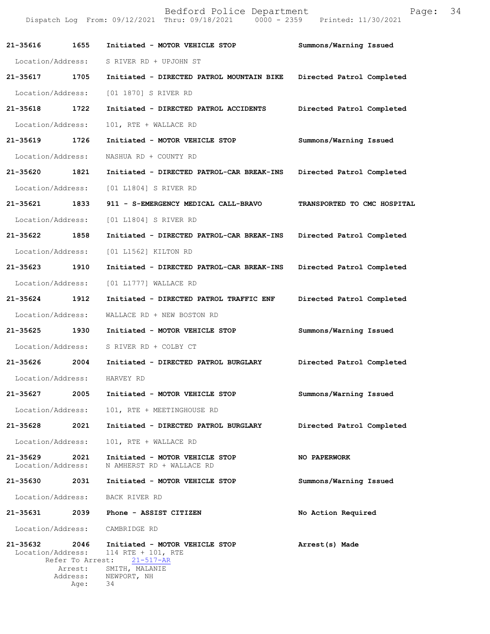|                               |                 | Bedford Police Department<br>Dispatch Log From: 09/12/2021 Thru: 09/18/2021 0000 - 2359 Printed: 11/30/2021                                          | Page:                       | 34 |
|-------------------------------|-----------------|------------------------------------------------------------------------------------------------------------------------------------------------------|-----------------------------|----|
| 21-35616                      | 1655            | Initiated - MOTOR VEHICLE STOP                                                                                                                       | Summons/Warning Issued      |    |
| Location/Address:             |                 | S RIVER RD + UPJOHN ST                                                                                                                               |                             |    |
| 21-35617                      | 1705            | Initiated - DIRECTED PATROL MOUNTAIN BIKE                                                                                                            | Directed Patrol Completed   |    |
| Location/Address:             |                 | [01 1870] S RIVER RD                                                                                                                                 |                             |    |
| 21-35618                      | 1722            | Initiated - DIRECTED PATROL ACCIDENTS                                                                                                                | Directed Patrol Completed   |    |
| Location/Address:             |                 | 101, RTE + WALLACE RD                                                                                                                                |                             |    |
| 21-35619                      | 1726            | Initiated - MOTOR VEHICLE STOP                                                                                                                       | Summons/Warning Issued      |    |
| Location/Address:             |                 | NASHUA RD + COUNTY RD                                                                                                                                |                             |    |
| 21-35620 1821                 |                 | Initiated - DIRECTED PATROL-CAR BREAK-INS                                                                                                            | Directed Patrol Completed   |    |
| Location/Address:             |                 | [01 L1804] S RIVER RD                                                                                                                                |                             |    |
| 21-35621                      | 1833            | 911 - S-EMERGENCY MEDICAL CALL-BRAVO                                                                                                                 | TRANSPORTED TO CMC HOSPITAL |    |
| Location/Address:             |                 | [01 L1804] S RIVER RD                                                                                                                                |                             |    |
| 21-35622                      | 1858            | Initiated - DIRECTED PATROL-CAR BREAK-INS                                                                                                            | Directed Patrol Completed   |    |
| Location/Address:             |                 | [01 L1562] KILTON RD                                                                                                                                 |                             |    |
| 21-35623                      | 1910            | Initiated - DIRECTED PATROL-CAR BREAK-INS                                                                                                            | Directed Patrol Completed   |    |
| Location/Address:             |                 | [01 L1777] WALLACE RD                                                                                                                                |                             |    |
| 21-35624                      | 1912            | Initiated - DIRECTED PATROL TRAFFIC ENF                                                                                                              | Directed Patrol Completed   |    |
| Location/Address:             |                 | WALLACE RD + NEW BOSTON RD                                                                                                                           |                             |    |
| 21-35625                      | 1930            | Initiated - MOTOR VEHICLE STOP                                                                                                                       | Summons/Warning Issued      |    |
|                               |                 | Location/Address: S RIVER RD + COLBY CT                                                                                                              |                             |    |
|                               |                 | 21-35626 2004 Initiated - DIRECTED PATROL BURGLARY Directed Patrol Completed                                                                         |                             |    |
| Location/Address: HARVEY RD   |                 |                                                                                                                                                      |                             |    |
|                               |                 | 21-35627 2005 Initiated - MOTOR VEHICLE STOP                                                                                                         | Summons/Warning Issued      |    |
| Location/Address:             |                 | 101, RTE + MEETINGHOUSE RD                                                                                                                           |                             |    |
| 21-35628 2021                 |                 | Initiated - DIRECTED PATROL BURGLARY                                                                                                                 | Directed Patrol Completed   |    |
| Location/Address:             |                 | 101, RTE + WALLACE RD                                                                                                                                |                             |    |
| 21-35629<br>Location/Address: | 2021            | Initiated - MOTOR VEHICLE STOP<br>N AMHERST RD + WALLACE RD                                                                                          | NO PAPERWORK                |    |
|                               |                 | 21-35630 2031 Initiated - MOTOR VEHICLE STOP                                                                                                         | Summons/Warning Issued      |    |
|                               |                 | Location/Address: BACK RIVER RD                                                                                                                      |                             |    |
|                               |                 | 21-35631 2039 Phone - ASSIST CITIZEN                                                                                                                 | No Action Required          |    |
|                               |                 | Location/Address: CAMBRIDGE RD                                                                                                                       |                             |    |
| 21-35632 2046                 | Arrest:<br>Age: | Initiated - MOTOR VEHICLE STOP<br>Location/Address: 114 RTE + 101, RTE<br>Refer To Arrest: 21-517-AR<br>SMITH, MALANIE<br>Address: NEWPORT, NH<br>34 | Arrest(s) Made              |    |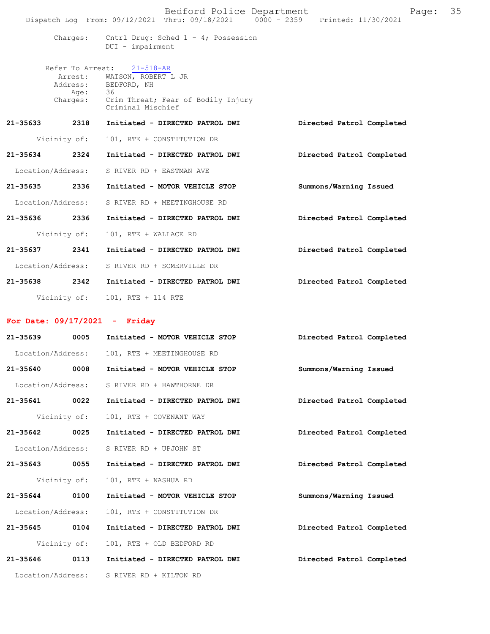|                   | Bedford Police Department<br>Dispatch Log From: 09/12/2021 Thru: 09/18/2021 0000 - 2359 Printed: 11/30/2021                                                 | 35<br>Page:               |
|-------------------|-------------------------------------------------------------------------------------------------------------------------------------------------------------|---------------------------|
|                   | Charges: Cntrl Drug: Sched 1 - 4; Possession<br>DUI - impairment                                                                                            |                           |
| Aqe:              | Refer To Arrest: 21-518-AR<br>Arrest: WATSON, ROBERT L JR<br>Address: BEDFORD, NH<br>36<br>Charges: Crim Threat; Fear of Bodily Injury<br>Criminal Mischief |                           |
| 21-35633 2318     | Initiated - DIRECTED PATROL DWI                                                                                                                             | Directed Patrol Completed |
| Vicinity of:      | 101, RTE + CONSTITUTION DR                                                                                                                                  |                           |
| 21-35634<br>2324  | Initiated - DIRECTED PATROL DWI                                                                                                                             | Directed Patrol Completed |
| Location/Address: | S RIVER RD + EASTMAN AVE                                                                                                                                    |                           |
| 2336<br>21-35635  | Initiated - MOTOR VEHICLE STOP                                                                                                                              | Summons/Warning Issued    |
| Location/Address: | S RIVER RD + MEETINGHOUSE RD                                                                                                                                |                           |
| 21-35636 2336     | Initiated - DIRECTED PATROL DWI                                                                                                                             | Directed Patrol Completed |
| Vicinity of:      | 101, RTE + WALLACE RD                                                                                                                                       |                           |
| 2341<br>21-35637  | Initiated - DIRECTED PATROL DWI                                                                                                                             | Directed Patrol Completed |
| Location/Address: | S RIVER RD + SOMERVILLE DR                                                                                                                                  |                           |
| 21-35638 2342     | Initiated - DIRECTED PATROL DWI                                                                                                                             | Directed Patrol Completed |
| Vicinity of:      | 101, RTE + 114 RTE                                                                                                                                          |                           |

## **For Date: 09/17/2021 - Friday**

| $21 - 35639$      | 0005         | Initiated - MOTOR VEHICLE STOP           | Directed Patrol Completed |  |
|-------------------|--------------|------------------------------------------|---------------------------|--|
| Location/Address: |              | 101, RTE + MEETINGHOUSE RD               |                           |  |
| 21-35640 0008     |              | Initiated - MOTOR VEHICLE STOP           | Summons/Warning Issued    |  |
| Location/Address: |              | S RIVER RD + HAWTHORNE DR                |                           |  |
| 21-35641 0022     |              | Initiated - DIRECTED PATROL DWI          | Directed Patrol Completed |  |
|                   | Vicinity of: | 101, RTE + COVENANT WAY                  |                           |  |
| 21-35642 0025     |              | Initiated - DIRECTED PATROL DWI          | Directed Patrol Completed |  |
| Location/Address: |              | S RIVER RD + UPJOHN ST                   |                           |  |
| 21-35643 0055     |              | Initiated - DIRECTED PATROL DWI          | Directed Patrol Completed |  |
|                   | Vicinity of: | 101, RTE + NASHUA RD                     |                           |  |
| 21-35644 0100     |              | Initiated - MOTOR VEHICLE STOP           | Summons/Warning Issued    |  |
| Location/Address: |              | 101, RTE + CONSTITUTION DR               |                           |  |
| 21-35645 0104     |              | Initiated - DIRECTED PATROL DWI          | Directed Patrol Completed |  |
|                   | Vicinity of: | 101, RTE + OLD BEDFORD RD                |                           |  |
| 21-35646 0113     |              | Initiated - DIRECTED PATROL DWI          | Directed Patrol Completed |  |
|                   |              | Location/Address: S RIVER RD + KILTON RD |                           |  |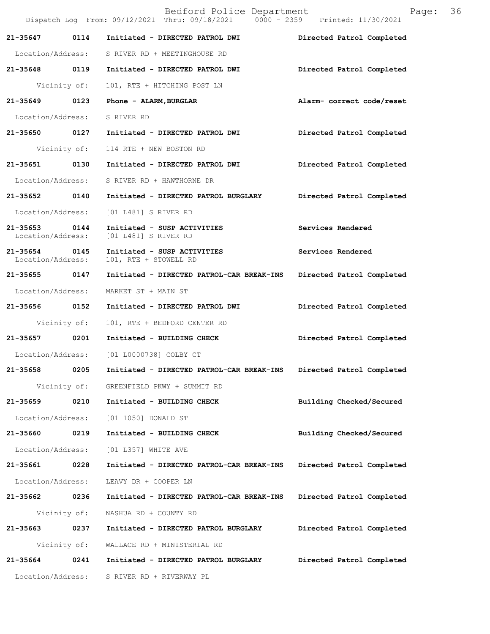|                                    |      | Bedford Police Department<br>Dispatch Log From: 09/12/2021 Thru: 09/18/2021 0000 - 2359 Printed: 11/30/2021 |                           | Page: | 36 |
|------------------------------------|------|-------------------------------------------------------------------------------------------------------------|---------------------------|-------|----|
| 21-35647                           | 0114 | Initiated - DIRECTED PATROL DWI                                                                             | Directed Patrol Completed |       |    |
|                                    |      | Location/Address: S RIVER RD + MEETINGHOUSE RD                                                              |                           |       |    |
|                                    |      | 21-35648 0119 Initiated - DIRECTED PATROL DWI                                                               | Directed Patrol Completed |       |    |
| Vicinity of:                       |      | 101, RTE + HITCHING POST LN                                                                                 |                           |       |    |
| 21-35649 0123                      |      | Phone - ALARM, BURGLAR                                                                                      | Alarm- correct code/reset |       |    |
| Location/Address: S RIVER RD       |      |                                                                                                             |                           |       |    |
|                                    |      | 21-35650 0127 Initiated - DIRECTED PATROL DWI                                                               | Directed Patrol Completed |       |    |
| Vicinity of:                       |      | 114 RTE + NEW BOSTON RD                                                                                     |                           |       |    |
| 21-35651 0130                      |      | Initiated - DIRECTED PATROL DWI                                                                             | Directed Patrol Completed |       |    |
| Location/Address:                  |      | S RIVER RD + HAWTHORNE DR                                                                                   |                           |       |    |
| 21-35652 0140                      |      | Initiated - DIRECTED PATROL BURGLARY                                                                        | Directed Patrol Completed |       |    |
| Location/Address:                  |      | [01 L481] S RIVER RD                                                                                        |                           |       |    |
| 21-35653 0144<br>Location/Address: |      | Initiated - SUSP ACTIVITIES<br>[01 L481] S RIVER RD                                                         | Services Rendered         |       |    |
| 21-35654 0145<br>Location/Address: |      | Initiated - SUSP ACTIVITIES<br>101, RTE + STOWELL RD                                                        | Services Rendered         |       |    |
| 21-35655 0147                      |      | Initiated - DIRECTED PATROL-CAR BREAK-INS                                                                   | Directed Patrol Completed |       |    |
| Location/Address:                  |      | MARKET ST + MAIN ST                                                                                         |                           |       |    |
| 21-35656 0152                      |      | Initiated - DIRECTED PATROL DWI                                                                             | Directed Patrol Completed |       |    |
| Vicinity of:                       |      | 101, RTE + BEDFORD CENTER RD                                                                                |                           |       |    |
| 21-35657 0201                      |      | Initiated - BUILDING CHECK                                                                                  | Directed Patrol Completed |       |    |
|                                    |      | Location/Address: [01 L0000738] COLBY CT                                                                    |                           |       |    |
| 21-35658                           | 0205 | Initiated - DIRECTED PATROL-CAR BREAK-INS                                                                   | Directed Patrol Completed |       |    |
| Vicinity of:                       |      | GREENFIELD PKWY + SUMMIT RD                                                                                 |                           |       |    |
| 21-35659                           | 0210 | Initiated - BUILDING CHECK                                                                                  | Building Checked/Secured  |       |    |
| Location/Address:                  |      | [01 1050] DONALD ST                                                                                         |                           |       |    |
| 21-35660                           | 0219 | Initiated - BUILDING CHECK                                                                                  | Building Checked/Secured  |       |    |
| Location/Address:                  |      | [01 L357] WHITE AVE                                                                                         |                           |       |    |
| 21-35661                           | 0228 | Initiated - DIRECTED PATROL-CAR BREAK-INS                                                                   | Directed Patrol Completed |       |    |
| Location/Address:                  |      | LEAVY DR + COOPER LN                                                                                        |                           |       |    |
| 21-35662                           | 0236 | Initiated - DIRECTED PATROL-CAR BREAK-INS                                                                   | Directed Patrol Completed |       |    |
| Vicinity of:                       |      | NASHUA RD + COUNTY RD                                                                                       |                           |       |    |
| 21-35663                           | 0237 | Initiated - DIRECTED PATROL BURGLARY                                                                        | Directed Patrol Completed |       |    |
| Vicinity of:                       |      | WALLACE RD + MINISTERIAL RD                                                                                 |                           |       |    |
| 21-35664                           | 0241 | Initiated - DIRECTED PATROL BURGLARY                                                                        | Directed Patrol Completed |       |    |
| Location/Address:                  |      | S RIVER RD + RIVERWAY PL                                                                                    |                           |       |    |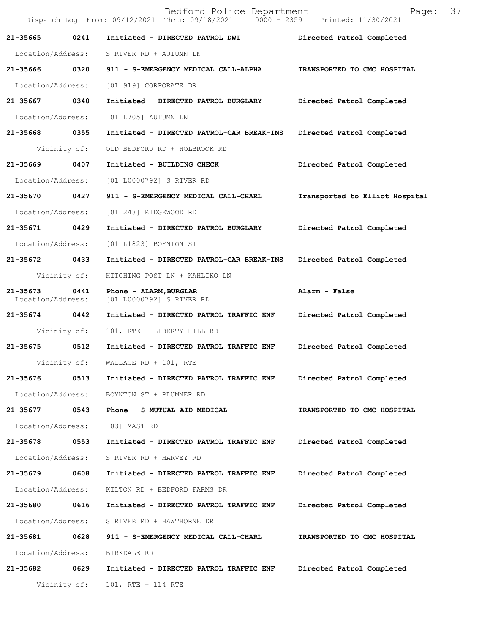|                               |              | Bedford Police Department<br>Dispatch Log From: 09/12/2021 Thru: 09/18/2021 0000 - 2359 Printed: 11/30/2021 | 37<br>Page:                    |
|-------------------------------|--------------|-------------------------------------------------------------------------------------------------------------|--------------------------------|
| 21-35665                      | 0241         | Initiated - DIRECTED PATROL DWI                                                                             | Directed Patrol Completed      |
| Location/Address:             |              | S RIVER RD + AUTUMN LN                                                                                      |                                |
| 21-35666 0320                 |              | 911 - S-EMERGENCY MEDICAL CALL-ALPHA                                                                        | TRANSPORTED TO CMC HOSPITAL    |
| Location/Address:             |              | [01 919] CORPORATE DR                                                                                       |                                |
| 21-35667                      | 0340         | Initiated - DIRECTED PATROL BURGLARY                                                                        | Directed Patrol Completed      |
| Location/Address:             |              | [01 L705] AUTUMN LN                                                                                         |                                |
| 21-35668                      | 0355         | Initiated - DIRECTED PATROL-CAR BREAK-INS Directed Patrol Completed                                         |                                |
|                               | Vicinity of: | OLD BEDFORD RD + HOLBROOK RD                                                                                |                                |
| 21-35669                      | 0407         | Initiated - BUILDING CHECK                                                                                  | Directed Patrol Completed      |
| Location/Address:             |              | [01 L0000792] S RIVER RD                                                                                    |                                |
| 21-35670                      | 0427         | 911 - S-EMERGENCY MEDICAL CALL-CHARL                                                                        | Transported to Elliot Hospital |
| Location/Address:             |              | [01 248] RIDGEWOOD RD                                                                                       |                                |
| 21-35671                      | 0429         | Initiated - DIRECTED PATROL BURGLARY                                                                        | Directed Patrol Completed      |
| Location/Address:             |              | [01 L1823] BOYNTON ST                                                                                       |                                |
| 21-35672                      | 0433         | Initiated - DIRECTED PATROL-CAR BREAK-INS                                                                   | Directed Patrol Completed      |
|                               | Vicinity of: | HITCHING POST LN + KAHLIKO LN                                                                               |                                |
| 21-35673<br>Location/Address: | 0441         | Phone - ALARM, BURGLAR<br>[01 L0000792] S RIVER RD                                                          | Alarm - False                  |
| 21-35674                      | 0442         | Initiated - DIRECTED PATROL TRAFFIC ENF                                                                     | Directed Patrol Completed      |
|                               | Vicinity of: | 101, RTE + LIBERTY HILL RD                                                                                  |                                |
| 21-35675                      | 0512         | Initiated - DIRECTED PATROL TRAFFIC ENF                                                                     | Directed Patrol Completed      |
|                               | Vicinity of: | WALLACE RD + $101$ , RTE                                                                                    |                                |
| 21-35676                      | 0513         | Initiated - DIRECTED PATROL TRAFFIC ENF                                                                     | Directed Patrol Completed      |
| Location/Address:             |              | BOYNTON ST + PLUMMER RD                                                                                     |                                |
| 21-35677 0543                 |              | Phone - S-MUTUAL AID-MEDICAL                                                                                | TRANSPORTED TO CMC HOSPITAL    |
| Location/Address:             |              | [03] MAST RD                                                                                                |                                |
| 21-35678                      | 0553         | Initiated - DIRECTED PATROL TRAFFIC ENF                                                                     | Directed Patrol Completed      |
| Location/Address:             |              | S RIVER RD + HARVEY RD                                                                                      |                                |
| 21-35679                      | 0608         | Initiated - DIRECTED PATROL TRAFFIC ENF                                                                     | Directed Patrol Completed      |
| Location/Address:             |              | KILTON RD + BEDFORD FARMS DR                                                                                |                                |
| 21-35680 0616                 |              | Initiated - DIRECTED PATROL TRAFFIC ENF                                                                     | Directed Patrol Completed      |
| Location/Address:             |              | S RIVER RD + HAWTHORNE DR                                                                                   |                                |
| 21-35681                      | 0628         | 911 - S-EMERGENCY MEDICAL CALL-CHARL                                                                        | TRANSPORTED TO CMC HOSPITAL    |
| Location/Address:             |              | BIRKDALE RD                                                                                                 |                                |
| 21-35682                      | 0629         | Initiated - DIRECTED PATROL TRAFFIC ENF                                                                     | Directed Patrol Completed      |
|                               | Vicinity of: | 101, RTE + 114 RTE                                                                                          |                                |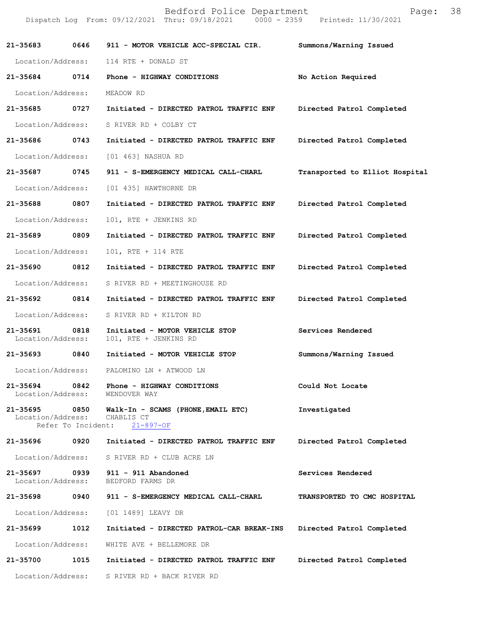|                               |                   | Bedford Police Department<br>Dispatch Log From: 09/12/2021 Thru: 09/18/2021 0000 - 2359 Printed: 11/30/2021 | Page:                          | 38 |
|-------------------------------|-------------------|-------------------------------------------------------------------------------------------------------------|--------------------------------|----|
| 21-35683 0646                 |                   | 911 - MOTOR VEHICLE ACC-SPECIAL CIR.                                                                        | Summons/Warning Issued         |    |
| Location/Address:             |                   | 114 RTE + DONALD ST                                                                                         |                                |    |
| 21-35684 0714                 |                   | Phone - HIGHWAY CONDITIONS                                                                                  | No Action Required             |    |
| Location/Address:             |                   | MEADOW RD                                                                                                   |                                |    |
| 21-35685                      | 0727              | Initiated - DIRECTED PATROL TRAFFIC ENF                                                                     | Directed Patrol Completed      |    |
| Location/Address:             |                   | S RIVER RD + COLBY CT                                                                                       |                                |    |
| 21-35686                      | 0743              | Initiated - DIRECTED PATROL TRAFFIC ENF                                                                     | Directed Patrol Completed      |    |
| Location/Address:             |                   | [01 463] NASHUA RD                                                                                          |                                |    |
| 21-35687 0745                 |                   | 911 - S-EMERGENCY MEDICAL CALL-CHARL                                                                        | Transported to Elliot Hospital |    |
| Location/Address:             |                   | [01 435] HAWTHORNE DR                                                                                       |                                |    |
| 21-35688                      | 0807              | Initiated - DIRECTED PATROL TRAFFIC ENF                                                                     | Directed Patrol Completed      |    |
| Location/Address:             |                   | 101, RTE + JENKINS RD                                                                                       |                                |    |
| 21-35689                      | 0809              | Initiated - DIRECTED PATROL TRAFFIC ENF                                                                     | Directed Patrol Completed      |    |
| Location/Address:             |                   | 101, RTE + 114 RTE                                                                                          |                                |    |
| 21-35690 0812                 |                   | Initiated - DIRECTED PATROL TRAFFIC ENF                                                                     | Directed Patrol Completed      |    |
| Location/Address:             |                   | S RIVER RD + MEETINGHOUSE RD                                                                                |                                |    |
| 21-35692 0814                 |                   | Initiated - DIRECTED PATROL TRAFFIC ENF                                                                     | Directed Patrol Completed      |    |
| Location/Address:             |                   | S RIVER RD + KILTON RD                                                                                      |                                |    |
| 21-35691<br>Location/Address: | 0818              | Initiated - MOTOR VEHICLE STOP<br>101, RTE + JENKINS RD                                                     | Services Rendered              |    |
| 21-35693                      | $\overline{0840}$ | Initiated - MOTOR VEHICLE STOP                                                                              | Summons/Warning Issued         |    |
|                               |                   | Location/Address: PALOMINO LN + ATWOOD LN                                                                   |                                |    |
|                               |                   | 21-35694 0842 Phone - HIGHWAY CONDITIONS<br>Location/Address: WENDOVER WAY                                  | Could Not Locate               |    |
| Location/Address: CHABLIS CT  |                   | 21-35695 0850 Walk-In - SCAMS (PHONE, EMAIL ETC)<br>Refer To Incident: 21-897-OF                            | Investigated                   |    |
|                               |                   |                                                                                                             | Directed Patrol Completed      |    |
|                               |                   | Location/Address: S RIVER RD + CLUB ACRE LN                                                                 |                                |    |
| Location/Address:             |                   | 21-35697 0939 911 - 911 Abandoned<br>BEDFORD FARMS DR                                                       | Services Rendered              |    |
|                               |                   | 21-35698 0940 911 - S-EMERGENCY MEDICAL CALL-CHARL                                                          | TRANSPORTED TO CMC HOSPITAL    |    |
|                               |                   | Location/Address: [01 1489] LEAVY DR                                                                        |                                |    |
| 21-35699                      | 1012              | Initiated - DIRECTED PATROL-CAR BREAK-INS Directed Patrol Completed                                         |                                |    |
| Location/Address:             |                   | WHITE AVE + BELLEMORE DR                                                                                    |                                |    |
|                               |                   | 21-35700 1015 Initiated - DIRECTED PATROL TRAFFIC ENF                                                       | Directed Patrol Completed      |    |
|                               |                   | Location/Address: S RIVER RD + BACK RIVER RD                                                                |                                |    |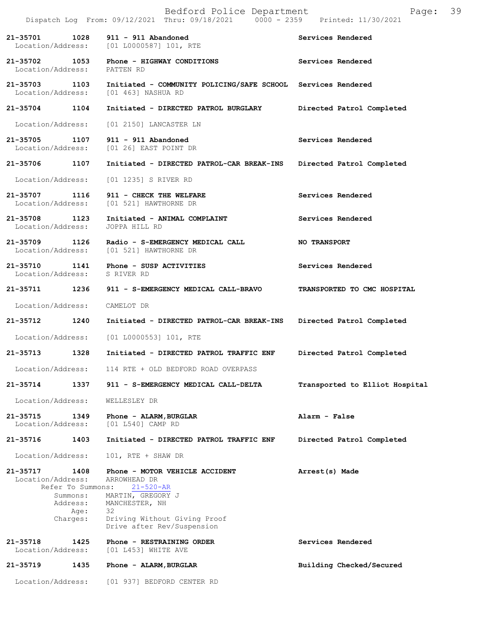|          |                                                | Bedford Police Department<br>Dispatch Log From: 09/12/2021 Thru: 09/18/2021 0000 - 2359 Printed: 11/30/2021        | Page:                          | 39 |
|----------|------------------------------------------------|--------------------------------------------------------------------------------------------------------------------|--------------------------------|----|
|          | 21-35701 1028                                  | 911 - 911 Abandoned<br>Location/Address: [01 L0000587] 101, RTE                                                    | Services Rendered              |    |
|          | Location/Address: PATTEN RD                    | 21-35702 1053 Phone - HIGHWAY CONDITIONS                                                                           | Services Rendered              |    |
|          |                                                | 21-35703 1103 Initiated - COMMUNITY POLICING/SAFE SCHOOL Services Rendered<br>Location/Address: [01 463] NASHUA RD |                                |    |
|          | 21-35704 1104                                  | Initiated - DIRECTED PATROL BURGLARY                                                                               | Directed Patrol Completed      |    |
|          |                                                | Location/Address: [01 2150] LANCASTER LN                                                                           |                                |    |
|          |                                                | 21-35705 1107 911 - 911 Abandoned<br>Location/Address: [01 26] EAST POINT DR                                       | Services Rendered              |    |
|          |                                                | 21-35706 1107 Initiated - DIRECTED PATROL-CAR BREAK-INS                                                            | Directed Patrol Completed      |    |
|          |                                                | Location/Address: [01 1235] S RIVER RD                                                                             |                                |    |
|          |                                                | 21-35707 1116 911 - CHECK THE WELFARE<br>Location/Address: [01 521] HAWTHORNE DR                                   | Services Rendered              |    |
|          |                                                | 21-35708 1123 Initiated - ANIMAL COMPLAINT<br>Location/Address: JOPPA HILL RD                                      | Services Rendered              |    |
|          |                                                | 21-35709 1126 Radio - S-EMERGENCY MEDICAL CALL<br>Location/Address: [01 521] HAWTHORNE DR                          | <b>NO TRANSPORT</b>            |    |
|          |                                                | 21-35710 1141 Phone - SUSP ACTIVITIES<br>Location/Address: S RIVER RD                                              | Services Rendered              |    |
|          |                                                | 21-35711 1236 911 - S-EMERGENCY MEDICAL CALL-BRAVO                                                                 | TRANSPORTED TO CMC HOSPITAL    |    |
|          | Location/Address:                              | CAMELOT DR                                                                                                         |                                |    |
|          | 21-35712 1240                                  | Initiated - DIRECTED PATROL-CAR BREAK-INS Directed Patrol Completed                                                |                                |    |
|          |                                                | Location/Address: [01 L0000553] 101, RTE                                                                           |                                |    |
| 21-35713 | 1328                                           | Initiated - DIRECTED PATROL TRAFFIC ENF                                                                            | Directed Patrol Completed      |    |
|          | Location/Address:                              | 114 RTE + OLD BEDFORD ROAD OVERPASS                                                                                |                                |    |
| 21-35714 | 1337                                           | 911 - S-EMERGENCY MEDICAL CALL-DELTA                                                                               | Transported to Elliot Hospital |    |
|          | Location/Address:                              | WELLESLEY DR                                                                                                       |                                |    |
| 21-35715 | 1349<br>Location/Address:                      | Phone - ALARM, BURGLAR<br>[01 L540] CAMP RD                                                                        | Alarm - False                  |    |
| 21-35716 | 1403                                           | Initiated - DIRECTED PATROL TRAFFIC ENF                                                                            | Directed Patrol Completed      |    |
|          | Location/Address:                              | 101, RTE + SHAW DR                                                                                                 |                                |    |
| 21-35717 | 1408<br>Location/Address:<br>Refer To Summons: | Phone - MOTOR VEHICLE ACCIDENT<br>ARROWHEAD DR                                                                     | Arrest(s) Made                 |    |
|          | Summons:<br>Address:<br>Age:<br>Charges:       | $21 - 520 - AR$<br>MARTIN, GREGORY J<br>MANCHESTER, NH<br>32<br>Driving Without Giving Proof                       |                                |    |
|          |                                                | Drive after Rev/Suspension                                                                                         |                                |    |
| 21-35718 | 1425<br>Location/Address:                      | Phone - RESTRAINING ORDER<br>$[01 L453]$ WHITE AVE                                                                 | Services Rendered              |    |
| 21-35719 | 1435                                           | Phone - ALARM, BURGLAR                                                                                             | Building Checked/Secured       |    |
|          | Location/Address:                              | [01 937] BEDFORD CENTER RD                                                                                         |                                |    |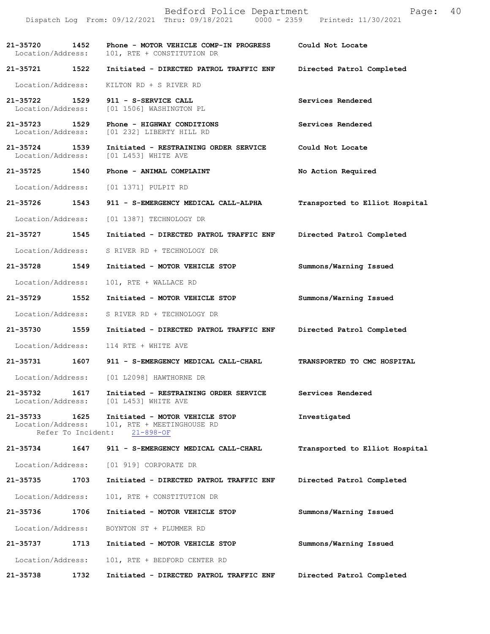|                                    |      | Bedford Police Department<br>Dispatch Log From: 09/12/2021 Thru: 09/18/2021 0000 - 2359 Printed: 11/30/2021 | Page:                          | 40 |
|------------------------------------|------|-------------------------------------------------------------------------------------------------------------|--------------------------------|----|
| 21-35720 1452<br>Location/Address: |      | Phone - MOTOR VEHICLE COMP-IN PROGRESS<br>101, RTE + CONSTITUTION DR                                        | Could Not Locate               |    |
|                                    |      |                                                                                                             | Directed Patrol Completed      |    |
| Location/Address:                  |      | KILTON RD + S RIVER RD                                                                                      |                                |    |
|                                    |      | 21-35722 1529 911 - S-SERVICE CALL<br>Location/Address: [01 1506] WASHINGTON PL                             | Services Rendered              |    |
| 21-35723 1529<br>Location/Address: |      | Phone - HIGHWAY CONDITIONS<br>[01 232] LIBERTY HILL RD                                                      | Services Rendered              |    |
| 21-35724 1539<br>Location/Address: |      | Initiated - RESTRAINING ORDER SERVICE<br>[01 L453] WHITE AVE                                                | Could Not Locate               |    |
|                                    |      | 21-35725 1540 Phone - ANIMAL COMPLAINT                                                                      | No Action Required             |    |
|                                    |      | Location/Address: [01 1371] PULPIT RD                                                                       |                                |    |
| 21-35726 1543                      |      | 911 - S-EMERGENCY MEDICAL CALL-ALPHA                                                                        | Transported to Elliot Hospital |    |
| Location/Address:                  |      | [01 1387] TECHNOLOGY DR                                                                                     |                                |    |
| 21-35727                           | 1545 | Initiated - DIRECTED PATROL TRAFFIC ENF                                                                     | Directed Patrol Completed      |    |
| Location/Address:                  |      | S RIVER RD + TECHNOLOGY DR                                                                                  |                                |    |
| 21-35728 1549                      |      | Initiated - MOTOR VEHICLE STOP                                                                              | Summons/Warning Issued         |    |
| Location/Address:                  |      | 101, RTE + WALLACE RD                                                                                       |                                |    |
| 21-35729 1552                      |      | Initiated - MOTOR VEHICLE STOP                                                                              | Summons/Warning Issued         |    |
| Location/Address:                  |      | S RIVER RD + TECHNOLOGY DR                                                                                  |                                |    |
|                                    |      | 21-35730 1559 Initiated - DIRECTED PATROL TRAFFIC ENF                                                       | Directed Patrol Completed      |    |
| Location/Address:                  |      | 114 RTE + WHITE AVE                                                                                         |                                |    |
| 21-35731 1607                      |      | 911 - S-EMERGENCY MEDICAL CALL-CHARL                                                                        | TRANSPORTED TO CMC HOSPITAL    |    |
|                                    |      | Location/Address: [01 L2098] HAWTHORNE DR                                                                   |                                |    |
| 21-35732<br>Location/Address:      | 1617 | Initiated - RESTRAINING ORDER SERVICE<br>[01 L453] WHITE AVE                                                | Services Rendered              |    |
| 21-35733 1625<br>Location/Address: |      | Initiated - MOTOR VEHICLE STOP<br>101, RTE + MEETINGHOUSE RD<br>Refer To Incident: 21-898-OF                | Investigated                   |    |
| 21-35734                           | 1647 | 911 - S-EMERGENCY MEDICAL CALL-CHARL                                                                        | Transported to Elliot Hospital |    |
| Location/Address:                  |      | [01 919] CORPORATE DR                                                                                       |                                |    |
| 21-35735                           | 1703 | Initiated - DIRECTED PATROL TRAFFIC ENF                                                                     | Directed Patrol Completed      |    |
| Location/Address:                  |      | 101, RTE + CONSTITUTION DR                                                                                  |                                |    |
| 21-35736                           | 1706 | Initiated - MOTOR VEHICLE STOP                                                                              | Summons/Warning Issued         |    |
| Location/Address:                  |      | BOYNTON ST + PLUMMER RD                                                                                     |                                |    |
| 21-35737                           | 1713 | Initiated - MOTOR VEHICLE STOP                                                                              | Summons/Warning Issued         |    |
| Location/Address:                  |      | 101, RTE + BEDFORD CENTER RD                                                                                |                                |    |
| 21-35738                           | 1732 | Initiated - DIRECTED PATROL TRAFFIC ENF                                                                     | Directed Patrol Completed      |    |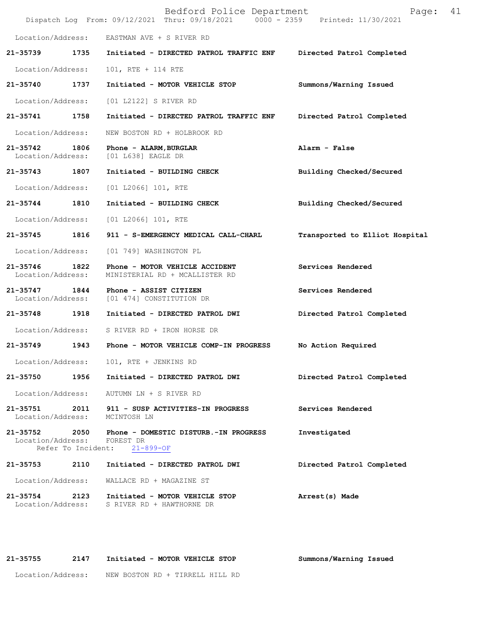|                               |                            | Bedford Police Department<br>Dispatch Log From: 09/12/2021 Thru: 09/18/2021 0000 - 2359 Printed: 11/30/2021 | Page:                          | 41 |
|-------------------------------|----------------------------|-------------------------------------------------------------------------------------------------------------|--------------------------------|----|
| Location/Address:             |                            | EASTMAN AVE + S RIVER RD                                                                                    |                                |    |
| 21-35739                      | 1735                       | Initiated - DIRECTED PATROL TRAFFIC ENF                                                                     | Directed Patrol Completed      |    |
| Location/Address:             |                            | 101, RTE + 114 RTE                                                                                          |                                |    |
| 21-35740                      | 1737                       | Initiated - MOTOR VEHICLE STOP                                                                              | Summons/Warning Issued         |    |
| Location/Address:             |                            | [01 L2122] S RIVER RD                                                                                       |                                |    |
| 21-35741                      | 1758                       | Initiated - DIRECTED PATROL TRAFFIC ENF                                                                     | Directed Patrol Completed      |    |
| Location/Address:             |                            | NEW BOSTON RD + HOLBROOK RD                                                                                 |                                |    |
| 21-35742<br>Location/Address: | 1806                       | Phone - ALARM, BURGLAR<br>[01 L638] EAGLE DR                                                                | Alarm - False                  |    |
| 21-35743                      | 1807                       | Initiated - BUILDING CHECK                                                                                  | Building Checked/Secured       |    |
| Location/Address:             |                            | [01 L2066] 101, RTE                                                                                         |                                |    |
| 21-35744                      | 1810                       | Initiated - BUILDING CHECK                                                                                  | Building Checked/Secured       |    |
| Location/Address:             |                            | $[01 L2066] 101$ , RTE                                                                                      |                                |    |
| 21-35745                      | 1816                       | 911 - S-EMERGENCY MEDICAL CALL-CHARL                                                                        | Transported to Elliot Hospital |    |
| Location/Address:             |                            | [01 749] WASHINGTON PL                                                                                      |                                |    |
| 21-35746<br>Location/Address: | 1822                       | Phone - MOTOR VEHICLE ACCIDENT<br>MINISTERIAL RD + MCALLISTER RD                                            | Services Rendered              |    |
| 21-35747<br>Location/Address: | 1844                       | Phone - ASSIST CITIZEN<br>[01 474] CONSTITUTION DR                                                          | Services Rendered              |    |
| 21-35748                      | 1918                       | Initiated - DIRECTED PATROL DWI                                                                             | Directed Patrol Completed      |    |
| Location/Address:             |                            | S RIVER RD + IRON HORSE DR                                                                                  |                                |    |
| 21-35749                      | 1943                       | Phone - MOTOR VEHICLE COMP-IN PROGRESS                                                                      | No Action Required             |    |
| Location/Address:             |                            | 101, RTE + JENKINS RD                                                                                       |                                |    |
| 21-35750                      | 1956                       | Initiated - DIRECTED PATROL DWI                                                                             | Directed Patrol Completed      |    |
| Location/Address:             |                            | AUTUMN LN + S RIVER RD                                                                                      |                                |    |
| 21-35751<br>Location/Address: | 2011                       | 911 - SUSP ACTIVITIES-IN PROGRESS<br>MCINTOSH LN                                                            | Services Rendered              |    |
| 21-35752<br>Location/Address: | 2050<br>Refer To Incident: | Phone - DOMESTIC DISTURB.-IN PROGRESS<br>FOREST DR<br>$21 - 899 - OF$                                       | Investigated                   |    |
| 21-35753                      | 2110                       | Initiated - DIRECTED PATROL DWI                                                                             | Directed Patrol Completed      |    |
| Location/Address:             |                            | WALLACE RD + MAGAZINE ST                                                                                    |                                |    |
| 21-35754<br>Location/Address: | 2123                       | Initiated - MOTOR VEHICLE STOP<br>S RIVER RD + HAWTHORNE DR                                                 | Arrest(s) Made                 |    |

**21-35755 2147 Initiated - MOTOR VEHICLE STOP Summons/Warning Issued** 

Location/Address: NEW BOSTON RD + TIRRELL HILL RD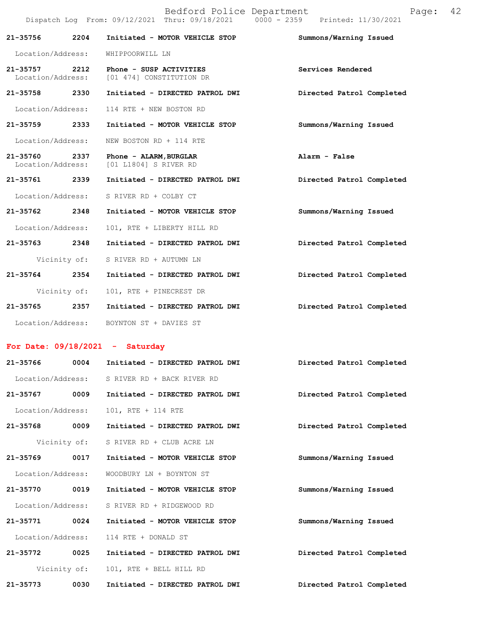|                                    |              |                                                     | Bedford Police Department<br>Dispatch Log From: 09/12/2021 Thru: 09/18/2021 0000 - 2359 Printed: 11/30/2021 |                           | Page: | 42 |
|------------------------------------|--------------|-----------------------------------------------------|-------------------------------------------------------------------------------------------------------------|---------------------------|-------|----|
| 21-35756                           | 2204         |                                                     | Initiated - MOTOR VEHICLE STOP                                                                              | Summons/Warning Issued    |       |    |
| Location/Address:                  |              | WHIPPOORWILL LN                                     |                                                                                                             |                           |       |    |
| 21-35757 2212<br>Location/Address: |              | Phone - SUSP ACTIVITIES<br>[01 474] CONSTITUTION DR |                                                                                                             | Services Rendered         |       |    |
| 21-35758 2330                      |              |                                                     | Initiated - DIRECTED PATROL DWI                                                                             | Directed Patrol Completed |       |    |
| Location/Address:                  |              | 114 RTE + NEW BOSTON RD                             |                                                                                                             |                           |       |    |
| 21-35759                           | 2333         |                                                     | Initiated - MOTOR VEHICLE STOP                                                                              | Summons/Warning Issued    |       |    |
| Location/Address:                  |              | NEW BOSTON RD + 114 RTE                             |                                                                                                             |                           |       |    |
| 21-35760 2337<br>Location/Address: |              | Phone - ALARM, BURGLAR<br>[01 L1804] S RIVER RD     |                                                                                                             | Alarm - False             |       |    |
| 21-35761 2339                      |              |                                                     | Initiated - DIRECTED PATROL DWI                                                                             | Directed Patrol Completed |       |    |
| Location/Address:                  |              | S RIVER RD + COLBY CT                               |                                                                                                             |                           |       |    |
| 21-35762                           | 2348         |                                                     | Initiated - MOTOR VEHICLE STOP                                                                              | Summons/Warning Issued    |       |    |
| Location/Address:                  |              | 101, RTE + LIBERTY HILL RD                          |                                                                                                             |                           |       |    |
| $21 - 35763$                       | 2348         |                                                     | Initiated - DIRECTED PATROL DWI                                                                             | Directed Patrol Completed |       |    |
|                                    | Vicinity of: | S RIVER RD + AUTUMN LN                              |                                                                                                             |                           |       |    |
| $21 - 35764$                       | 2354         |                                                     | Initiated - DIRECTED PATROL DWI                                                                             | Directed Patrol Completed |       |    |
|                                    | Vicinity of: | 101, RTE + PINECREST DR                             |                                                                                                             |                           |       |    |
| 21-35765                           | 2357         |                                                     | Initiated - DIRECTED PATROL DWI                                                                             | Directed Patrol Completed |       |    |
| Location/Address:                  |              | BOYNTON ST + DAVIES ST                              |                                                                                                             |                           |       |    |

## **For Date: 09/18/2021 - Saturday**

| $21 - 35766$      | 0004 | Initiated - DIRECTED PATROL DWI | Directed Patrol Completed |  |
|-------------------|------|---------------------------------|---------------------------|--|
| Location/Address: |      | S RIVER RD + BACK RIVER RD      |                           |  |
| 21-35767          | 0009 | Initiated - DIRECTED PATROL DWI | Directed Patrol Completed |  |
| Location/Address: |      | 101, RTE + 114 RTE              |                           |  |
| 21-35768          | 0009 | Initiated - DIRECTED PATROL DWI | Directed Patrol Completed |  |
| Vicinity of:      |      | S RIVER RD + CLUB ACRE LN       |                           |  |
| 21-35769          | 0017 | Initiated - MOTOR VEHICLE STOP  | Summons/Warning Issued    |  |
| Location/Address: |      | WOODBURY LN + BOYNTON ST        |                           |  |
| 21-35770          | 0019 | Initiated - MOTOR VEHICLE STOP  | Summons/Warning Issued    |  |
| Location/Address: |      | S RIVER RD + RIDGEWOOD RD       |                           |  |
| 21-35771          | 0024 | Initiated - MOTOR VEHICLE STOP  | Summons/Warning Issued    |  |
| Location/Address: |      | 114 RTE + DONALD ST             |                           |  |
| 21-35772          | 0025 | Initiated - DIRECTED PATROL DWI | Directed Patrol Completed |  |
| Vicinity of:      |      | 101, RTE + BELL HILL RD         |                           |  |
| $21 - 35773$      | 0030 | Initiated - DIRECTED PATROL DWI | Directed Patrol Completed |  |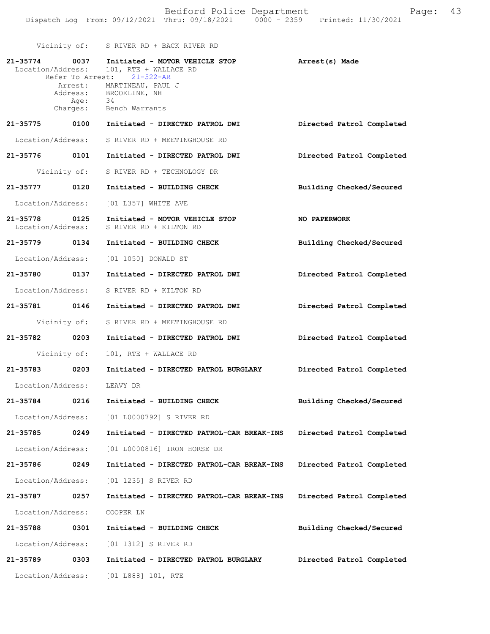|                                                | Bedford Police Department |                                 | Page: 43 |  |
|------------------------------------------------|---------------------------|---------------------------------|----------|--|
| Dispatch Log From: 09/12/2021 Thru: 09/18/2021 |                           | 0000 - 2359 Printed: 11/30/2021 |          |  |

Vicinity of: S RIVER RD + BACK RIVER RD

| 21-35774 0037<br>Location/Address: |                  | Initiated - MOTOR VEHICLE STOP<br>101, RTE + WALLACE RD  | Arrest(s) Made            |
|------------------------------------|------------------|----------------------------------------------------------|---------------------------|
|                                    |                  | Refer To Arrest: 21-522-AR                               |                           |
|                                    |                  | Arrest: MARTINEAU, PAUL J<br>Address: BROOKLINE, NH      |                           |
|                                    | Age:<br>Charges: | -34<br>Bench Warrants                                    |                           |
|                                    |                  | 21-35775 0100 Initiated - DIRECTED PATROL DWI            | Directed Patrol Completed |
| Location/Address:                  |                  | S RIVER RD + MEETINGHOUSE RD                             |                           |
|                                    |                  | 21-35776 0101 Initiated - DIRECTED PATROL DWI            | Directed Patrol Completed |
|                                    | Vicinity of:     | S RIVER RD + TECHNOLOGY DR                               |                           |
| 21-35777 0120                      |                  | Initiated - BUILDING CHECK                               | Building Checked/Secured  |
| Location/Address:                  |                  | [01 L357] WHITE AVE                                      |                           |
| 21-35778 0125<br>Location/Address: |                  | Initiated - MOTOR VEHICLE STOP<br>S RIVER RD + KILTON RD | <b>NO PAPERWORK</b>       |
| 21-35779 0134                      |                  | Initiated - BUILDING CHECK                               | Building Checked/Secured  |
|                                    |                  | Location/Address: [01 1050] DONALD ST                    |                           |
| 21-35780 0137                      |                  | Initiated - DIRECTED PATROL DWI                          | Directed Patrol Completed |
| Location/Address:                  |                  | S RIVER RD + KILTON RD                                   |                           |
| 21-35781 0146                      |                  | Initiated - DIRECTED PATROL DWI                          | Directed Patrol Completed |
|                                    | Vicinity of:     | S RIVER RD + MEETINGHOUSE RD                             |                           |
| 21-35782 0203                      |                  | Initiated - DIRECTED PATROL DWI                          | Directed Patrol Completed |
| Vicinity of:                       |                  | 101, RTE + WALLACE RD                                    |                           |
| 21-35783 0203                      |                  | Initiated - DIRECTED PATROL BURGLARY                     | Directed Patrol Completed |
| Location/Address: LEAVY DR         |                  |                                                          |                           |
|                                    |                  | 21-35784 0216 Initiated - BUILDING CHECK                 | Building Checked/Secured  |
| Location/Address:                  |                  | [01 L0000792] S RIVER RD                                 |                           |
| 21-35785                           | 0249             | Initiated - DIRECTED PATROL-CAR BREAK-INS                | Directed Patrol Completed |
| Location/Address:                  |                  | [01 L0000816] IRON HORSE DR                              |                           |
| 21-35786                           | 0249             | Initiated - DIRECTED PATROL-CAR BREAK-INS                | Directed Patrol Completed |
| Location/Address:                  |                  | [01 1235] S RIVER RD                                     |                           |
| 21-35787                           | 0257             | Initiated - DIRECTED PATROL-CAR BREAK-INS                | Directed Patrol Completed |
| Location/Address:                  |                  | COOPER LN                                                |                           |
| 21-35788                           | 0301             | Initiated - BUILDING CHECK                               | Building Checked/Secured  |
| Location/Address:                  |                  | [01 1312] S RIVER RD                                     |                           |
| 21-35789                           | 0303             | Initiated - DIRECTED PATROL BURGLARY                     | Directed Patrol Completed |
| Location/Address:                  |                  | [01 L888] 101, RTE                                       |                           |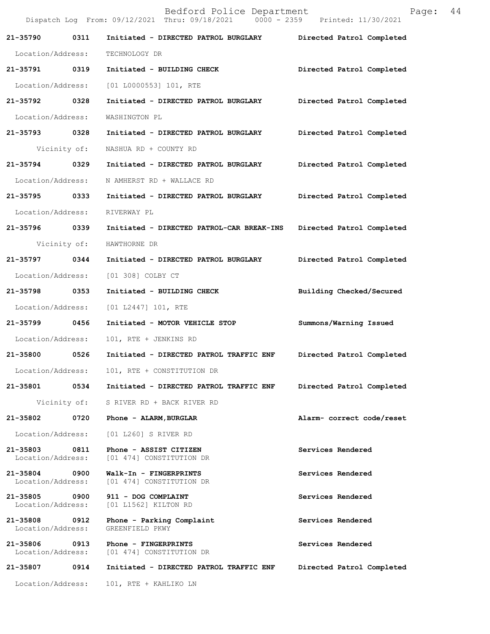|                               |      | Bedford Police Department<br>Dispatch Log From: 09/12/2021 Thru: 09/18/2021 0000 - 2359 Printed: 11/30/2021 |                           | Page: | 44 |
|-------------------------------|------|-------------------------------------------------------------------------------------------------------------|---------------------------|-------|----|
| 21-35790                      | 0311 | Initiated - DIRECTED PATROL BURGLARY Directed Patrol Completed                                              |                           |       |    |
| Location/Address:             |      | TECHNOLOGY DR                                                                                               |                           |       |    |
| 21-35791 0319                 |      | Initiated - BUILDING CHECK                                                                                  | Directed Patrol Completed |       |    |
| Location/Address:             |      | $[01 L0000553] 101$ , RTE                                                                                   |                           |       |    |
| 21-35792 0328                 |      | Initiated - DIRECTED PATROL BURGLARY                                                                        | Directed Patrol Completed |       |    |
| Location/Address:             |      | WASHINGTON PL                                                                                               |                           |       |    |
| 21-35793 0328                 |      | Initiated - DIRECTED PATROL BURGLARY                                                                        | Directed Patrol Completed |       |    |
| Vicinity of:                  |      | NASHUA RD + COUNTY RD                                                                                       |                           |       |    |
| 21-35794 0329                 |      | Initiated - DIRECTED PATROL BURGLARY                                                                        | Directed Patrol Completed |       |    |
| Location/Address:             |      | N AMHERST RD + WALLACE RD                                                                                   |                           |       |    |
| 21-35795 0333                 |      | Initiated - DIRECTED PATROL BURGLARY                                                                        | Directed Patrol Completed |       |    |
| Location/Address:             |      | RIVERWAY PL                                                                                                 |                           |       |    |
| 21-35796 0339                 |      | Initiated - DIRECTED PATROL-CAR BREAK-INS                                                                   | Directed Patrol Completed |       |    |
| Vicinity of:                  |      | HAWTHORNE DR                                                                                                |                           |       |    |
| 21-35797 0344                 |      | Initiated - DIRECTED PATROL BURGLARY                                                                        | Directed Patrol Completed |       |    |
| Location/Address:             |      | [01 308] COLBY CT                                                                                           |                           |       |    |
| 21-35798 0353                 |      | Initiated - BUILDING CHECK                                                                                  | Building Checked/Secured  |       |    |
| Location/Address:             |      | [01 L2447] 101, RTE                                                                                         |                           |       |    |
| 21-35799                      | 0456 | Initiated - MOTOR VEHICLE STOP                                                                              | Summons/Warning Issued    |       |    |
| Location/Address:             |      | 101, RTE + JENKINS RD                                                                                       |                           |       |    |
| 21-35800                      | 0526 | Initiated - DIRECTED PATROL TRAFFIC ENF                                                                     | Directed Patrol Completed |       |    |
| Location/Address:             |      | 101, RTE + CONSTITUTION DR                                                                                  |                           |       |    |
| 21-35801                      | 0534 | Initiated - DIRECTED PATROL TRAFFIC ENF                                                                     | Directed Patrol Completed |       |    |
| Vicinity of:                  |      | S RIVER RD + BACK RIVER RD                                                                                  |                           |       |    |
| 21-35802                      | 0720 | Phone - ALARM, BURGLAR                                                                                      | Alarm- correct code/reset |       |    |
| Location/Address:             |      | [01 L260] S RIVER RD                                                                                        |                           |       |    |
| 21-35803<br>Location/Address: | 0811 | Phone - ASSIST CITIZEN<br>[01 474] CONSTITUTION DR                                                          | Services Rendered         |       |    |
| 21-35804<br>Location/Address: | 0900 | Walk-In - FINGERPRINTS<br>[01 474] CONSTITUTION DR                                                          | Services Rendered         |       |    |
| 21-35805<br>Location/Address: | 0900 | 911 - DOG COMPLAINT<br>[01 L1562] KILTON RD                                                                 | Services Rendered         |       |    |
| 21-35808<br>Location/Address: | 0912 | Phone - Parking Complaint<br>GREENFIELD PKWY                                                                | Services Rendered         |       |    |
| 21-35806<br>Location/Address: | 0913 | Phone - FINGERPRINTS<br>[01 474] CONSTITUTION DR                                                            | Services Rendered         |       |    |
| 21-35807                      | 0914 | Initiated - DIRECTED PATROL TRAFFIC ENF                                                                     | Directed Patrol Completed |       |    |
| Location/Address:             |      | 101, RTE + KAHLIKO LN                                                                                       |                           |       |    |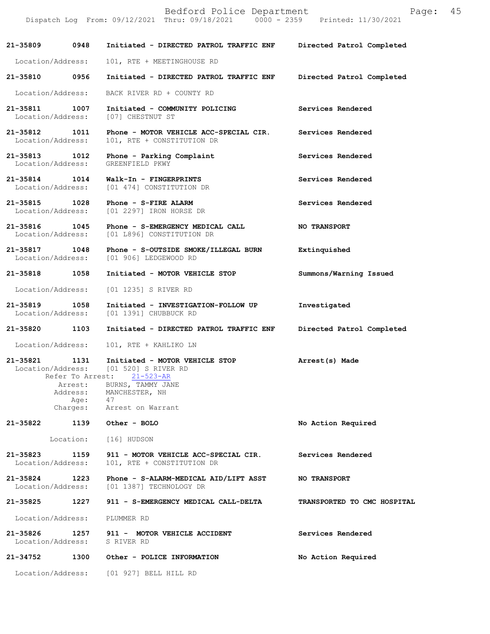|                                    |      | Dispatch Log From: 09/12/2021 Thru: 09/18/2021 0000 - 2359 Printed: 11/30/2021         |                             |
|------------------------------------|------|----------------------------------------------------------------------------------------|-----------------------------|
| 21-35809 0948                      |      | Initiated - DIRECTED PATROL TRAFFIC ENF Directed Patrol Completed                      |                             |
| Location/Address:                  |      | 101, RTE + MEETINGHOUSE RD                                                             |                             |
| 21-35810 0956                      |      | Initiated - DIRECTED PATROL TRAFFIC ENF                                                | Directed Patrol Completed   |
| Location/Address:                  |      | BACK RIVER RD + COUNTY RD                                                              |                             |
| 21-35811 1007                      |      | Initiated - COMMUNITY POLICING<br>Location/Address: [07] CHESTNUT ST                   | Services Rendered           |
| 21-35812 1011<br>Location/Address: |      | Phone - MOTOR VEHICLE ACC-SPECIAL CIR. Services Rendered<br>101, RTE + CONSTITUTION DR |                             |
| 21-35813 1012<br>Location/Address: |      | Phone - Parking Complaint<br>GREENFIELD PKWY                                           | Services Rendered           |
| 21-35814 1014                      |      | Walk-In - FINGERPRINTS<br>Location/Address: [01 474] CONSTITUTION DR                   | Services Rendered           |
| 21-35815 1028                      |      | Phone - S-FIRE ALARM<br>Location/Address: [01 2297] IRON HORSE DR                      | Services Rendered           |
| 21-35816 1045                      |      | Phone - S-EMERGENCY MEDICAL CALL<br>Location/Address: [01 L896] CONSTITUTION DR        | <b>NO TRANSPORT</b>         |
| 21-35817 1048                      |      | Phone - S-OUTSIDE SMOKE/ILLEGAL BURN<br>Location/Address: [01 906] LEDGEWOOD RD        | Extinquished                |
| 21-35818                           | 1058 | Initiated - MOTOR VEHICLE STOP                                                         | Summons/Warning Issued      |
|                                    |      | Location/Address: [01 1235] S RIVER RD                                                 |                             |
| 21-35819 1058                      |      | Initiated - INVESTIGATION-FOLLOW UP<br>Location/Address: [01 1391] CHUBBUCK RD         | Investigated                |
| 21-35820 1103                      |      | Initiated - DIRECTED PATROL TRAFFIC ENF                                                | Directed Patrol Completed   |
| Location/Address:                  |      | 101, RTE + KAHLIKO LN                                                                  |                             |
| 21-35821 1131<br>Location/Address: |      | Initiated - MOTOR VEHICLE STOP<br>[01 520] S RIVER RD                                  | Arrest(s) Made              |
|                                    |      | Refer To Arrest: 21-523-AR<br>Arrest: BURNS, TAMMY JANE                                |                             |
|                                    |      | Address: MANCHESTER, NH<br>Age: 47                                                     |                             |
|                                    |      | Charges: Arrest on Warrant                                                             |                             |
| 21-35822                           |      | 1139 Other - BOLO                                                                      | No Action Required          |
|                                    |      | Location: [16] HUDSON                                                                  |                             |
| 21-35823<br>Location/Address:      |      | 1159 911 - MOTOR VEHICLE ACC-SPECIAL CIR.<br>101, RTE + CONSTITUTION DR                | Services Rendered           |
| 21-35824 1223                      |      | Phone - S-ALARM-MEDICAL AID/LIFT ASST<br>Location/Address: [01 1387] TECHNOLOGY DR     | <b>NO TRANSPORT</b>         |
| 21-35825                           | 1227 | 911 - S-EMERGENCY MEDICAL CALL-DELTA                                                   | TRANSPORTED TO CMC HOSPITAL |
|                                    |      | Location/Address: PLUMMER RD                                                           |                             |
|                                    |      | 21-35826 1257 911 - MOTOR VEHICLE ACCIDENT<br>Location/Address: S RIVER RD             | Services Rendered           |
| 21-34752                           |      | 1300 Other - POLICE INFORMATION                                                        | No Action Required          |
|                                    |      | Location/Address: [01 927] BELL HILL RD                                                |                             |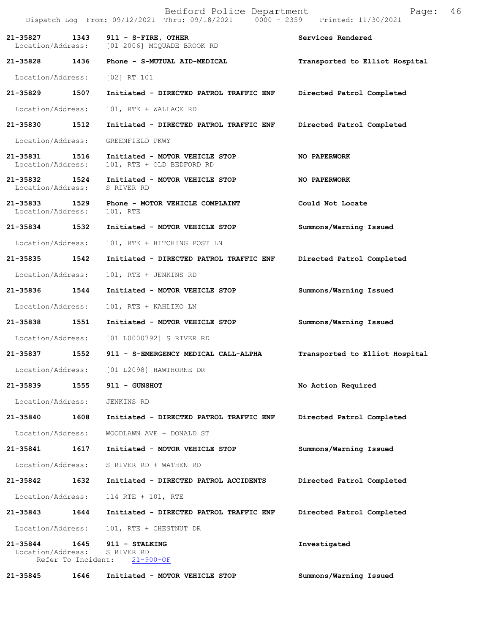|                               |                            | Bedford Police Department<br>Dispatch Log From: 09/12/2021 Thru: 09/18/2021 0000 - 2359 Printed: 11/30/2021 | 46<br>Page:                    |
|-------------------------------|----------------------------|-------------------------------------------------------------------------------------------------------------|--------------------------------|
| 21-35827<br>Location/Address: | 1343                       | 911 - S-FIRE, OTHER<br>[01 2006] MCQUADE BROOK RD                                                           | Services Rendered              |
| 21-35828 1436                 |                            | Phone - S-MUTUAL AID-MEDICAL                                                                                | Transported to Elliot Hospital |
| Location/Address:             |                            | [02] RT 101                                                                                                 |                                |
| 21-35829                      | 1507                       | Initiated - DIRECTED PATROL TRAFFIC ENF                                                                     | Directed Patrol Completed      |
| Location/Address:             |                            | 101, RTE + WALLACE RD                                                                                       |                                |
| 21-35830                      | 1512                       | Initiated - DIRECTED PATROL TRAFFIC ENF                                                                     | Directed Patrol Completed      |
| Location/Address:             |                            | GREENFIELD PKWY                                                                                             |                                |
| 21-35831<br>Location/Address: | 1516                       | Initiated - MOTOR VEHICLE STOP<br>101, RTE + OLD BEDFORD RD                                                 | NO PAPERWORK                   |
| 21-35832<br>Location/Address: | 1524                       | Initiated - MOTOR VEHICLE STOP<br>S RIVER RD                                                                | NO PAPERWORK                   |
| 21-35833<br>Location/Address: | 1529                       | Phone - MOTOR VEHICLE COMPLAINT<br>101, RTE                                                                 | Could Not Locate               |
| 21-35834                      | 1532                       | Initiated - MOTOR VEHICLE STOP                                                                              | Summons/Warning Issued         |
| Location/Address:             |                            | 101, RTE + HITCHING POST LN                                                                                 |                                |
| 21-35835                      | 1542                       | Initiated - DIRECTED PATROL TRAFFIC ENF                                                                     | Directed Patrol Completed      |
| Location/Address:             |                            | 101, RTE + JENKINS RD                                                                                       |                                |
| 21-35836                      | 1544                       | Initiated - MOTOR VEHICLE STOP                                                                              | Summons/Warning Issued         |
| Location/Address:             |                            | 101, RTE + KAHLIKO LN                                                                                       |                                |
| 21-35838                      | 1551                       | Initiated - MOTOR VEHICLE STOP                                                                              | Summons/Warning Issued         |
| Location/Address:             |                            | [01 L0000792] S RIVER RD                                                                                    |                                |
| 21-35837                      | 1552                       | 911 - S-EMERGENCY MEDICAL CALL-ALPHA                                                                        | Transported to Elliot Hospital |
| Location/Address:             |                            | [01 L2098] HAWTHORNE DR                                                                                     |                                |
| 21-35839                      | 1555                       | 911 - GUNSHOT                                                                                               | No Action Required             |
| Location/Address:             |                            | JENKINS RD                                                                                                  |                                |
| 21-35840                      | 1608                       | Initiated - DIRECTED PATROL TRAFFIC ENF                                                                     | Directed Patrol Completed      |
| Location/Address:             |                            | WOODLAWN AVE + DONALD ST                                                                                    |                                |
| 21-35841                      | 1617                       | Initiated - MOTOR VEHICLE STOP                                                                              | Summons/Warning Issued         |
| Location/Address:             |                            | S RIVER RD + WATHEN RD                                                                                      |                                |
| 21-35842                      | 1632                       | Initiated - DIRECTED PATROL ACCIDENTS                                                                       | Directed Patrol Completed      |
| Location/Address:             |                            | 114 RTE + 101, RTE                                                                                          |                                |
| 21-35843                      | 1644                       | Initiated - DIRECTED PATROL TRAFFIC ENF                                                                     | Directed Patrol Completed      |
| Location/Address:             |                            | 101, RTE + CHESTNUT DR                                                                                      |                                |
| 21-35844<br>Location/Address: | 1645<br>Refer To Incident: | 911 - STALKING<br>S RIVER RD<br>$21 - 900 - OF$                                                             | Investigated                   |
| 21-35845                      | 1646                       | Initiated - MOTOR VEHICLE STOP                                                                              | Summons/Warning Issued         |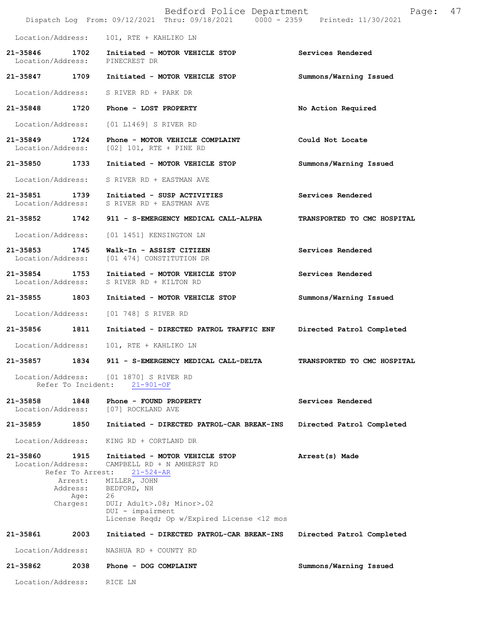|                               |                                                 | Bedford Police Department<br>Dispatch Log From: 09/12/2021 Thru: 09/18/2021 0000 - 2359 Printed: 11/30/2021      | Page:                       | 47 |
|-------------------------------|-------------------------------------------------|------------------------------------------------------------------------------------------------------------------|-----------------------------|----|
| Location/Address:             |                                                 | 101, RTE + KAHLIKO LN                                                                                            |                             |    |
| 21-35846                      |                                                 | 1702 Initiated - MOTOR VEHICLE STOP<br>Location/Address: PINECREST DR                                            | Services Rendered           |    |
|                               |                                                 | 21-35847 1709 Initiated - MOTOR VEHICLE STOP                                                                     | Summons/Warning Issued      |    |
|                               |                                                 | Location/Address: S RIVER RD + PARK DR                                                                           |                             |    |
|                               |                                                 | 21-35848 1720 Phone - LOST PROPERTY                                                                              | No Action Required          |    |
|                               |                                                 | Location/Address: [01 L1469] S RIVER RD                                                                          |                             |    |
| 21-35849                      |                                                 | 1724 Phone - MOTOR VEHICLE COMPLAINT<br>Location/Address: [02] 101, RTE + PINE RD                                | Could Not Locate            |    |
|                               |                                                 | 21-35850 1733 Initiated - MOTOR VEHICLE STOP                                                                     | Summons/Warning Issued      |    |
| Location/Address:             |                                                 | S RIVER RD + EASTMAN AVE                                                                                         |                             |    |
| 21-35851                      |                                                 | 1739 Initiated - SUSP ACTIVITIES<br>Location/Address: S RIVER RD + EASTMAN AVE                                   | Services Rendered           |    |
|                               |                                                 | 21-35852 1742 911 - S-EMERGENCY MEDICAL CALL-ALPHA                                                               | TRANSPORTED TO CMC HOSPITAL |    |
| Location/Address:             |                                                 | [01 1451] KENSINGTON LN                                                                                          |                             |    |
| Location/Address:             |                                                 | 21-35853 1745 Walk-In - ASSIST CITIZEN<br>[01 474] CONSTITUTION DR                                               | Services Rendered           |    |
|                               |                                                 | 21-35854 1753 Initiated - MOTOR VEHICLE STOP<br>Location/Address: S RIVER RD + KILTON RD                         | Services Rendered           |    |
| 21-35855 1803                 |                                                 | Initiated - MOTOR VEHICLE STOP                                                                                   | Summons/Warning Issued      |    |
| Location/Address:             |                                                 | [01 748] S RIVER RD                                                                                              |                             |    |
| 21-35856 1811                 |                                                 | Initiated - DIRECTED PATROL TRAFFIC ENF                                                                          | Directed Patrol Completed   |    |
| Location/Address:             |                                                 | 101, RTE + KAHLIKO LN                                                                                            |                             |    |
| 21-35857                      | 1834                                            | 911 - S-EMERGENCY MEDICAL CALL-DELTA                                                                             | TRANSPORTED TO CMC HOSPITAL |    |
|                               | Refer To Incident:                              | Location/Address: [01 1870] S RIVER RD<br>$21 - 901 - OF$                                                        |                             |    |
| 21-35858<br>Location/Address: | 1848                                            | Phone - FOUND PROPERTY<br>[07] ROCKLAND AVE                                                                      | Services Rendered           |    |
| 21-35859                      | 1850                                            | Initiated - DIRECTED PATROL-CAR BREAK-INS                                                                        | Directed Patrol Completed   |    |
| Location/Address:             |                                                 | KING RD + CORTLAND DR                                                                                            |                             |    |
| 21-35860<br>Location/Address: | 1915<br>Refer To Arrest:<br>Arrest:<br>Address: | Initiated - MOTOR VEHICLE STOP<br>CAMPBELL RD + N AMHERST RD<br>$21 - 524 - AR$<br>MILLER, JOHN                  | Arrest(s) Made              |    |
|                               | Age:<br>Charges:                                | BEDFORD, NH<br>26<br>DUI; Adult>.08; Minor>.02<br>DUI - impairment<br>License Reqd; Op w/Expired License <12 mos |                             |    |
| 21-35861                      | 2003                                            | Initiated - DIRECTED PATROL-CAR BREAK-INS                                                                        | Directed Patrol Completed   |    |
| Location/Address:             |                                                 | NASHUA RD + COUNTY RD                                                                                            |                             |    |
| 21-35862                      | 2038                                            | Phone - DOG COMPLAINT                                                                                            | Summons/Warning Issued      |    |
| Location/Address:             |                                                 | RICE LN                                                                                                          |                             |    |